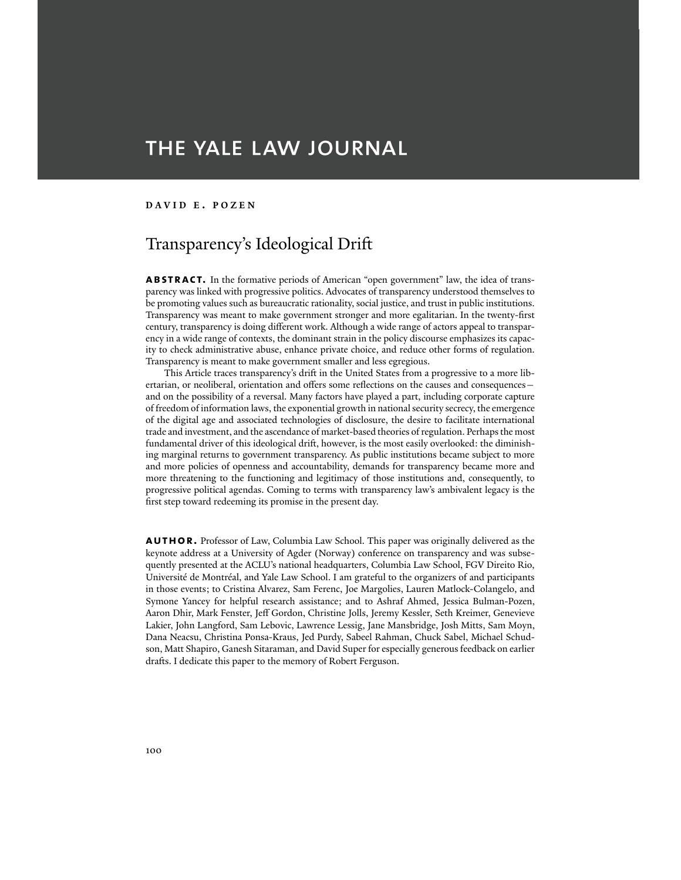# THE YALE LAW JOURNAL

### **DAVID E . POZEN**

## Transparency's Ideological Drift

**abstract.** In the formative periods of American "open government" law, the idea of transparency was linked with progressive politics. Advocates of transparency understood themselves to be promoting values such as bureaucratic rationality, social justice, and trust in public institutions. Transparency was meant to make government stronger and more egalitarian. In the twenty-first century, transparency is doing different work. Although a wide range of actors appeal to transparency in a wide range of contexts, the dominant strain in the policy discourse emphasizes its capacity to check administrative abuse, enhance private choice, and reduce other forms of regulation. Transparency is meant to make government smaller and less egregious.

 This Article traces transparency's drift in the United States from a progressive to a more libertarian, or neoliberal, orientation and offers some reflections on the causes and consequences and on the possibility of a reversal. Many factors have played a part, including corporate capture of freedom of information laws, the exponential growth in national security secrecy, the emergence of the digital age and associated technologies of disclosure, the desire to facilitate international trade and investment, and the ascendance of market-based theories of regulation. Perhaps the most fundamental driver of this ideological drift, however, is the most easily overlooked: the diminishing marginal returns to government transparency. As public institutions became subject to more and more policies of openness and accountability, demands for transparency became more and more threatening to the functioning and legitimacy of those institutions and, consequently, to progressive political agendas. Coming to terms with transparency law's ambivalent legacy is the first step toward redeeming its promise in the present day.

**AUTHOR.** Professor of Law, Columbia Law School. This paper was originally delivered as the keynote address at a University of Agder (Norway) conference on transparency and was subsequently presented at the ACLU's national headquarters, Columbia Law School, FGV Direito Rio, Université de Montréal, and Yale Law School. I am grateful to the organizers of and participants in those events; to Cristina Alvarez, Sam Ferenc, Joe Margolies, Lauren Matlock-Colangelo, and Symone Yancey for helpful research assistance; and to Ashraf Ahmed, Jessica Bulman-Pozen, Aaron Dhir, Mark Fenster, Jeff Gordon, Christine Jolls, Jeremy Kessler, Seth Kreimer, Genevieve Lakier, John Langford, Sam Lebovic, Lawrence Lessig, Jane Mansbridge, Josh Mitts, Sam Moyn, Dana Neacsu, Christina Ponsa-Kraus, Jed Purdy, Sabeel Rahman, Chuck Sabel, Michael Schudson, Matt Shapiro, Ganesh Sitaraman, and David Super for especially generous feedback on earlier drafts. I dedicate this paper to the memory of Robert Ferguson.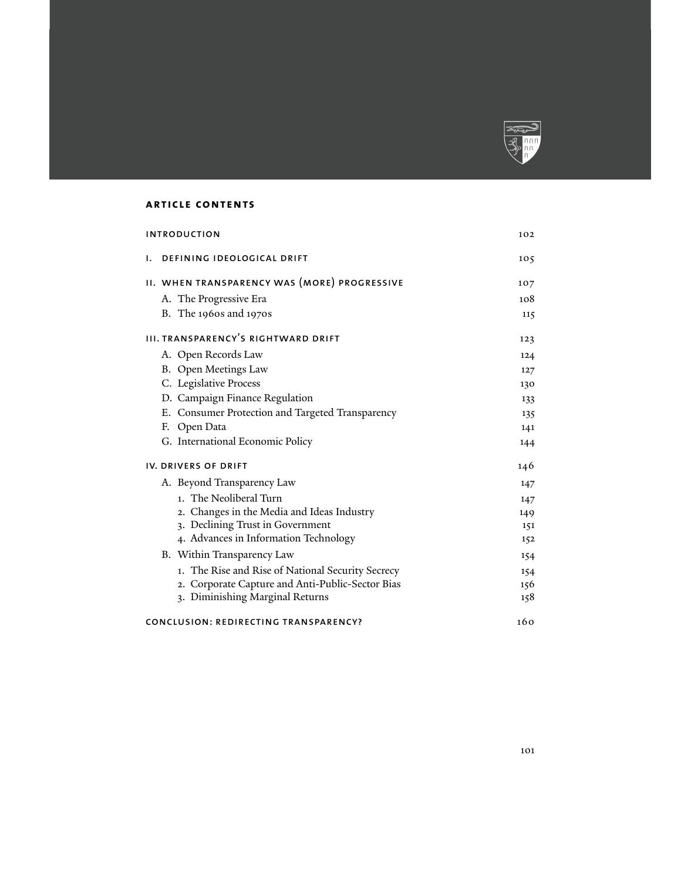

### **article contents**

| <b>INTRODUCTION</b>                               | 102 |
|---------------------------------------------------|-----|
| DEFINING IDEOLOGICAL DRIFT<br>ı.                  | 105 |
| II. WHEN TRANSPARENCY WAS (MORE) PROGRESSIVE      | 107 |
| A. The Progressive Era                            | 108 |
| B. The 1960s and 1970s                            | 115 |
| <b>III. TRANSPARENCY'S RIGHTWARD DRIFT</b>        | 123 |
| A. Open Records Law                               | 124 |
| B. Open Meetings Law                              | 127 |
| C. Legislative Process                            | 130 |
| D. Campaign Finance Regulation                    | 133 |
| E. Consumer Protection and Targeted Transparency  | 135 |
| F. Open Data                                      | 141 |
| G. International Economic Policy                  | 144 |
| <b>IV. DRIVERS OF DRIFT</b>                       | 146 |
| A. Beyond Transparency Law                        | 147 |
| 1. The Neoliberal Turn                            | 147 |
| 2. Changes in the Media and Ideas Industry        | 149 |
| 3. Declining Trust in Government                  | 151 |
| 4. Advances in Information Technology             | 152 |
| B. Within Transparency Law                        | 154 |
| 1. The Rise and Rise of National Security Secrecy | 154 |
| 2. Corporate Capture and Anti-Public-Sector Bias  | 156 |
| 3. Diminishing Marginal Returns                   | 158 |
| CONCLUSION: REDIRECTING TRANSPARENCY?             | 160 |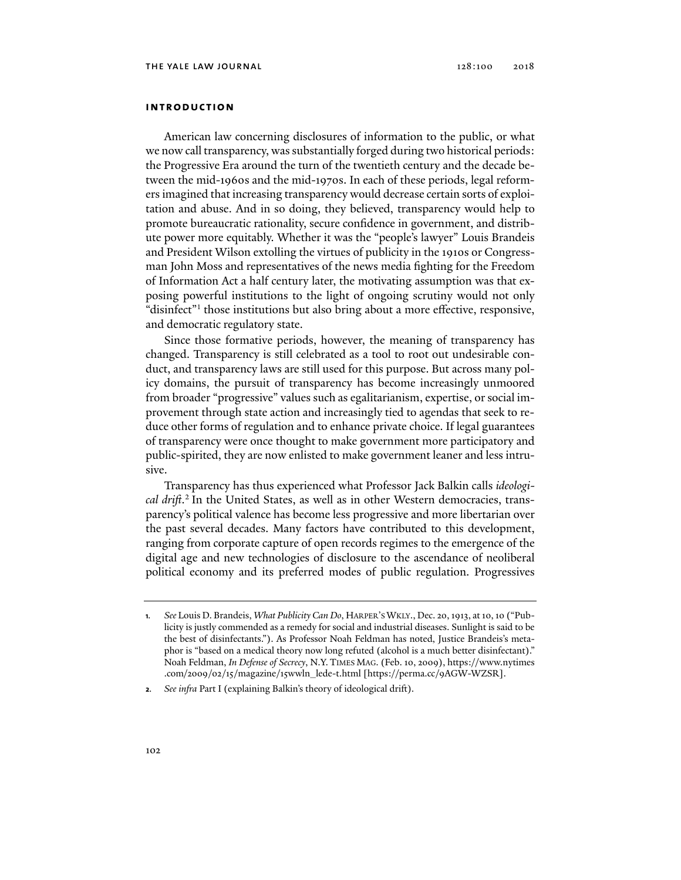### **introduction**

American law concerning disclosures of information to the public, or what we now call transparency, was substantially forged during two historical periods: the Progressive Era around the turn of the twentieth century and the decade between the mid-1960s and the mid-1970s. In each of these periods, legal reformers imagined that increasing transparency would decrease certain sorts of exploitation and abuse. And in so doing, they believed, transparency would help to promote bureaucratic rationality, secure confidence in government, and distribute power more equitably. Whether it was the "people's lawyer" Louis Brandeis and President Wilson extolling the virtues of publicity in the 1910s or Congressman John Moss and representatives of the news media fighting for the Freedom of Information Act a half century later, the motivating assumption was that exposing powerful institutions to the light of ongoing scrutiny would not only "disinfect"<sup>1</sup> those institutions but also bring about a more effective, responsive, and democratic regulatory state.

Since those formative periods, however, the meaning of transparency has changed. Transparency is still celebrated as a tool to root out undesirable conduct, and transparency laws are still used for this purpose. But across many policy domains, the pursuit of transparency has become increasingly unmoored from broader "progressive" values such as egalitarianism, expertise, or social improvement through state action and increasingly tied to agendas that seek to reduce other forms of regulation and to enhance private choice. If legal guarantees of transparency were once thought to make government more participatory and public-spirited, they are now enlisted to make government leaner and less intrusive.

Transparency has thus experienced what Professor Jack Balkin calls *ideological drift*. 2 In the United States, as well as in other Western democracies, transparency's political valence has become less progressive and more libertarian over the past several decades. Many factors have contributed to this development, ranging from corporate capture of open records regimes to the emergence of the digital age and new technologies of disclosure to the ascendance of neoliberal political economy and its preferred modes of public regulation. Progressives

**<sup>1</sup>***. See* Louis D. Brandeis, *What Publicity Can Do*, HARPER'S WKLY., Dec. 20, 1913, at 10, 10 ("Publicity is justly commended as a remedy for social and industrial diseases. Sunlight is said to be the best of disinfectants."). As Professor Noah Feldman has noted, Justice Brandeis's metaphor is "based on a medical theory now long refuted (alcohol is a much better disinfectant)." Noah Feldman, *In Defense of Secrecy*, N.Y. TIMES MAG. (Feb. 10, 2009), https://www.nytimes .com/2009/02/15/magazine/15wwln\_lede-t.html [https://perma.cc/9AGW-WZSR].

**<sup>2</sup>***. See infra* Part I (explaining Balkin's theory of ideological drift).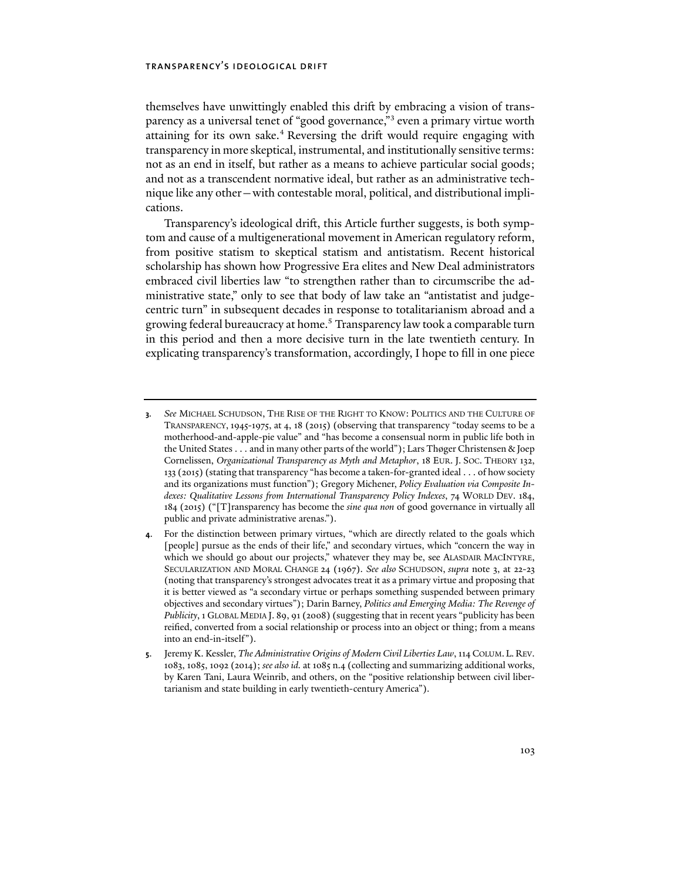themselves have unwittingly enabled this drift by embracing a vision of transparency as a universal tenet of "good governance,"<sup>3</sup> even a primary virtue worth attaining for its own sake.<sup>4</sup> Reversing the drift would require engaging with transparency in more skeptical, instrumental, and institutionally sensitive terms: not as an end in itself, but rather as a means to achieve particular social goods; and not as a transcendent normative ideal, but rather as an administrative technique like any other—with contestable moral, political, and distributional implications.

Transparency's ideological drift, this Article further suggests, is both symptom and cause of a multigenerational movement in American regulatory reform, from positive statism to skeptical statism and antistatism. Recent historical scholarship has shown how Progressive Era elites and New Deal administrators embraced civil liberties law "to strengthen rather than to circumscribe the administrative state," only to see that body of law take an "antistatist and judgecentric turn" in subsequent decades in response to totalitarianism abroad and a growing federal bureaucracy at home.5 Transparency law took a comparable turn in this period and then a more decisive turn in the late twentieth century. In explicating transparency's transformation, accordingly, I hope to fill in one piece

**<sup>3</sup>***. See* MICHAEL SCHUDSON, THE RISE OF THE RIGHT TO KNOW: POLITICS AND THE CULTURE OF TRANSPARENCY, 1945-1975, at 4, 18 (2015) (observing that transparency "today seems to be a motherhood-and-apple-pie value" and "has become a consensual norm in public life both in the United States . . . and in many other parts of the world"); Lars Thøger Christensen & Joep Cornelissen, *Organizational Transparency as Myth and Metaphor*, 18 EUR. J. SOC. THEORY 132, 133 (2015) (stating that transparency "has become a taken-for-granted ideal . . . of how society and its organizations must function"); Gregory Michener, *Policy Evaluation via Composite Indexes: Qualitative Lessons from International Transparency Policy Indexes*, 74 WORLD DEV. 184, 184 (2015) ("[T]ransparency has become the *sine qua non* of good governance in virtually all public and private administrative arenas.").

**<sup>4</sup>**. For the distinction between primary virtues, "which are directly related to the goals which [people] pursue as the ends of their life," and secondary virtues, which "concern the way in which we should go about our projects," whatever they may be, see ALASDAIR MACINTYRE, SECULARIZATION AND MORAL CHANGE 24 (1967). *See also* SCHUDSON, *supra* note 3, at 22-23 (noting that transparency's strongest advocates treat it as a primary virtue and proposing that it is better viewed as "a secondary virtue or perhaps something suspended between primary objectives and secondary virtues"); Darin Barney, *Politics and Emerging Media: The Revenge of Publicity*, 1 GLOBAL MEDIA J. 89, 91 (2008) (suggesting that in recent years "publicity has been reified, converted from a social relationship or process into an object or thing; from a means into an end-in-itself").

**<sup>5</sup>**. Jeremy K. Kessler, *The Administrative Origins of Modern Civil Liberties Law*, 114 COLUM. L. REV. 1083, 1085, 1092 (2014); *see also id.* at 1085 n.4 (collecting and summarizing additional works, by Karen Tani, Laura Weinrib, and others, on the "positive relationship between civil libertarianism and state building in early twentieth-century America").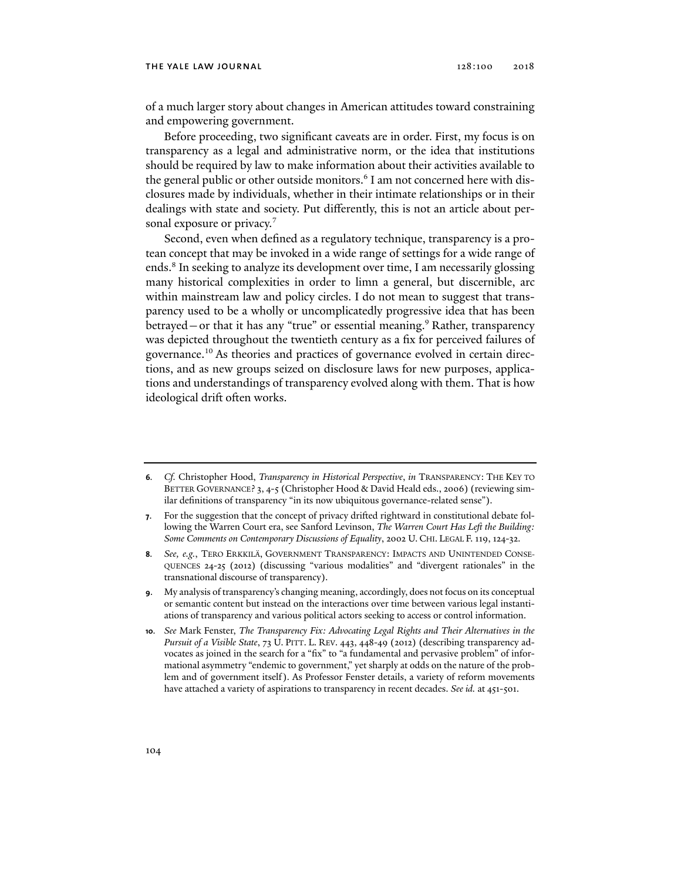#### THE YALE LAW JOURNAL 128:100 2018

of a much larger story about changes in American attitudes toward constraining and empowering government.

Before proceeding, two significant caveats are in order. First, my focus is on transparency as a legal and administrative norm, or the idea that institutions should be required by law to make information about their activities available to the general public or other outside monitors.<sup>6</sup> I am not concerned here with disclosures made by individuals, whether in their intimate relationships or in their dealings with state and society. Put differently, this is not an article about personal exposure or privacy.<sup>7</sup>

Second, even when defined as a regulatory technique, transparency is a protean concept that may be invoked in a wide range of settings for a wide range of ends.8 In seeking to analyze its development over time, I am necessarily glossing many historical complexities in order to limn a general, but discernible, arc within mainstream law and policy circles. I do not mean to suggest that transparency used to be a wholly or uncomplicatedly progressive idea that has been betrayed—or that it has any "true" or essential meaning.<sup>9</sup> Rather, transparency was depicted throughout the twentieth century as a fix for perceived failures of governance.10 As theories and practices of governance evolved in certain directions, and as new groups seized on disclosure laws for new purposes, applications and understandings of transparency evolved along with them. That is how ideological drift often works.

- **8***. See, e.g.*, TERO ERKKILÄ, GOVERNMENT TRANSPARENCY: IMPACTS AND UNINTENDED CONSE-QUENCES 24-25 (2012) (discussing "various modalities" and "divergent rationales" in the transnational discourse of transparency).
- **9**. My analysis of transparency's changing meaning, accordingly, does not focus on its conceptual or semantic content but instead on the interactions over time between various legal instantiations of transparency and various political actors seeking to access or control information.
- **10***. See* Mark Fenster, *The Transparency Fix: Advocating Legal Rights and Their Alternatives in the Pursuit of a Visible State*, 73 U. PITT. L. REV. 443, 448-49 (2012) (describing transparency advocates as joined in the search for a "fix" to "a fundamental and pervasive problem" of informational asymmetry "endemic to government," yet sharply at odds on the nature of the problem and of government itself). As Professor Fenster details, a variety of reform movements have attached a variety of aspirations to transparency in recent decades. *See id.* at 451-501.

**<sup>6</sup>***. Cf.* Christopher Hood, *Transparency in Historical Perspective*, *in* TRANSPARENCY: THE KEY TO BETTER GOVERNANCE? 3, 4-5 (Christopher Hood & David Heald eds., 2006) (reviewing similar definitions of transparency "in its now ubiquitous governance-related sense").

**<sup>7</sup>**. For the suggestion that the concept of privacy drifted rightward in constitutional debate following the Warren Court era, see Sanford Levinson, *The Warren Court Has Left the Building: Some Comments on Contemporary Discussions of Equality*, 2002 U. CHI. LEGAL F. 119, 124-32.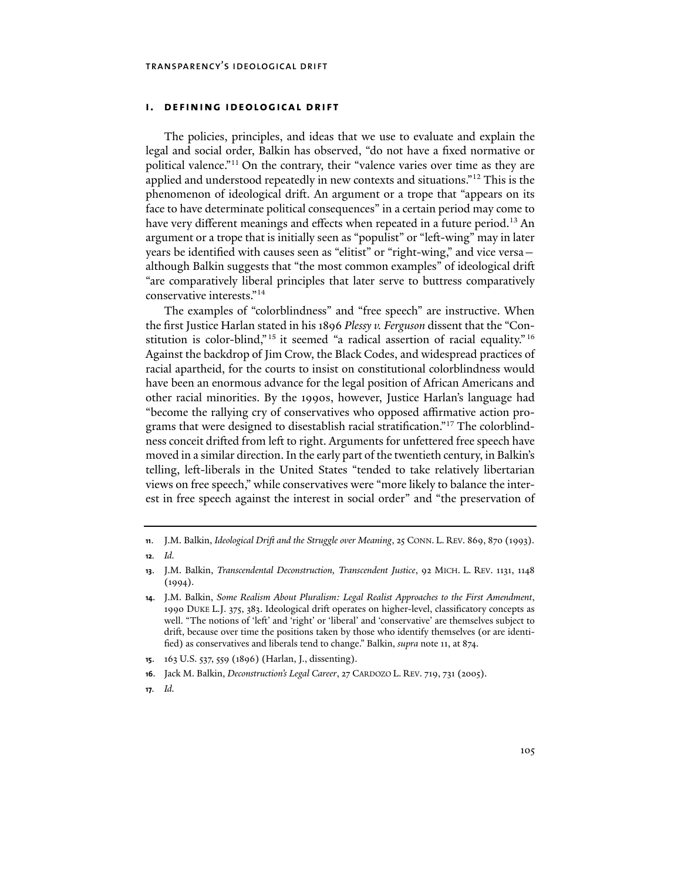### **i. defining ideological drift**

The policies, principles, and ideas that we use to evaluate and explain the legal and social order, Balkin has observed, "do not have a fixed normative or political valence."11 On the contrary, their "valence varies over time as they are applied and understood repeatedly in new contexts and situations."12 This is the phenomenon of ideological drift. An argument or a trope that "appears on its face to have determinate political consequences" in a certain period may come to have very different meanings and effects when repeated in a future period.<sup>13</sup> An argument or a trope that is initially seen as "populist" or "left-wing" may in later years be identified with causes seen as "elitist" or "right-wing," and vice versa although Balkin suggests that "the most common examples" of ideological drift "are comparatively liberal principles that later serve to buttress comparatively conservative interests."14

The examples of "colorblindness" and "free speech" are instructive. When the first Justice Harlan stated in his 1896 *Plessy v. Ferguson* dissent that the "Constitution is color-blind,"<sup>15</sup> it seemed "a radical assertion of racial equality."<sup>16</sup> Against the backdrop of Jim Crow, the Black Codes, and widespread practices of racial apartheid, for the courts to insist on constitutional colorblindness would have been an enormous advance for the legal position of African Americans and other racial minorities. By the 1990s, however, Justice Harlan's language had "become the rallying cry of conservatives who opposed affirmative action programs that were designed to disestablish racial stratification."17 The colorblindness conceit drifted from left to right. Arguments for unfettered free speech have moved in a similar direction. In the early part of the twentieth century, in Balkin's telling, left-liberals in the United States "tended to take relatively libertarian views on free speech," while conservatives were "more likely to balance the interest in free speech against the interest in social order" and "the preservation of

**17***. Id.*

**<sup>11</sup>**. J.M. Balkin, *Ideological Drift and the Struggle over Meaning*, 25 CONN. L. REV. 869, 870 (1993).

**<sup>12</sup>***. Id.*

**<sup>13</sup>**. J.M. Balkin, *Transcendental Deconstruction, Transcendent Justice*, 92 MICH. L. REV. 1131, 1148  $(1994).$ 

**<sup>14</sup>**. J.M. Balkin, *Some Realism About Pluralism: Legal Realist Approaches to the First Amendment*, 1990 DUKE L.J. 375, 383. Ideological drift operates on higher-level, classificatory concepts as well. "The notions of 'left' and 'right' or 'liberal' and 'conservative' are themselves subject to drift, because over time the positions taken by those who identify themselves (or are identified) as conservatives and liberals tend to change." Balkin, *supra* note 11, at 874.

**<sup>15</sup>**. 163 U.S. 537, 559 (1896) (Harlan, J., dissenting).

**<sup>16</sup>**. Jack M. Balkin, *Deconstruction's Legal Career*, 27 CARDOZO L. REV. 719, 731 (2005).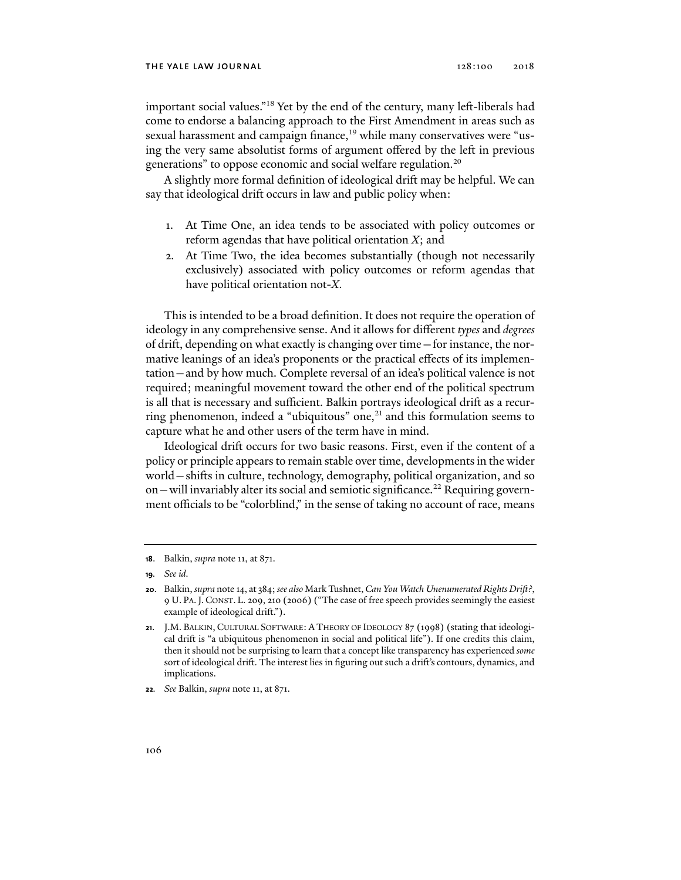important social values."18 Yet by the end of the century, many left-liberals had come to endorse a balancing approach to the First Amendment in areas such as sexual harassment and campaign finance,<sup>19</sup> while many conservatives were "using the very same absolutist forms of argument offered by the left in previous generations" to oppose economic and social welfare regulation.<sup>20</sup>

A slightly more formal definition of ideological drift may be helpful. We can say that ideological drift occurs in law and public policy when:

- 1. At Time One, an idea tends to be associated with policy outcomes or reform agendas that have political orientation *X*; and
- 2. At Time Two, the idea becomes substantially (though not necessarily exclusively) associated with policy outcomes or reform agendas that have political orientation not-*X*.

This is intended to be a broad definition. It does not require the operation of ideology in any comprehensive sense. And it allows for different *types* and *degrees* of drift, depending on what exactly is changing over time—for instance, the normative leanings of an idea's proponents or the practical effects of its implementation—and by how much. Complete reversal of an idea's political valence is not required; meaningful movement toward the other end of the political spectrum is all that is necessary and sufficient. Balkin portrays ideological drift as a recurring phenomenon, indeed a "ubiquitous" one, $^{21}$  and this formulation seems to capture what he and other users of the term have in mind.

Ideological drift occurs for two basic reasons. First, even if the content of a policy or principle appears to remain stable over time, developments in the wider world—shifts in culture, technology, demography, political organization, and so on — will invariably alter its social and semiotic significance.<sup>22</sup> Requiring government officials to be "colorblind," in the sense of taking no account of race, means

**<sup>18</sup>**. Balkin, *supra* note 11, at 871.

**<sup>19</sup>***. See id.* 

**<sup>20</sup>**. Balkin, *supra* note 14, at 384; *see also* Mark Tushnet, *Can You Watch Unenumerated Rights Drift?*, 9 U. PA.J.CONST. L. 209, 210 (2006) ("The case of free speech provides seemingly the easiest example of ideological drift.").

**<sup>21</sup>**. J.M. BALKIN, CULTURAL SOFTWARE: A THEORY OF IDEOLOGY 87 (1998) (stating that ideological drift is "a ubiquitous phenomenon in social and political life"). If one credits this claim, then it should not be surprising to learn that a concept like transparency has experienced *some* sort of ideological drift. The interest lies in figuring out such a drift's contours, dynamics, and implications.

**<sup>22</sup>***. See* Balkin, *supra* note 11, at 871.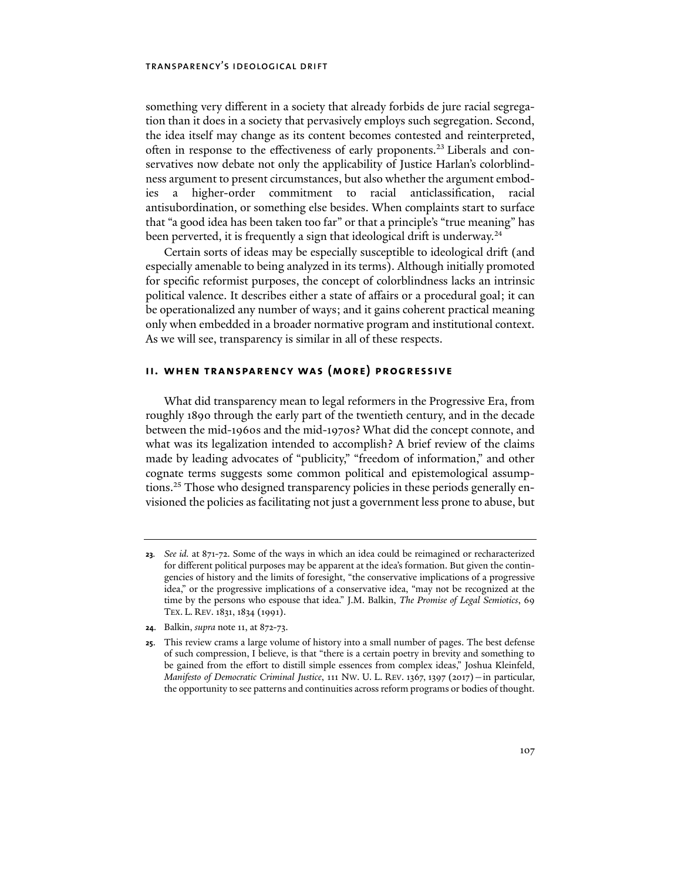something very different in a society that already forbids de jure racial segregation than it does in a society that pervasively employs such segregation. Second, the idea itself may change as its content becomes contested and reinterpreted, often in response to the effectiveness of early proponents.23 Liberals and conservatives now debate not only the applicability of Justice Harlan's colorblindness argument to present circumstances, but also whether the argument embodies a higher-order commitment to racial anticlassification, racial antisubordination, or something else besides. When complaints start to surface that "a good idea has been taken too far" or that a principle's "true meaning" has been perverted, it is frequently a sign that ideological drift is underway.<sup>24</sup>

Certain sorts of ideas may be especially susceptible to ideological drift (and especially amenable to being analyzed in its terms). Although initially promoted for specific reformist purposes, the concept of colorblindness lacks an intrinsic political valence. It describes either a state of affairs or a procedural goal; it can be operationalized any number of ways; and it gains coherent practical meaning only when embedded in a broader normative program and institutional context. As we will see, transparency is similar in all of these respects.

### **ii. when transparency was (more) progressive**

What did transparency mean to legal reformers in the Progressive Era, from roughly 1890 through the early part of the twentieth century, and in the decade between the mid-1960s and the mid-1970s? What did the concept connote, and what was its legalization intended to accomplish? A brief review of the claims made by leading advocates of "publicity," "freedom of information," and other cognate terms suggests some common political and epistemological assumptions.25 Those who designed transparency policies in these periods generally envisioned the policies as facilitating not just a government less prone to abuse, but

**<sup>23</sup>***. See id.* at 871-72. Some of the ways in which an idea could be reimagined or recharacterized for different political purposes may be apparent at the idea's formation. But given the contingencies of history and the limits of foresight, "the conservative implications of a progressive idea," or the progressive implications of a conservative idea, "may not be recognized at the time by the persons who espouse that idea." J.M. Balkin, *The Promise of Legal Semiotics*, 69 TEX. L. REV. 1831, 1834 (1991).

**<sup>24</sup>**. Balkin, *supra* note 11, at 872-73.

**<sup>25</sup>**. This review crams a large volume of history into a small number of pages. The best defense of such compression, I believe, is that "there is a certain poetry in brevity and something to be gained from the effort to distill simple essences from complex ideas," Joshua Kleinfeld, *Manifesto of Democratic Criminal Justice*, 111 NW. U. L. REV. 1367, 1397 (2017)—in particular, the opportunity to see patterns and continuities across reform programs or bodies of thought.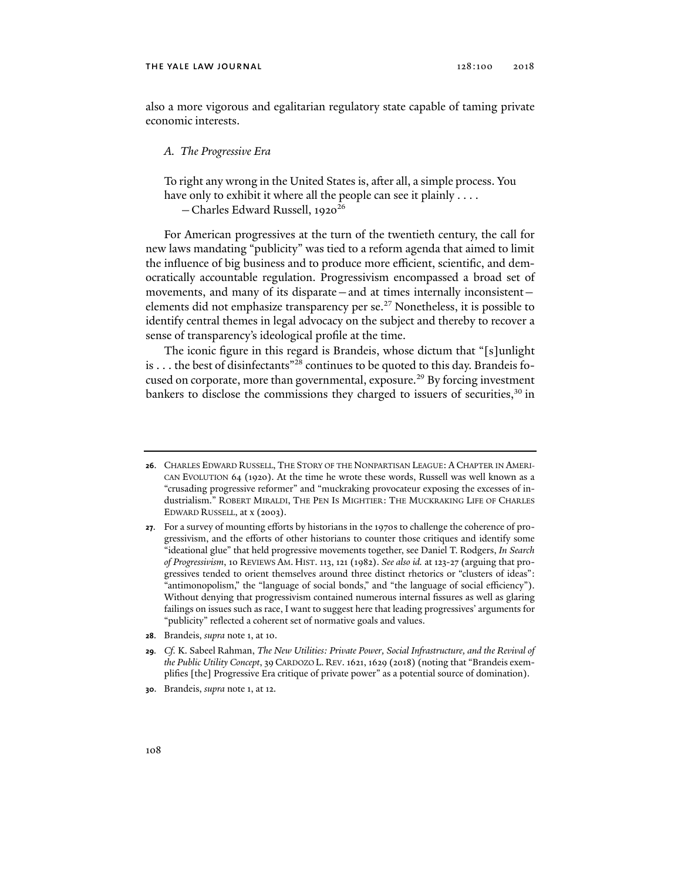#### THE YALE LAW JOURNAL 128:100 2018

also a more vigorous and egalitarian regulatory state capable of taming private economic interests.

### *A. The Progressive Era*

To right any wrong in the United States is, after all, a simple process. You have only to exhibit it where all the people can see it plainly . . . .

- Charles Edward Russell, 1920<sup>26</sup>

For American progressives at the turn of the twentieth century, the call for new laws mandating "publicity" was tied to a reform agenda that aimed to limit the influence of big business and to produce more efficient, scientific, and democratically accountable regulation. Progressivism encompassed a broad set of movements, and many of its disparate—and at times internally inconsistent elements did not emphasize transparency per se.<sup>27</sup> Nonetheless, it is possible to identify central themes in legal advocacy on the subject and thereby to recover a sense of transparency's ideological profile at the time.

The iconic figure in this regard is Brandeis, whose dictum that "[s]unlight is ... the best of disinfectants"<sup>28</sup> continues to be quoted to this day. Brandeis focused on corporate, more than governmental, exposure.<sup>29</sup> By forcing investment bankers to disclose the commissions they charged to issuers of securities,  $30 \text{ in}$ 

- **28**. Brandeis, *supra* note 1, at 10.
- **29***. Cf.* K. Sabeel Rahman, *The New Utilities: Private Power, Social Infrastructure, and the Revival of the Public Utility Concept*, 39CARDOZO L. REV. 1621, 1629 (2018) (noting that "Brandeis exemplifies [the] Progressive Era critique of private power" as a potential source of domination).
- **30**. Brandeis, *supra* note 1, at 12.

**<sup>26</sup>**. CHARLES EDWARD RUSSELL, THE STORY OF THE NONPARTISAN LEAGUE: A CHAPTER IN AMERI-CAN EVOLUTION 64 (1920). At the time he wrote these words, Russell was well known as a "crusading progressive reformer" and "muckraking provocateur exposing the excesses of industrialism." ROBERT MIRALDI, THE PEN IS MIGHTIER: THE MUCKRAKING LIFE OF CHARLES EDWARD RUSSELL, at x (2003).

**<sup>27</sup>**. For a survey of mounting efforts by historians in the 1970s to challenge the coherence of progressivism, and the efforts of other historians to counter those critiques and identify some "ideational glue" that held progressive movements together, see Daniel T. Rodgers, *In Search of Progressivism*, 10 REVIEWS AM. HIST. 113, 121 (1982). *See also id.* at 123-27 (arguing that progressives tended to orient themselves around three distinct rhetorics or "clusters of ideas": "antimonopolism," the "language of social bonds," and "the language of social efficiency"). Without denying that progressivism contained numerous internal fissures as well as glaring failings on issues such as race, I want to suggest here that leading progressives' arguments for "publicity" reflected a coherent set of normative goals and values.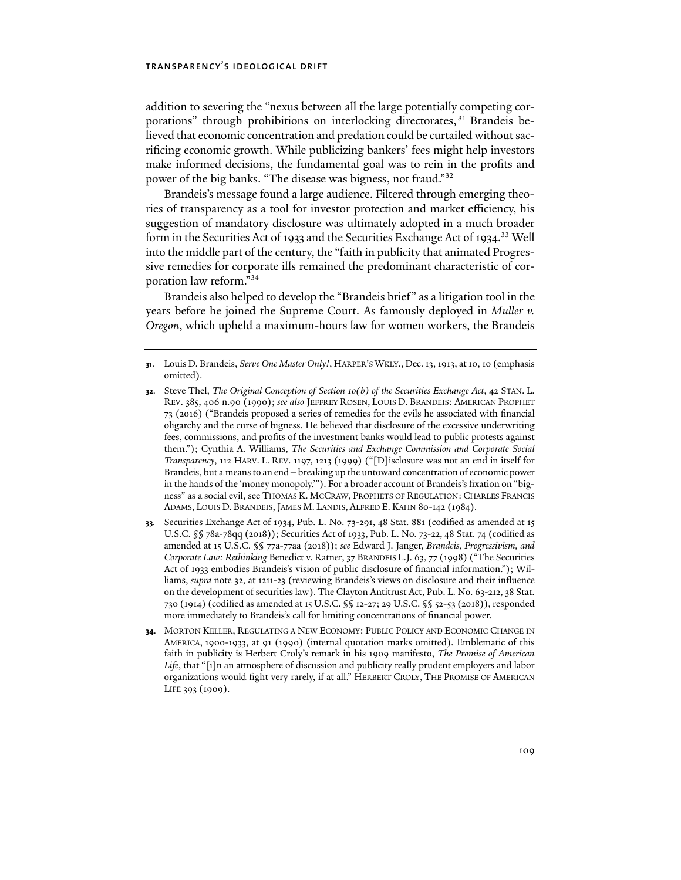addition to severing the "nexus between all the large potentially competing corporations" through prohibitions on interlocking directorates, 31 Brandeis believed that economic concentration and predation could be curtailed without sacrificing economic growth. While publicizing bankers' fees might help investors make informed decisions, the fundamental goal was to rein in the profits and power of the big banks. "The disease was bigness, not fraud."32

Brandeis's message found a large audience. Filtered through emerging theories of transparency as a tool for investor protection and market efficiency, his suggestion of mandatory disclosure was ultimately adopted in a much broader form in the Securities Act of 1933 and the Securities Exchange Act of 1934.<sup>33</sup> Well into the middle part of the century, the "faith in publicity that animated Progressive remedies for corporate ills remained the predominant characteristic of corporation law reform."34

Brandeis also helped to develop the "Brandeis brief" as a litigation tool in the years before he joined the Supreme Court. As famously deployed in *Muller v. Oregon*, which upheld a maximum-hours law for women workers, the Brandeis

- **32**. Steve Thel, *The Original Conception of Section 10(b) of the Securities Exchange Act*, 42 STAN. L. REV. 385, 406 n.90 (1990); *see also* JEFFREY ROSEN, LOUIS D. BRANDEIS: AMERICAN PROPHET 73 (2016) ("Brandeis proposed a series of remedies for the evils he associated with financial oligarchy and the curse of bigness. He believed that disclosure of the excessive underwriting fees, commissions, and profits of the investment banks would lead to public protests against them."); Cynthia A. Williams, *The Securities and Exchange Commission and Corporate Social Transparency*, 112 HARV. L. REV. 1197, 1213 (1999) ("[D]isclosure was not an end in itself for Brandeis, but a means to an end—breaking up the untoward concentration of economic power in the hands of the 'money monopoly.'"). For a broader account of Brandeis's fixation on "bigness" as a social evil, see THOMAS K. MCCRAW, PROPHETS OF REGULATION: CHARLES FRANCIS ADAMS, LOUIS D. BRANDEIS, JAMES M. LANDIS, ALFRED E. KAHN 80-142 (1984).
- **33***.* Securities Exchange Act of 1934, Pub. L. No. 73-291, 48 Stat. 881 (codified as amended at 15 U.S.C. §§ 78a-78qq (2018)); Securities Act of 1933, Pub. L. No. 73-22, 48 Stat. 74 (codified as amended at 15 U.S.C. §§ 77a-77aa (2018)); *see* Edward J. Janger, *Brandeis, Progressivism, and Corporate Law: Rethinking* Benedict v. Ratner, 37 BRANDEIS L.J. 63, 77 (1998) ("The Securities Act of 1933 embodies Brandeis's vision of public disclosure of financial information."); Williams, *supra* note 32, at 1211-23 (reviewing Brandeis's views on disclosure and their influence on the development of securities law). The Clayton Antitrust Act, Pub. L. No. 63-212, 38 Stat. 730 (1914) (codified as amended at 15 U.S.C. §§ 12-27; 29 U.S.C. §§ 52-53 (2018)), responded more immediately to Brandeis's call for limiting concentrations of financial power.
- **34**. MORTON KELLER, REGULATING A NEW ECONOMY: PUBLIC POLICY AND ECONOMIC CHANGE IN AMERICA, 1900-1933, at 91 (1990) (internal quotation marks omitted). Emblematic of this faith in publicity is Herbert Croly's remark in his 1909 manifesto, *The Promise of American Life*, that "[i]n an atmosphere of discussion and publicity really prudent employers and labor organizations would fight very rarely, if at all." HERBERT CROLY, THE PROMISE OF AMERICAN LIFE 393 (1909).

**<sup>31</sup>**. Louis D. Brandeis, *Serve One Master Only!*, HARPER'S WKLY., Dec. 13, 1913, at 10, 10 (emphasis omitted).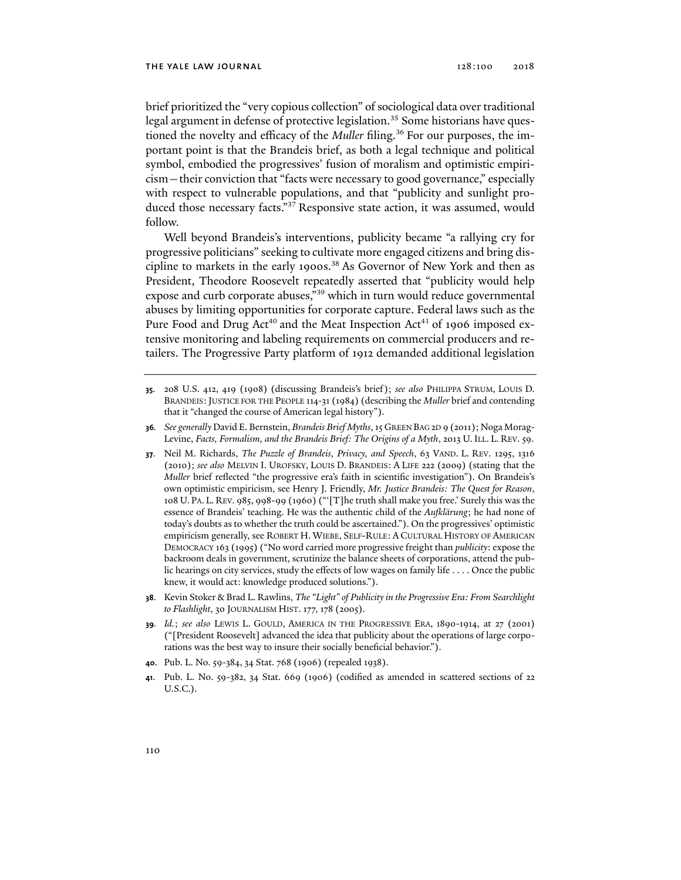brief prioritized the "very copious collection" of sociological data over traditional legal argument in defense of protective legislation.<sup>35</sup> Some historians have questioned the novelty and efficacy of the *Muller* filing.<sup>36</sup> For our purposes, the important point is that the Brandeis brief, as both a legal technique and political symbol, embodied the progressives' fusion of moralism and optimistic empiricism—their conviction that "facts were necessary to good governance," especially with respect to vulnerable populations, and that "publicity and sunlight produced those necessary facts."37 Responsive state action, it was assumed, would follow.

Well beyond Brandeis's interventions, publicity became "a rallying cry for progressive politicians" seeking to cultivate more engaged citizens and bring discipline to markets in the early 1900s.<sup>38</sup> As Governor of New York and then as President, Theodore Roosevelt repeatedly asserted that "publicity would help expose and curb corporate abuses,"<sup>39</sup> which in turn would reduce governmental abuses by limiting opportunities for corporate capture. Federal laws such as the Pure Food and Drug Act<sup>40</sup> and the Meat Inspection Act<sup>41</sup> of 1906 imposed extensive monitoring and labeling requirements on commercial producers and retailers. The Progressive Party platform of 1912 demanded additional legislation

- **35**. 208 U.S. 412, 419 (1908) (discussing Brandeis's brief); *see also* PHILIPPA STRUM, LOUIS D. BRANDEIS:JUSTICE FOR THE PEOPLE 114-31 (1984) (describing the *Muller* brief and contending that it "changed the course of American legal history").
- **36***. See generally* David E. Bernstein, *Brandeis Brief Myths*, 15 GREEN BAG 2D 9 (2011); Noga Morag-Levine, *Facts, Formalism, and the Brandeis Brief: The Origins of a Myth*, 2013 U. ILL. L. REV. 59.
- **37**. Neil M. Richards, *The Puzzle of Brandeis, Privacy, and Speech*, 63 VAND. L. REV. 1295, 1316 (2010); *see also* MELVIN I. UROFSKY, LOUIS D. BRANDEIS: A LIFE 222 (2009) (stating that the *Muller* brief reflected "the progressive era's faith in scientific investigation"). On Brandeis's own optimistic empiricism, see Henry J. Friendly, *Mr. Justice Brandeis: The Quest for Reason*, 108 U. PA. L. REV. 985, 998-99 (1960) ("'[T]he truth shall make you free.' Surely this was the essence of Brandeis' teaching. He was the authentic child of the *Aufklärung*; he had none of today's doubts as to whether the truth could be ascertained."). On the progressives' optimistic empiricism generally, see ROBERT H. WIEBE, SELF-RULE: A CULTURAL HISTORY OF AMERICAN DEMOCRACY 163 (1995) ("No word carried more progressive freight than *publicity*: expose the backroom deals in government, scrutinize the balance sheets of corporations, attend the public hearings on city services, study the effects of low wages on family life . . . . Once the public knew, it would act: knowledge produced solutions.").
- **38**. Kevin Stoker & Brad L. Rawlins, *The "Light" of Publicity in the Progressive Era: From Searchlight to Flashlight*, 30 JOURNALISM HIST. 177, 178 (2005).
- **39***. Id.*; *see also* LEWIS L. GOULD, AMERICA IN THE PROGRESSIVE ERA, 1890-1914, at 27 (2001) ("[President Roosevelt] advanced the idea that publicity about the operations of large corporations was the best way to insure their socially beneficial behavior.").
- **40**. Pub. L. No. 59-384, 34 Stat. 768 (1906) (repealed 1938).
- **41**. Pub. L. No. 59-382, 34 Stat. 669 (1906) (codified as amended in scattered sections of 22 U.S.C.).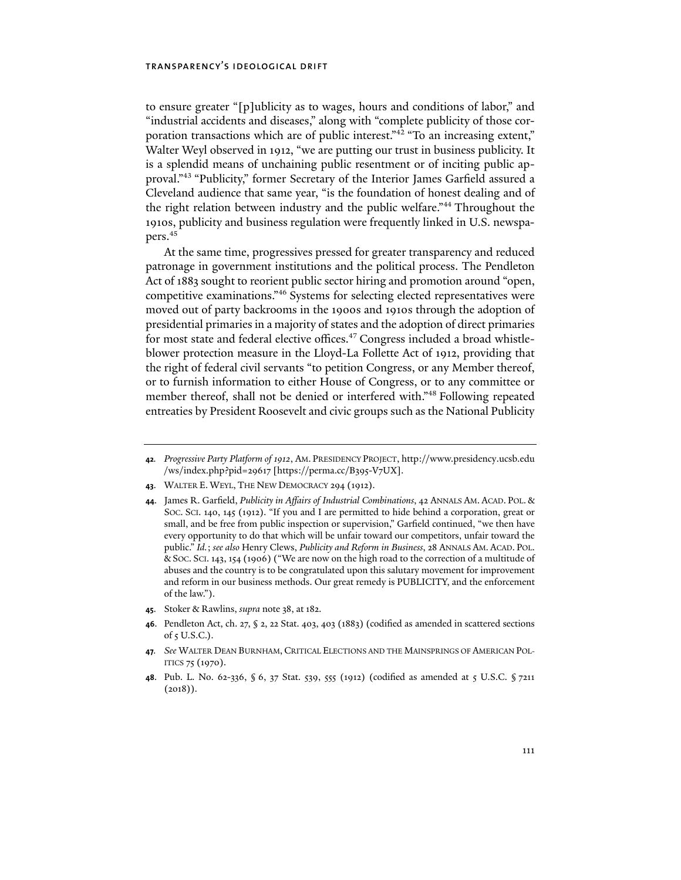to ensure greater "[p]ublicity as to wages, hours and conditions of labor," and "industrial accidents and diseases," along with "complete publicity of those corporation transactions which are of public interest."42 "To an increasing extent," Walter Weyl observed in 1912, "we are putting our trust in business publicity. It is a splendid means of unchaining public resentment or of inciting public approval."43 "Publicity," former Secretary of the Interior James Garfield assured a Cleveland audience that same year, "is the foundation of honest dealing and of the right relation between industry and the public welfare."<sup>44</sup> Throughout the 1910s, publicity and business regulation were frequently linked in U.S. newspapers.45

At the same time, progressives pressed for greater transparency and reduced patronage in government institutions and the political process. The Pendleton Act of 1883 sought to reorient public sector hiring and promotion around "open, competitive examinations."46 Systems for selecting elected representatives were moved out of party backrooms in the 1900s and 1910s through the adoption of presidential primaries in a majority of states and the adoption of direct primaries for most state and federal elective offices.<sup>47</sup> Congress included a broad whistleblower protection measure in the Lloyd-La Follette Act of 1912, providing that the right of federal civil servants "to petition Congress, or any Member thereof, or to furnish information to either House of Congress, or to any committee or member thereof, shall not be denied or interfered with."48 Following repeated entreaties by President Roosevelt and civic groups such as the National Publicity

- **45**. Stoker & Rawlins, *supra* note 38, at 182.
- **46**. Pendleton Act, ch. 27, § 2, 22 Stat. 403, 403 (1883) (codified as amended in scattered sections of 5 U.S.C.).
- **47***. See* WALTER DEAN BURNHAM, CRITICAL ELECTIONS AND THE MAINSPRINGS OF AMERICAN POL-ITICS 75 (1970).
- **48**. Pub. L. No. 62-336, § 6, 37 Stat. 539, 555 (1912) (codified as amended at 5 U.S.C. § 7211  $(2018)$ .

**<sup>42</sup>***. Progressive Party Platform of 1912*, AM. PRESIDENCY PROJECT, http://www.presidency.ucsb.edu /ws/index.php?pid=29617 [https://perma.cc/B395-V7UX].

**<sup>43</sup>**. WALTER E. WEYL, THE NEW DEMOCRACY 294 (1912).

**<sup>44</sup>**. James R. Garfield, *Publicity in Affairs of Industrial Combinations*, 42 ANNALS AM. ACAD. POL. & SOC. SCI. 140, 145 (1912). "If you and I are permitted to hide behind a corporation, great or small, and be free from public inspection or supervision," Garfield continued, "we then have every opportunity to do that which will be unfair toward our competitors, unfair toward the public." *Id.*; *see also* Henry Clews, *Publicity and Reform in Business*, 28 ANNALS AM. ACAD. POL. & SOC. SCI. 143, 154 (1906) ("We are now on the high road to the correction of a multitude of abuses and the country is to be congratulated upon this salutary movement for improvement and reform in our business methods. Our great remedy is PUBLICITY, and the enforcement of the law.").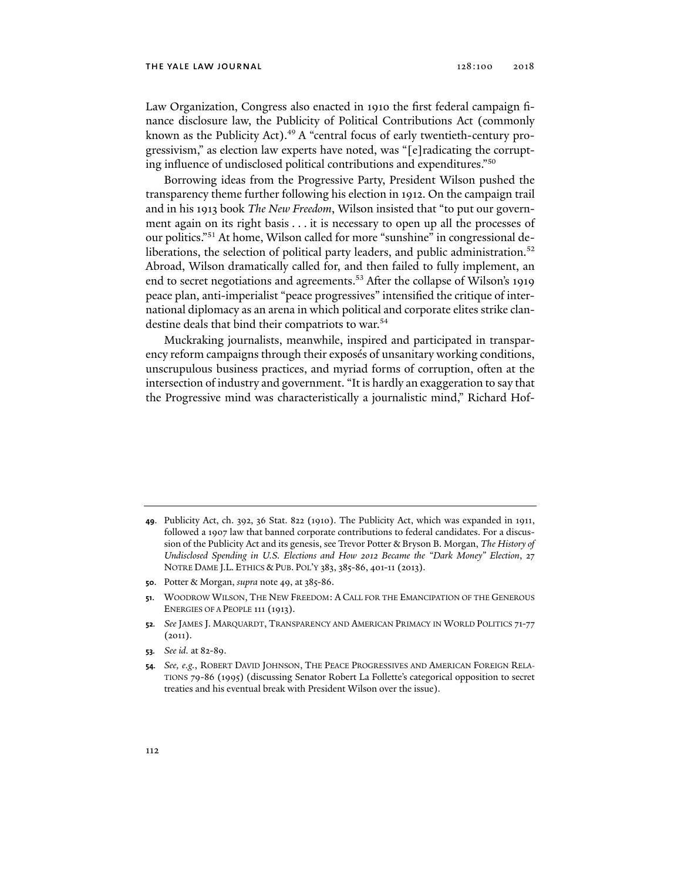Law Organization, Congress also enacted in 1910 the first federal campaign finance disclosure law, the Publicity of Political Contributions Act (commonly known as the Publicity Act). $49$  A "central focus of early twentieth-century progressivism," as election law experts have noted, was "[e]radicating the corrupting influence of undisclosed political contributions and expenditures."50

Borrowing ideas from the Progressive Party, President Wilson pushed the transparency theme further following his election in 1912. On the campaign trail and in his 1913 book *The New Freedom*, Wilson insisted that "to put our government again on its right basis . . . it is necessary to open up all the processes of our politics."51 At home, Wilson called for more "sunshine" in congressional deliberations, the selection of political party leaders, and public administration.<sup>52</sup> Abroad, Wilson dramatically called for, and then failed to fully implement, an end to secret negotiations and agreements.<sup>53</sup> After the collapse of Wilson's 1919 peace plan, anti-imperialist "peace progressives" intensified the critique of international diplomacy as an arena in which political and corporate elites strike clandestine deals that bind their compatriots to war.<sup>54</sup>

Muckraking journalists, meanwhile, inspired and participated in transparency reform campaigns through their exposés of unsanitary working conditions, unscrupulous business practices, and myriad forms of corruption, often at the intersection of industry and government. "It is hardly an exaggeration to say that the Progressive mind was characteristically a journalistic mind," Richard Hof-

- **50**. Potter & Morgan, *supra* note 49, at 385-86.
- **51**. WOODROW WILSON, THE NEW FREEDOM: A CALL FOR THE EMANCIPATION OF THE GENEROUS ENERGIES OF A PEOPLE 111 (1913).
- **52***. See* JAMES J. MARQUARDT, TRANSPARENCY AND AMERICAN PRIMACY IN WORLD POLITICS 71-77 (2011).
- **53***. See id.* at 82-89.
- **54***. See, e.g.*, ROBERT DAVID JOHNSON, THE PEACE PROGRESSIVES AND AMERICAN FOREIGN RELA-TIONS 79-86 (1995) (discussing Senator Robert La Follette's categorical opposition to secret treaties and his eventual break with President Wilson over the issue).

**<sup>49</sup>**. Publicity Act, ch. 392, 36 Stat. 822 (1910). The Publicity Act, which was expanded in 1911, followed a 1907 law that banned corporate contributions to federal candidates. For a discussion of the Publicity Act and its genesis, see Trevor Potter & Bryson B. Morgan, *The History of Undisclosed Spending in U.S. Elections and How 2012 Became the "Dark Money" Election*, 27 NOTRE DAME J.L. ETHICS & PUB. POL'Y 383, 385-86, 401-11 (2013).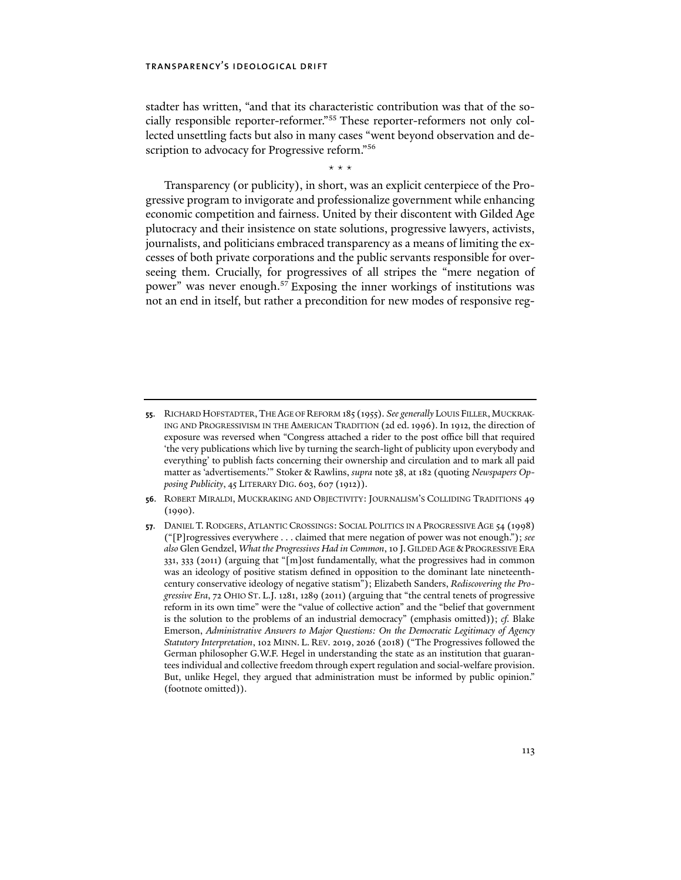stadter has written, "and that its characteristic contribution was that of the socially responsible reporter-reformer."55 These reporter-reformers not only collected unsettling facts but also in many cases "went beyond observation and description to advocacy for Progressive reform."<sup>56</sup>

\* \* \*

Transparency (or publicity), in short, was an explicit centerpiece of the Progressive program to invigorate and professionalize government while enhancing economic competition and fairness. United by their discontent with Gilded Age plutocracy and their insistence on state solutions, progressive lawyers, activists, journalists, and politicians embraced transparency as a means of limiting the excesses of both private corporations and the public servants responsible for overseeing them. Crucially, for progressives of all stripes the "mere negation of power" was never enough.<sup>57</sup> Exposing the inner workings of institutions was not an end in itself, but rather a precondition for new modes of responsive reg-

- **56**. ROBERT MIRALDI, MUCKRAKING AND OBJECTIVITY: JOURNALISM'S COLLIDING TRADITIONS 49 (1990).
- **57**. DANIEL T. RODGERS, ATLANTIC CROSSINGS: SOCIAL POLITICS IN A PROGRESSIVE AGE 54 (1998) ("[P]rogressives everywhere . . . claimed that mere negation of power was not enough."); *see also* Glen Gendzel, *What the Progressives Had in Common*, 10 J. GILDED AGE &PROGRESSIVE ERA 331, 333 (2011) (arguing that "[m]ost fundamentally, what the progressives had in common was an ideology of positive statism defined in opposition to the dominant late nineteenthcentury conservative ideology of negative statism"); Elizabeth Sanders, *Rediscovering the Progressive Era*, 72 OHIO ST. L.J. 1281, 1289 (2011) (arguing that "the central tenets of progressive reform in its own time" were the "value of collective action" and the "belief that government is the solution to the problems of an industrial democracy" (emphasis omitted)); *cf.* Blake Emerson, *Administrative Answers to Major Questions: On the Democratic Legitimacy of Agency Statutory Interpretation*, 102 MINN. L. REV. 2019, 2026 (2018) ("The Progressives followed the German philosopher G.W.F. Hegel in understanding the state as an institution that guarantees individual and collective freedom through expert regulation and social-welfare provision. But, unlike Hegel, they argued that administration must be informed by public opinion." (footnote omitted)).

**<sup>55</sup>**. RICHARD HOFSTADTER,THE AGE OF REFORM 185 (1955). *See generally* LOUIS FILLER,MUCKRAK-ING AND PROGRESSIVISM IN THE AMERICAN TRADITION (2d ed. 1996). In 1912, the direction of exposure was reversed when "Congress attached a rider to the post office bill that required 'the very publications which live by turning the search-light of publicity upon everybody and everything' to publish facts concerning their ownership and circulation and to mark all paid matter as 'advertisements.'" Stoker & Rawlins, *supra* note 38, at 182 (quoting *Newspapers Opposing Publicity*, 45 LITERARY DIG. 603, 607 (1912)).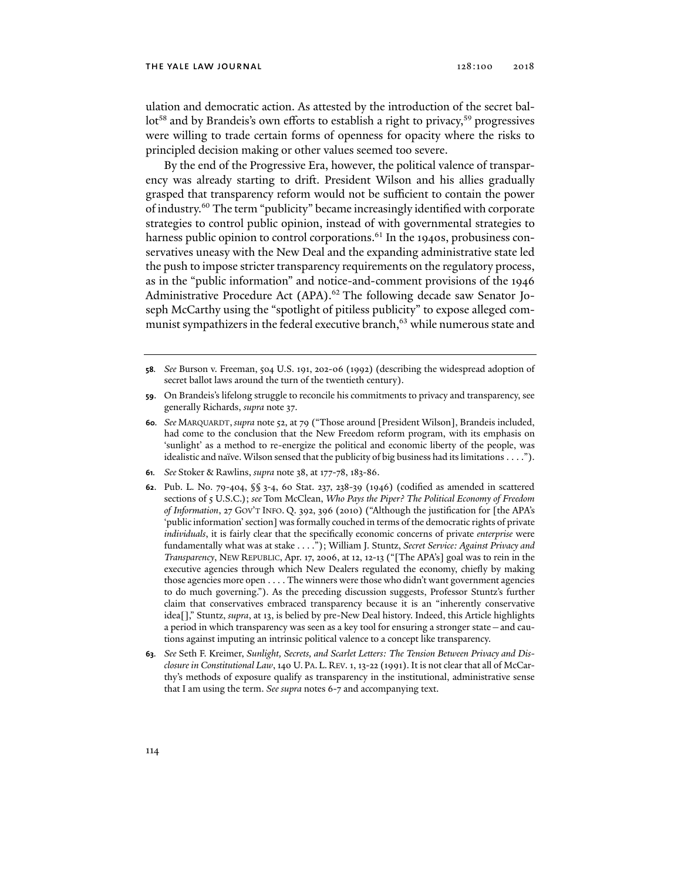ulation and democratic action. As attested by the introduction of the secret ballot<sup>58</sup> and by Brandeis's own efforts to establish a right to privacy,<sup>59</sup> progressives were willing to trade certain forms of openness for opacity where the risks to principled decision making or other values seemed too severe.

By the end of the Progressive Era, however, the political valence of transparency was already starting to drift. President Wilson and his allies gradually grasped that transparency reform would not be sufficient to contain the power of industry.60 The term "publicity" became increasingly identified with corporate strategies to control public opinion, instead of with governmental strategies to harness public opinion to control corporations.<sup>61</sup> In the 1940s, probusiness conservatives uneasy with the New Deal and the expanding administrative state led the push to impose stricter transparency requirements on the regulatory process, as in the "public information" and notice-and-comment provisions of the 1946 Administrative Procedure Act (APA).<sup>62</sup> The following decade saw Senator Joseph McCarthy using the "spotlight of pitiless publicity" to expose alleged communist sympathizers in the federal executive branch,<sup>63</sup> while numerous state and

- **61***. See* Stoker & Rawlins, *supra* note 38, at 177-78, 183-86.
- **62**. Pub. L. No. 79-404, §§ 3-4, 60 Stat. 237, 238-39 (1946) (codified as amended in scattered sections of 5 U.S.C.); *see* Tom McClean, *Who Pays the Piper? The Political Economy of Freedom of Information*, 27 GOV'T INFO. Q. 392, 396 (2010) ("Although the justification for [the APA's 'public information' section] was formally couched in terms of the democratic rights of private *individuals*, it is fairly clear that the specifically economic concerns of private *enterprise* were fundamentally what was at stake . . . ."); William J. Stuntz, *Secret Service: Against Privacy and Transparency*, NEW REPUBLIC, Apr. 17, 2006, at 12, 12-13 ("[The APA's] goal was to rein in the executive agencies through which New Dealers regulated the economy, chiefly by making those agencies more open . . . . The winners were those who didn't want government agencies to do much governing."). As the preceding discussion suggests, Professor Stuntz's further claim that conservatives embraced transparency because it is an "inherently conservative idea[]," Stuntz, *supra*, at 13, is belied by pre-New Deal history. Indeed, this Article highlights a period in which transparency was seen as a key tool for ensuring a stronger state—and cautions against imputing an intrinsic political valence to a concept like transparency.
- **63***. See* Seth F. Kreimer, *Sunlight, Secrets, and Scarlet Letters: The Tension Between Privacy and Disclosure in Constitutional Law*, 140 U. PA. L. REV. 1, 13-22 (1991). It is not clear that all of McCarthy's methods of exposure qualify as transparency in the institutional, administrative sense that I am using the term. *See supra* notes 6-7 and accompanying text.

**<sup>58</sup>***. See* Burson v. Freeman, 504 U.S. 191, 202-06 (1992) (describing the widespread adoption of secret ballot laws around the turn of the twentieth century).

**<sup>59</sup>**. On Brandeis's lifelong struggle to reconcile his commitments to privacy and transparency, see generally Richards, *supra* note 37.

**<sup>60</sup>***. See* MARQUARDT, *supra* note 52, at 79 ("Those around [President Wilson], Brandeis included, had come to the conclusion that the New Freedom reform program, with its emphasis on 'sunlight' as a method to re-energize the political and economic liberty of the people, was idealistic and naïve. Wilson sensed that the publicity of big business had its limitations . . . .").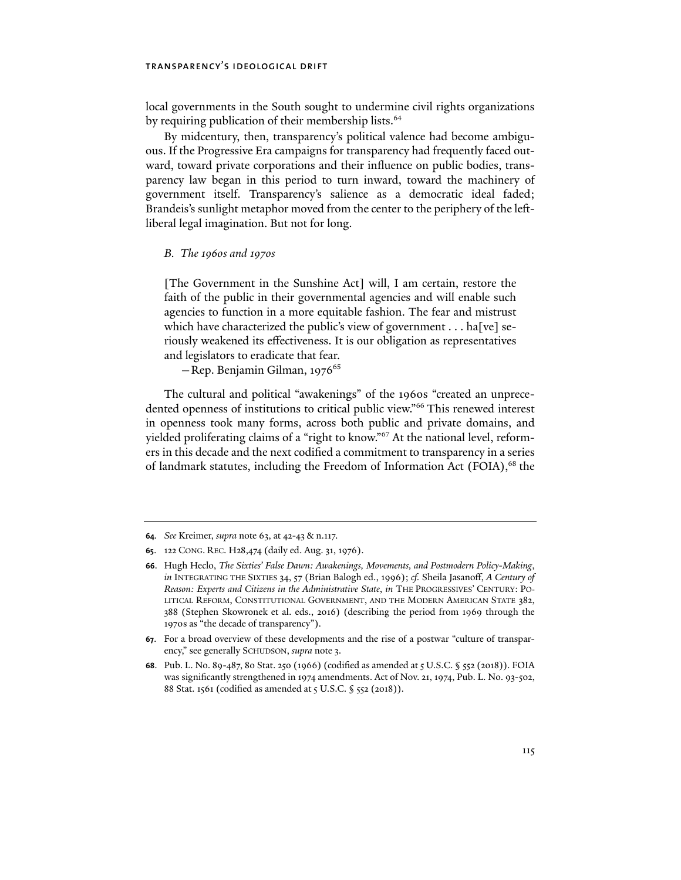local governments in the South sought to undermine civil rights organizations by requiring publication of their membership lists.<sup>64</sup>

By midcentury, then, transparency's political valence had become ambiguous. If the Progressive Era campaigns for transparency had frequently faced outward, toward private corporations and their influence on public bodies, transparency law began in this period to turn inward, toward the machinery of government itself. Transparency's salience as a democratic ideal faded; Brandeis's sunlight metaphor moved from the center to the periphery of the leftliberal legal imagination. But not for long.

### *B. The 1960s and 1970s*

[The Government in the Sunshine Act] will, I am certain, restore the faith of the public in their governmental agencies and will enable such agencies to function in a more equitable fashion. The fear and mistrust which have characterized the public's view of government  $\dots$  halvel seriously weakened its effectiveness. It is our obligation as representatives and legislators to eradicate that fear.

 $-$ Rep. Benjamin Gilman, 1976<sup>65</sup>

The cultural and political "awakenings" of the 1960s "created an unprecedented openness of institutions to critical public view."66 This renewed interest in openness took many forms, across both public and private domains, and yielded proliferating claims of a "right to know."67 At the national level, reformers in this decade and the next codified a commitment to transparency in a series of landmark statutes, including the Freedom of Information Act (FOIA), $^{68}$  the

**<sup>64</sup>***. See* Kreimer, *supra* note 63, at 42-43 & n.117.

**<sup>65</sup>**. 122 CONG. REC. H28,474 (daily ed. Aug. 31, 1976).

**<sup>66</sup>**. Hugh Heclo, *The Sixties' False Dawn: Awakenings, Movements, and Postmodern Policy-Making*, *in* INTEGRATING THE SIXTIES 34, 57 (Brian Balogh ed., 1996); *cf.* Sheila Jasanoff, *A Century of Reason: Experts and Citizens in the Administrative State*, *in* THE PROGRESSIVES' CENTURY: PO-LITICAL REFORM, CONSTITUTIONAL GOVERNMENT, AND THE MODERN AMERICAN STATE 382, 388 (Stephen Skowronek et al. eds., 2016) (describing the period from 1969 through the 1970s as "the decade of transparency").

**<sup>67</sup>**. For a broad overview of these developments and the rise of a postwar "culture of transparency," see generally SCHUDSON, *supra* note 3.

**<sup>68</sup>**. Pub. L. No. 89-487, 80 Stat. 250 (1966) (codified as amended at 5 U.S.C. § 552 (2018)). FOIA was significantly strengthened in 1974 amendments. Act of Nov. 21, 1974, Pub. L. No. 93-502, 88 Stat. 1561 (codified as amended at 5 U.S.C. § 552 (2018)).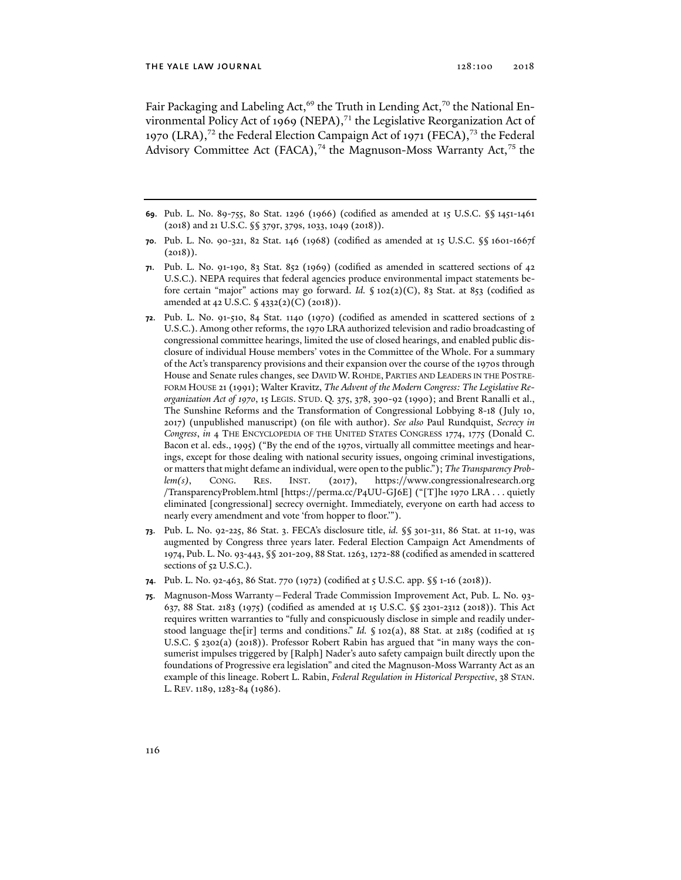Fair Packaging and Labeling Act,<sup>69</sup> the Truth in Lending Act,<sup>70</sup> the National Environmental Policy Act of 1969 (NEPA),<sup>71</sup> the Legislative Reorganization Act of 1970 (LRA),<sup>72</sup> the Federal Election Campaign Act of 1971 (FECA),<sup>73</sup> the Federal Advisory Committee Act (FACA),<sup>74</sup> the Magnuson-Moss Warranty Act,<sup>75</sup> the

- **69**. Pub. L. No. 89-755, 80 Stat. 1296 (1966) (codified as amended at 15 U.S.C. §§ 1451-1461 (2018) and 21 U.S.C. §§ 379r, 379s, 1033, 1049 (2018)).
- **70**. Pub. L. No. 90-321, 82 Stat. 146 (1968) (codified as amended at 15 U.S.C. §§ 1601-1667f  $(2018)$ .
- **71**. Pub. L. No. 91-190, 83 Stat. 852 (1969) (codified as amended in scattered sections of 42 U.S.C.). NEPA requires that federal agencies produce environmental impact statements before certain "major" actions may go forward. *Id.* § 102(2)(C), 83 Stat. at 853 (codified as amended at 42 U.S.C. § 4332(2)(C) (2018)).
- **72**. Pub. L. No. 91-510, 84 Stat. 1140 (1970) (codified as amended in scattered sections of 2 U.S.C.). Among other reforms, the 1970 LRA authorized television and radio broadcasting of congressional committee hearings, limited the use of closed hearings, and enabled public disclosure of individual House members' votes in the Committee of the Whole. For a summary of the Act's transparency provisions and their expansion over the course of the 1970s through House and Senate rules changes, see DAVID W. ROHDE, PARTIES AND LEADERS IN THE POSTRE-FORM HOUSE 21 (1991); Walter Kravitz, *The Advent of the Modern Congress: The Legislative Reorganization Act of 1970*, 15 LEGIS. STUD. Q. 375, 378, 390-92 (1990); and Brent Ranalli et al., The Sunshine Reforms and the Transformation of Congressional Lobbying 8-18 (July 10, 2017) (unpublished manuscript) (on file with author). *See also* Paul Rundquist, *Secrecy in Congress*, *in* 4 THE ENCYCLOPEDIA OF THE UNITED STATES CONGRESS 1774, 1775 (Donald C. Bacon et al. eds., 1995) ("By the end of the 1970s, virtually all committee meetings and hearings, except for those dealing with national security issues, ongoing criminal investigations, or matters that might defame an individual, were open to the public."); *The Transparency Problem(s)*, CONG. RES. INST. (2017), https://www.congressionalresearch.org /TransparencyProblem.html [https://perma.cc/P4UU-GJ6E] ("[T]he 1970 LRA . . . quietly eliminated [congressional] secrecy overnight. Immediately, everyone on earth had access to nearly every amendment and vote 'from hopper to floor.'").
- **73**. Pub. L. No. 92-225, 86 Stat. 3. FECA's disclosure title, *id.* §§ 301-311, 86 Stat. at 11-19, was augmented by Congress three years later. Federal Election Campaign Act Amendments of 1974, Pub. L. No. 93-443, §§ 201-209, 88 Stat. 1263, 1272-88 (codified as amended in scattered sections of 52 U.S.C.).
- **74**. Pub. L. No. 92-463, 86 Stat. 770 (1972) (codified at 5 U.S.C. app. §§ 1-16 (2018)).
- **75**. Magnuson-Moss Warranty—Federal Trade Commission Improvement Act, Pub. L. No. 93- 637, 88 Stat. 2183 (1975) (codified as amended at 15 U.S.C. §§ 2301-2312 (2018)). This Act requires written warranties to "fully and conspicuously disclose in simple and readily understood language the[ir] terms and conditions." *Id.* § 102(a), 88 Stat. at 2185 (codified at 15 U.S.C. § 2302(a) (2018)). Professor Robert Rabin has argued that "in many ways the consumerist impulses triggered by [Ralph] Nader's auto safety campaign built directly upon the foundations of Progressive era legislation" and cited the Magnuson-Moss Warranty Act as an example of this lineage. Robert L. Rabin, *Federal Regulation in Historical Perspective*, 38 STAN. L. REV. 1189, 1283-84 (1986).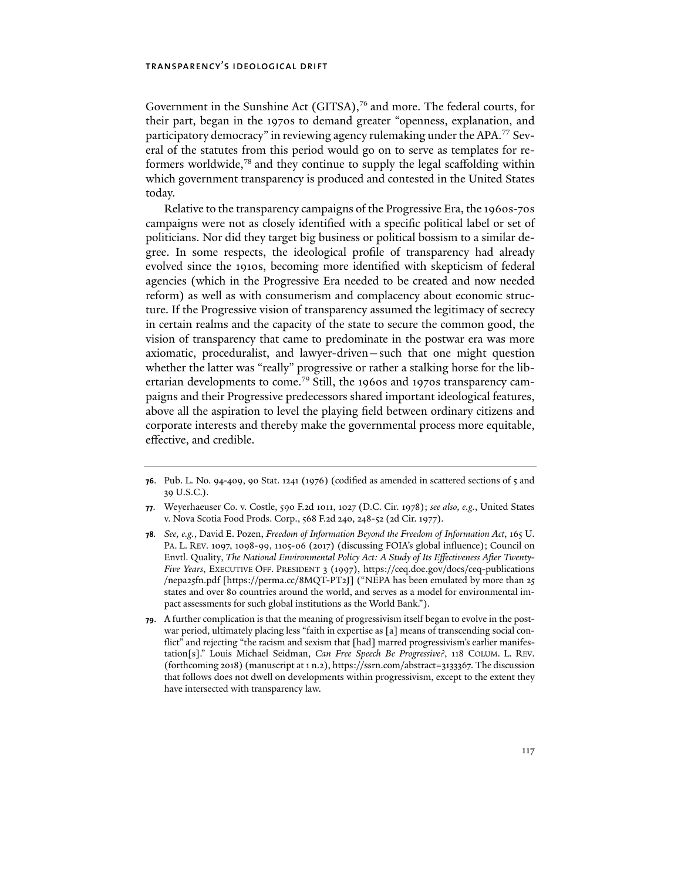Government in the Sunshine Act (GITSA),<sup>76</sup> and more. The federal courts, for their part, began in the 1970s to demand greater "openness, explanation, and participatory democracy" in reviewing agency rulemaking under the APA.77 Several of the statutes from this period would go on to serve as templates for reformers worldwide,78 and they continue to supply the legal scaffolding within which government transparency is produced and contested in the United States today.

Relative to the transparency campaigns of the Progressive Era, the 1960s-70s campaigns were not as closely identified with a specific political label or set of politicians. Nor did they target big business or political bossism to a similar degree. In some respects, the ideological profile of transparency had already evolved since the 1910s, becoming more identified with skepticism of federal agencies (which in the Progressive Era needed to be created and now needed reform) as well as with consumerism and complacency about economic structure. If the Progressive vision of transparency assumed the legitimacy of secrecy in certain realms and the capacity of the state to secure the common good, the vision of transparency that came to predominate in the postwar era was more axiomatic, proceduralist, and lawyer-driven—such that one might question whether the latter was "really" progressive or rather a stalking horse for the libertarian developments to come.<sup>79</sup> Still, the 1960s and 1970s transparency campaigns and their Progressive predecessors shared important ideological features, above all the aspiration to level the playing field between ordinary citizens and corporate interests and thereby make the governmental process more equitable, effective, and credible.

**<sup>76</sup>**. Pub. L. No. 94-409, 90 Stat. 1241 (1976) (codified as amended in scattered sections of 5 and 39 U.S.C.).

**<sup>77</sup>**. Weyerhaeuser Co. v. Costle, 590 F.2d 1011, 1027 (D.C. Cir. 1978); *see also, e.g.*, United States v. Nova Scotia Food Prods. Corp., 568 F.2d 240, 248-52 (2d Cir. 1977).

**<sup>78</sup>***. See, e.g.*, David E. Pozen, *Freedom of Information Beyond the Freedom of Information Act*, 165 U. PA. L. REV. 1097, 1098-99, 1105-06 (2017) (discussing FOIA's global influence); Council on Envtl. Quality, *The National Environmental Policy Act: A Study of Its Effectiveness After Twenty-Five Years*, EXECUTIVE OFF. PRESIDENT 3 (1997), https://ceq.doe.gov/docs/ceq-publications /nepa25fn.pdf [https://perma.cc/8MQT-PT2J] ("NEPA has been emulated by more than 25 states and over 80 countries around the world, and serves as a model for environmental impact assessments for such global institutions as the World Bank.").

**<sup>79</sup>**. A further complication is that the meaning of progressivism itself began to evolve in the postwar period, ultimately placing less "faith in expertise as [a] means of transcending social conflict" and rejecting "the racism and sexism that [had] marred progressivism's earlier manifestation[s]." Louis Michael Seidman, *Can Free Speech Be Progressive?*, 118 COLUM. L. REV. (forthcoming 2018) (manuscript at 1 n.2), https://ssrn.com/abstract=3133367. The discussion that follows does not dwell on developments within progressivism, except to the extent they have intersected with transparency law.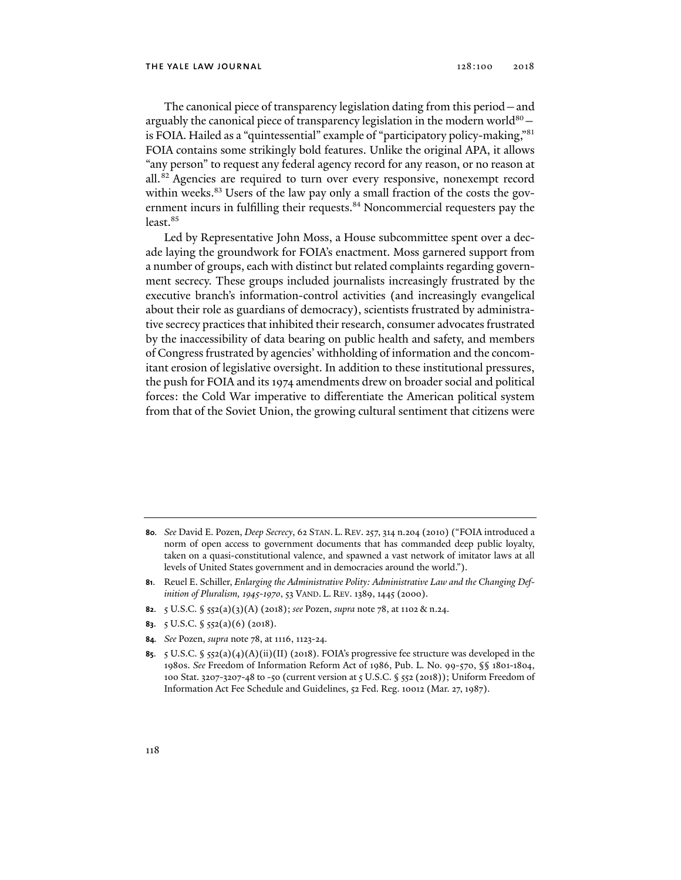The canonical piece of transparency legislation dating from this period—and arguably the canonical piece of transparency legislation in the modern world $80$ is FOIA. Hailed as a "quintessential" example of "participatory policy-making,"81 FOIA contains some strikingly bold features. Unlike the original APA, it allows "any person" to request any federal agency record for any reason, or no reason at all.82 Agencies are required to turn over every responsive, nonexempt record within weeks. $83$  Users of the law pay only a small fraction of the costs the government incurs in fulfilling their requests.<sup>84</sup> Noncommercial requesters pay the least.<sup>85</sup>

Led by Representative John Moss, a House subcommittee spent over a decade laying the groundwork for FOIA's enactment. Moss garnered support from a number of groups, each with distinct but related complaints regarding government secrecy. These groups included journalists increasingly frustrated by the executive branch's information-control activities (and increasingly evangelical about their role as guardians of democracy), scientists frustrated by administrative secrecy practices that inhibited their research, consumer advocates frustrated by the inaccessibility of data bearing on public health and safety, and members of Congress frustrated by agencies' withholding of information and the concomitant erosion of legislative oversight. In addition to these institutional pressures, the push for FOIA and its 1974 amendments drew on broader social and political forces: the Cold War imperative to differentiate the American political system from that of the Soviet Union, the growing cultural sentiment that citizens were

- **82**. 5 U.S.C. § 552(a)(3)(A) (2018); *see* Pozen, *supra* note 78, at 1102 & n.24.
- **83**. 5 U.S.C. § 552(a)(6) (2018).
- **84***. See* Pozen, *supra* note 78, at 1116, 1123-24.
- **85**. 5 U.S.C. § 552(a)(4)(A)(ii)(II) (2018). FOIA's progressive fee structure was developed in the 1980s. *See* Freedom of Information Reform Act of 1986, Pub. L. No. 99-570, §§ 1801-1804, 100 Stat. 3207-3207-48 to -50 (current version at 5 U.S.C. § 552 (2018)); Uniform Freedom of Information Act Fee Schedule and Guidelines, 52 Fed. Reg. 10012 (Mar. 27, 1987).

**<sup>80</sup>***. See* David E. Pozen, *Deep Secrecy*, 62 STAN. L. REV. 257, 314 n.204 (2010) ("FOIA introduced a norm of open access to government documents that has commanded deep public loyalty, taken on a quasi-constitutional valence, and spawned a vast network of imitator laws at all levels of United States government and in democracies around the world.").

**<sup>81</sup>**. Reuel E. Schiller, *Enlarging the Administrative Polity: Administrative Law and the Changing Definition of Pluralism, 1945-1970*, 53 VAND. L. REV. 1389, 1445 (2000).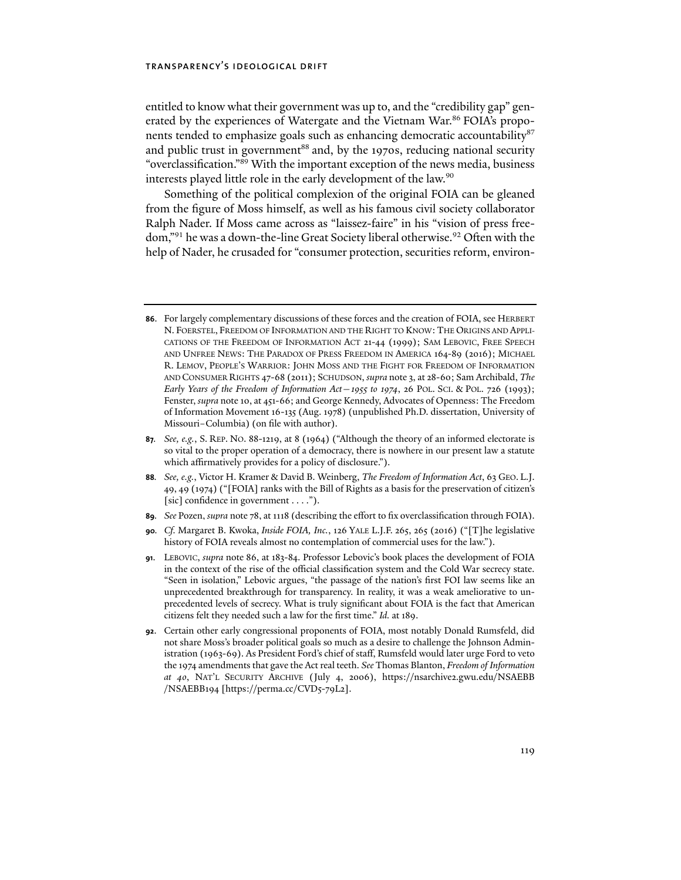entitled to know what their government was up to, and the "credibility gap" generated by the experiences of Watergate and the Vietnam War.<sup>86</sup> FOIA's proponents tended to emphasize goals such as enhancing democratic accountability<sup>87</sup> and public trust in government $^{88}$  and, by the 1970s, reducing national security "overclassification."89 With the important exception of the news media, business interests played little role in the early development of the law.<sup>90</sup>

Something of the political complexion of the original FOIA can be gleaned from the figure of Moss himself, as well as his famous civil society collaborator Ralph Nader. If Moss came across as "laissez-faire" in his "vision of press freedom,"<sup>91</sup> he was a down-the-line Great Society liberal otherwise.<sup>92</sup> Often with the help of Nader, he crusaded for "consumer protection, securities reform, environ-

- **89***. See* Pozen, *supra* note 78, at 1118 (describing the effort to fix overclassification through FOIA).
- **90***. Cf.* Margaret B. Kwoka, *Inside FOIA, Inc.*, 126 YALE L.J.F. 265, 265 (2016) ("[T]he legislative history of FOIA reveals almost no contemplation of commercial uses for the law.").
- **91**. LEBOVIC, *supra* note 86, at 183-84. Professor Lebovic's book places the development of FOIA in the context of the rise of the official classification system and the Cold War secrecy state. "Seen in isolation," Lebovic argues, "the passage of the nation's first FOI law seems like an unprecedented breakthrough for transparency. In reality, it was a weak ameliorative to unprecedented levels of secrecy. What is truly significant about FOIA is the fact that American citizens felt they needed such a law for the first time." *Id.* at 189.
- **92**. Certain other early congressional proponents of FOIA, most notably Donald Rumsfeld, did not share Moss's broader political goals so much as a desire to challenge the Johnson Administration (1963-69). As President Ford's chief of staff, Rumsfeld would later urge Ford to veto the 1974 amendments that gave the Act real teeth. *See* Thomas Blanton, *Freedom of Information at 40*, NAT'L SECURITY ARCHIVE (July 4, 2006), https://nsarchive2.gwu.edu/NSAEBB /NSAEBB194 [https://perma.cc/CVD5-79L2].

**<sup>86</sup>**. For largely complementary discussions of these forces and the creation of FOIA, see HERBERT N. FOERSTEL, FREEDOM OF INFORMATION AND THE RIGHT TO KNOW: THE ORIGINS AND APPLI-CATIONS OF THE FREEDOM OF INFORMATION ACT 21-44 (1999); SAM LEBOVIC, FREE SPEECH AND UNFREE NEWS: THE PARADOX OF PRESS FREEDOM IN AMERICA 164-89 (2016); MICHAEL R. LEMOV, PEOPLE'S WARRIOR: JOHN MOSS AND THE FIGHT FOR FREEDOM OF INFORMATION AND CONSUMER RIGHTS 47-68 (2011); SCHUDSON, *supra* note 3, at 28-60; Sam Archibald, *The Early Years of the Freedom of Information Act* – 1955 to 1974, 26 POL. SCI. & POL. 726 (1993); Fenster, *supra* note 10, at 451-66; and George Kennedy, Advocates of Openness: The Freedom of Information Movement 16-135 (Aug. 1978) (unpublished Ph.D. dissertation, University of Missouri–Columbia) (on file with author).

**<sup>87</sup>***. See, e.g.*, S. REP. NO. 88-1219, at 8 (1964) ("Although the theory of an informed electorate is so vital to the proper operation of a democracy, there is nowhere in our present law a statute which affirmatively provides for a policy of disclosure.").

**<sup>88</sup>***. See, e.g.*, Victor H. Kramer & David B. Weinberg, *The Freedom of Information Act*, 63 GEO. L.J. 49, 49 (1974) ("[FOIA] ranks with the Bill of Rights as a basis for the preservation of citizen's [sic] confidence in government . . . .").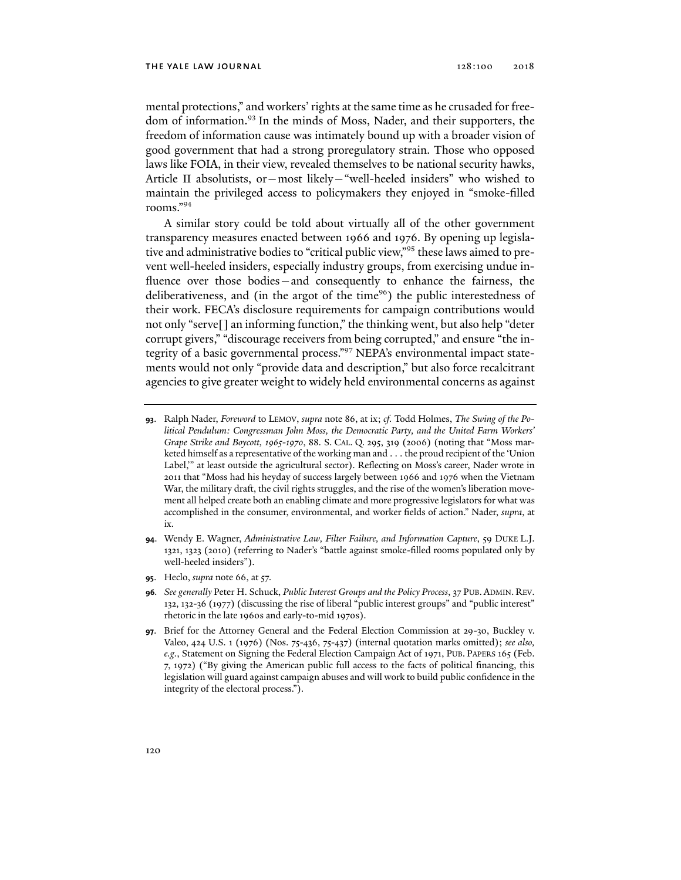mental protections," and workers' rights at the same time as he crusaded for freedom of information.<sup>93</sup> In the minds of Moss, Nader, and their supporters, the freedom of information cause was intimately bound up with a broader vision of good government that had a strong proregulatory strain. Those who opposed laws like FOIA, in their view, revealed themselves to be national security hawks, Article II absolutists, or—most likely—"well-heeled insiders" who wished to maintain the privileged access to policymakers they enjoyed in "smoke-filled rooms."94

A similar story could be told about virtually all of the other government transparency measures enacted between 1966 and 1976. By opening up legislative and administrative bodies to "critical public view,"95 these laws aimed to prevent well-heeled insiders, especially industry groups, from exercising undue influence over those bodies—and consequently to enhance the fairness, the deliberativeness, and (in the argot of the time $96$ ) the public interestedness of their work. FECA's disclosure requirements for campaign contributions would not only "serve[] an informing function," the thinking went, but also help "deter corrupt givers," "discourage receivers from being corrupted," and ensure "the integrity of a basic governmental process."97 NEPA's environmental impact statements would not only "provide data and description," but also force recalcitrant agencies to give greater weight to widely held environmental concerns as against

- **94**. Wendy E. Wagner, *Administrative Law, Filter Failure, and Information Capture*, 59 DUKE L.J. 1321, 1323 (2010) (referring to Nader's "battle against smoke-filled rooms populated only by well-heeled insiders").
- **95**. Heclo, *supra* note 66, at 57.

**<sup>93</sup>**. Ralph Nader, *Foreword* to LEMOV, *supra* note 86, at ix; *cf.* Todd Holmes, *The Swing of the Political Pendulum: Congressman John Moss, the Democratic Party, and the United Farm Workers' Grape Strike and Boycott, 1965-1970*, 88. S. CAL. Q. 295, 319 (2006) (noting that "Moss marketed himself as a representative of the working man and . . . the proud recipient of the 'Union Label,'" at least outside the agricultural sector). Reflecting on Moss's career, Nader wrote in 2011 that "Moss had his heyday of success largely between 1966 and 1976 when the Vietnam War, the military draft, the civil rights struggles, and the rise of the women's liberation movement all helped create both an enabling climate and more progressive legislators for what was accomplished in the consumer, environmental, and worker fields of action." Nader, *supra*, at ix.

**<sup>96</sup>***. See generally* Peter H. Schuck, *Public Interest Groups and the Policy Process*, 37 PUB. ADMIN. REV. 132, 132-36 (1977) (discussing the rise of liberal "public interest groups" and "public interest" rhetoric in the late 1960s and early-to-mid 1970s).

**<sup>97</sup>**. Brief for the Attorney General and the Federal Election Commission at 29-30, Buckley v. Valeo, 424 U.S. 1 (1976) (Nos. 75-436, 75-437) (internal quotation marks omitted); *see also, e.g.*, Statement on Signing the Federal Election Campaign Act of 1971, PUB. PAPERS 165 (Feb. 7, 1972) ("By giving the American public full access to the facts of political financing, this legislation will guard against campaign abuses and will work to build public confidence in the integrity of the electoral process.").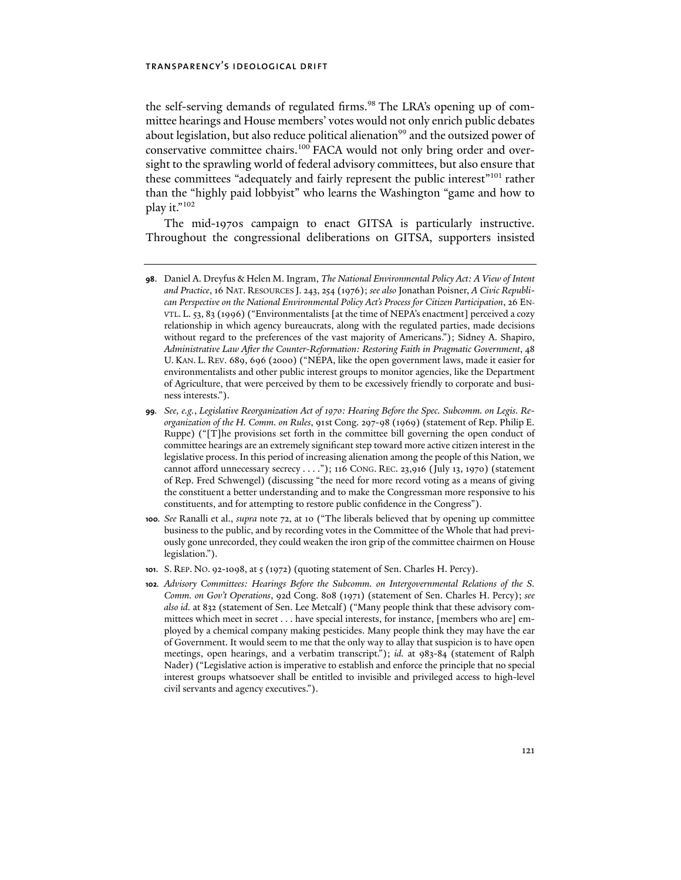the self-serving demands of regulated firms.<sup>98</sup> The LRA's opening up of committee hearings and House members' votes would not only enrich public debates about legislation, but also reduce political alienation<sup>99</sup> and the outsized power of conservative committee chairs.<sup>100</sup> FACA would not only bring order and oversight to the sprawling world of federal advisory committees, but also ensure that these committees "adequately and fairly represent the public interest"101 rather than the "highly paid lobbyist" who learns the Washington "game and how to play it."102

The mid-1970s campaign to enact GITSA is particularly instructive. Throughout the congressional deliberations on GITSA, supporters insisted

- **98**. Daniel A. Dreyfus & Helen M. Ingram, *The National Environmental Policy Act: A View of Intent and Practice*, 16 NAT. RESOURCES J. 243, 254 (1976); *see also* Jonathan Poisner, *A Civic Republican Perspective on the National Environmental Policy Act's Process for Citizen Participation*, 26 EN-VTL. L. 53, 83 (1996) ("Environmentalists [at the time of NEPA's enactment] perceived a cozy relationship in which agency bureaucrats, along with the regulated parties, made decisions without regard to the preferences of the vast majority of Americans."); Sidney A. Shapiro, *Administrative Law After the Counter-Reformation: Restoring Faith in Pragmatic Government*, 48 U. KAN. L. REV. 689, 696 (2000) ("NEPA, like the open government laws, made it easier for environmentalists and other public interest groups to monitor agencies, like the Department of Agriculture, that were perceived by them to be excessively friendly to corporate and business interests.").
- **99***. See, e.g.*, *Legislative Reorganization Act of 1970: Hearing Before the Spec. Subcomm. on Legis. Reorganization of the H. Comm. on Rules*, 91st Cong. 297-98 (1969) (statement of Rep. Philip E. Ruppe) ("[T]he provisions set forth in the committee bill governing the open conduct of committee hearings are an extremely significant step toward more active citizen interest in the legislative process. In this period of increasing alienation among the people of this Nation, we cannot afford unnecessary secrecy . . . ."); 116 CONG. REC. 23,916 (July 13, 1970) (statement of Rep. Fred Schwengel) (discussing "the need for more record voting as a means of giving the constituent a better understanding and to make the Congressman more responsive to his constituents, and for attempting to restore public confidence in the Congress").
- **100***. See* Ranalli et al., *supra* note 72, at 10 ("The liberals believed that by opening up committee business to the public, and by recording votes in the Committee of the Whole that had previously gone unrecorded, they could weaken the iron grip of the committee chairmen on House legislation.").
- **101**. S. REP. NO. 92-1098, at 5 (1972) (quoting statement of Sen. Charles H. Percy).
- **102***. Advisory Committees: Hearings Before the Subcomm. on Intergovernmental Relations of the S. Comm. on Gov't Operations*, 92d Cong. 808 (1971) (statement of Sen. Charles H. Percy); *see also id.* at 832 (statement of Sen. Lee Metcalf) ("Many people think that these advisory committees which meet in secret . . . have special interests, for instance, [members who are] employed by a chemical company making pesticides. Many people think they may have the ear of Government. It would seem to me that the only way to allay that suspicion is to have open meetings, open hearings, and a verbatim transcript."); *id.* at 983-84 (statement of Ralph Nader) ("Legislative action is imperative to establish and enforce the principle that no special interest groups whatsoever shall be entitled to invisible and privileged access to high-level civil servants and agency executives.").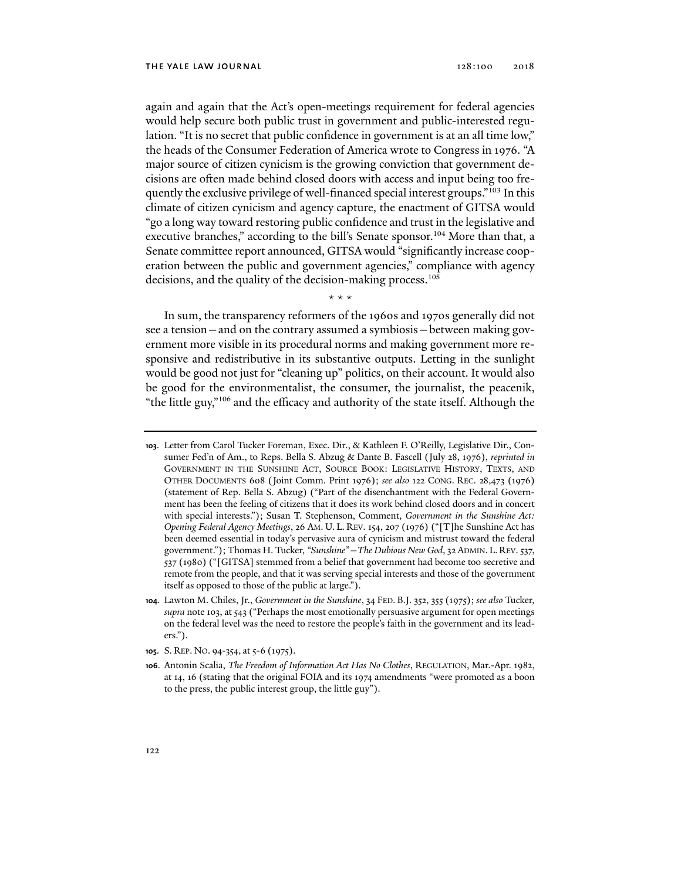again and again that the Act's open-meetings requirement for federal agencies would help secure both public trust in government and public-interested regulation. "It is no secret that public confidence in government is at an all time low," the heads of the Consumer Federation of America wrote to Congress in 1976. "A major source of citizen cynicism is the growing conviction that government decisions are often made behind closed doors with access and input being too frequently the exclusive privilege of well-financed special interest groups."103 In this climate of citizen cynicism and agency capture, the enactment of GITSA would "go a long way toward restoring public confidence and trust in the legislative and executive branches," according to the bill's Senate sponsor.<sup>104</sup> More than that, a Senate committee report announced, GITSA would "significantly increase cooperation between the public and government agencies," compliance with agency decisions, and the quality of the decision-making process.<sup>105</sup>

\* \* \*

In sum, the transparency reformers of the 1960s and 1970s generally did not see a tension—and on the contrary assumed a symbiosis—between making government more visible in its procedural norms and making government more responsive and redistributive in its substantive outputs. Letting in the sunlight would be good not just for "cleaning up" politics, on their account. It would also be good for the environmentalist, the consumer, the journalist, the peacenik, "the little guy,"106 and the efficacy and authority of the state itself. Although the

- **104**. Lawton M. Chiles, Jr., *Government in the Sunshine*, 34 FED. B.J. 352, 355 (1975); *see also* Tucker, *supra* note 103, at 543 ("Perhaps the most emotionally persuasive argument for open meetings on the federal level was the need to restore the people's faith in the government and its leaders.").
- **105**. S. REP. NO. 94-354, at 5-6 (1975).
- **106**. Antonin Scalia, *The Freedom of Information Act Has No Clothes*, REGULATION, Mar.-Apr. 1982, at 14, 16 (stating that the original FOIA and its 1974 amendments "were promoted as a boon to the press, the public interest group, the little guy").

**<sup>103</sup>**. Letter from Carol Tucker Foreman, Exec. Dir., & Kathleen F. O'Reilly, Legislative Dir., Consumer Fed'n of Am., to Reps. Bella S. Abzug & Dante B. Fascell (July 28, 1976), *reprinted in* GOVERNMENT IN THE SUNSHINE ACT, SOURCE BOOK: LEGISLATIVE HISTORY, TEXTS, AND OTHER DOCUMENTS 608 (Joint Comm. Print 1976); *see also* 122 CONG. REC. 28,473 (1976) (statement of Rep. Bella S. Abzug) ("Part of the disenchantment with the Federal Government has been the feeling of citizens that it does its work behind closed doors and in concert with special interests."); Susan T. Stephenson, Comment, *Government in the Sunshine Act: Opening Federal Agency Meetings*, 26 AM. U. L. REV. 154, 207 (1976) ("[T]he Sunshine Act has been deemed essential in today's pervasive aura of cynicism and mistrust toward the federal government."); Thomas H. Tucker, *"Sunshine"—The Dubious New God*, 32 ADMIN. L. REV. 537, 537 (1980) ("[GITSA] stemmed from a belief that government had become too secretive and remote from the people, and that it was serving special interests and those of the government itself as opposed to those of the public at large.").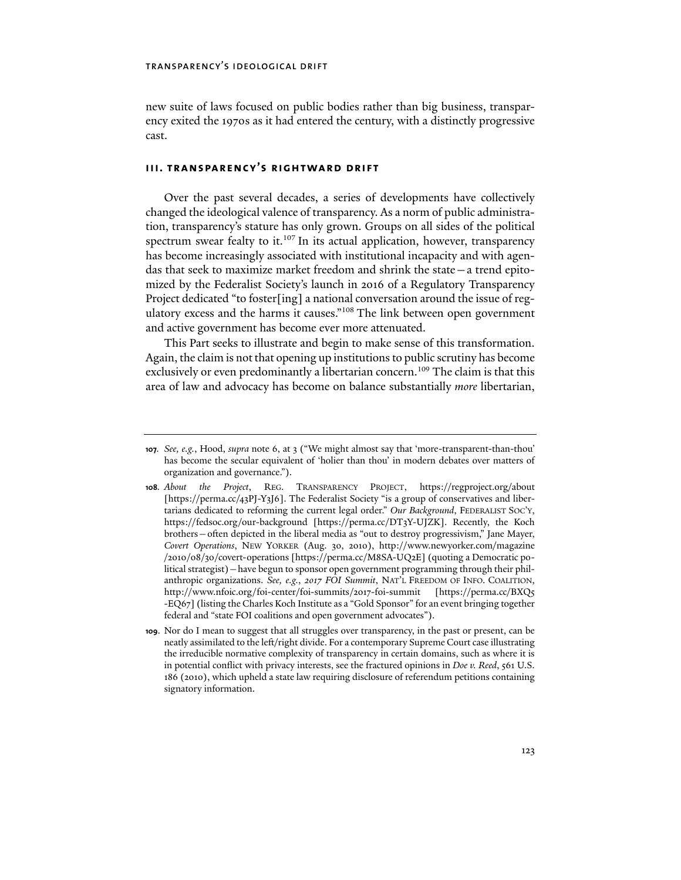new suite of laws focused on public bodies rather than big business, transparency exited the 1970s as it had entered the century, with a distinctly progressive cast.

### **iii. transparency's rightward drift**

Over the past several decades, a series of developments have collectively changed the ideological valence of transparency. As a norm of public administration, transparency's stature has only grown. Groups on all sides of the political spectrum swear fealty to it.<sup>107</sup> In its actual application, however, transparency has become increasingly associated with institutional incapacity and with agendas that seek to maximize market freedom and shrink the state—a trend epitomized by the Federalist Society's launch in 2016 of a Regulatory Transparency Project dedicated "to foster[ing] a national conversation around the issue of regulatory excess and the harms it causes."108 The link between open government and active government has become ever more attenuated.

This Part seeks to illustrate and begin to make sense of this transformation. Again, the claim is not that opening up institutions to public scrutiny has become exclusively or even predominantly a libertarian concern.<sup>109</sup> The claim is that this area of law and advocacy has become on balance substantially *more* libertarian,

**<sup>107</sup>***. See, e.g.*, Hood, *supra* note 6, at 3 ("We might almost say that 'more-transparent-than-thou' has become the secular equivalent of 'holier than thou' in modern debates over matters of organization and governance.").

**<sup>108</sup>***. About the Project*, REG. TRANSPARENCY PROJECT, https://regproject.org/about [https://perma.cc/43PJ-Y3J6]. The Federalist Society "is a group of conservatives and libertarians dedicated to reforming the current legal order." *Our Background*, FEDERALIST SOC'Y, https://fedsoc.org/our-background [https://perma.cc/DT3Y-UJZK]. Recently, the Koch brothers—often depicted in the liberal media as "out to destroy progressivism," Jane Mayer, *Covert Operations*, NEW YORKER (Aug. 30, 2010), http://www.newyorker.com/magazine /2010/08/30/covert-operations [https://perma.cc/M8SA-UQ2E] (quoting a Democratic political strategist)—have begun to sponsor open government programming through their philanthropic organizations. *See, e.g.*, *2017 FOI Summit*, NAT'L FREEDOM OF INFO. COALITION, http://www.nfoic.org/foi-center/foi-summits/2017-foi-summit [https://perma.cc/BXQ5 -EQ67] (listing the Charles Koch Institute as a "Gold Sponsor" for an event bringing together federal and "state FOI coalitions and open government advocates").

**<sup>109</sup>**. Nor do I mean to suggest that all struggles over transparency, in the past or present, can be neatly assimilated to the left/right divide. For a contemporary Supreme Court case illustrating the irreducible normative complexity of transparency in certain domains, such as where it is in potential conflict with privacy interests, see the fractured opinions in *Doe v. Reed*, 561 U.S. 186 (2010), which upheld a state law requiring disclosure of referendum petitions containing signatory information.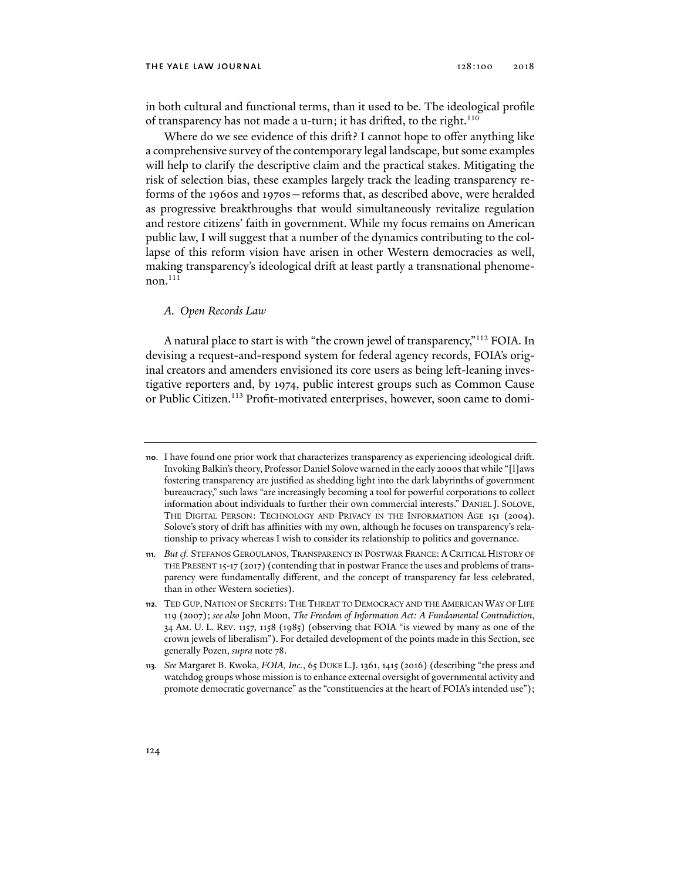#### THE YALE LAW JOURNAL 128:100 2018

in both cultural and functional terms, than it used to be. The ideological profile of transparency has not made a u-turn; it has drifted, to the right.<sup>110</sup>

Where do we see evidence of this drift? I cannot hope to offer anything like a comprehensive survey of the contemporary legal landscape, but some examples will help to clarify the descriptive claim and the practical stakes. Mitigating the risk of selection bias, these examples largely track the leading transparency reforms of the 1960s and 1970s—reforms that, as described above, were heralded as progressive breakthroughs that would simultaneously revitalize regulation and restore citizens' faith in government. While my focus remains on American public law, I will suggest that a number of the dynamics contributing to the collapse of this reform vision have arisen in other Western democracies as well, making transparency's ideological drift at least partly a transnational phenome $non.<sup>111</sup>$ 

### *A. Open Records Law*

A natural place to start is with "the crown jewel of transparency,"112 FOIA. In devising a request-and-respond system for federal agency records, FOIA's original creators and amenders envisioned its core users as being left-leaning investigative reporters and, by 1974, public interest groups such as Common Cause or Public Citizen.<sup>113</sup> Profit-motivated enterprises, however, soon came to domi-

**<sup>110</sup>**. I have found one prior work that characterizes transparency as experiencing ideological drift. Invoking Balkin's theory, Professor Daniel Solove warned in the early 2000s that while "[l]aws fostering transparency are justified as shedding light into the dark labyrinths of government bureaucracy," such laws "are increasingly becoming a tool for powerful corporations to collect information about individuals to further their own commercial interests." DANIEL J. SOLOVE, THE DIGITAL PERSON: TECHNOLOGY AND PRIVACY IN THE INFORMATION AGE 151 (2004). Solove's story of drift has affinities with my own, although he focuses on transparency's relationship to privacy whereas I wish to consider its relationship to politics and governance.

**<sup>111</sup>***. But cf.* STEFANOS GEROULANOS, TRANSPARENCY IN POSTWAR FRANCE: A CRITICAL HISTORY OF THE PRESENT 15-17 (2017) (contending that in postwar France the uses and problems of transparency were fundamentally different, and the concept of transparency far less celebrated, than in other Western societies).

**<sup>112</sup>**. TED GUP, NATION OF SECRETS: THE THREAT TO DEMOCRACY AND THE AMERICAN WAY OF LIFE 119 (2007); *see also* John Moon, *The Freedom of Information Act: A Fundamental Contradiction*, 34 AM. U. L. REV. 1157, 1158 (1985) (observing that FOIA "is viewed by many as one of the crown jewels of liberalism"). For detailed development of the points made in this Section, see generally Pozen, *supra* note 78.

**<sup>113</sup>***. See* Margaret B. Kwoka, *FOIA, Inc.*, 65 DUKE L.J. 1361, 1415 (2016) (describing "the press and watchdog groups whose mission is to enhance external oversight of governmental activity and promote democratic governance" as the "constituencies at the heart of FOIA's intended use");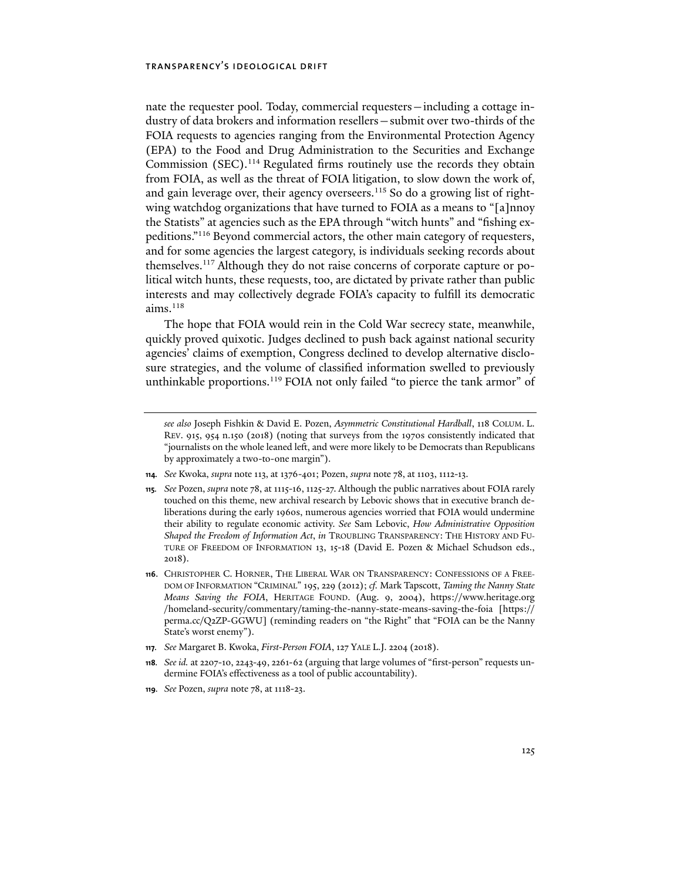nate the requester pool. Today, commercial requesters—including a cottage industry of data brokers and information resellers—submit over two-thirds of the FOIA requests to agencies ranging from the Environmental Protection Agency (EPA) to the Food and Drug Administration to the Securities and Exchange Commission (SEC).<sup>114</sup> Regulated firms routinely use the records they obtain from FOIA, as well as the threat of FOIA litigation, to slow down the work of, and gain leverage over, their agency overseers.<sup>115</sup> So do a growing list of rightwing watchdog organizations that have turned to FOIA as a means to "[a]nnoy the Statists" at agencies such as the EPA through "witch hunts" and "fishing expeditions."116 Beyond commercial actors, the other main category of requesters, and for some agencies the largest category, is individuals seeking records about themselves.117 Although they do not raise concerns of corporate capture or political witch hunts, these requests, too, are dictated by private rather than public interests and may collectively degrade FOIA's capacity to fulfill its democratic  $aims.$ <sup>118</sup>

The hope that FOIA would rein in the Cold War secrecy state, meanwhile, quickly proved quixotic. Judges declined to push back against national security agencies' claims of exemption, Congress declined to develop alternative disclosure strategies, and the volume of classified information swelled to previously unthinkable proportions.<sup>119</sup> FOIA not only failed "to pierce the tank armor" of

- **114***. See* Kwoka, *supra* note 113, at 1376-401; Pozen, *supra* note 78, at 1103, 1112-13.
- **115***. See* Pozen, *supra* note 78, at 1115-16, 1125-27. Although the public narratives about FOIA rarely touched on this theme, new archival research by Lebovic shows that in executive branch deliberations during the early 1960s, numerous agencies worried that FOIA would undermine their ability to regulate economic activity. *See* Sam Lebovic, *How Administrative Opposition Shaped the Freedom of Information Act*, *in* TROUBLING TRANSPARENCY: THE HISTORY AND FU-TURE OF FREEDOM OF INFORMATION 13, 15-18 (David E. Pozen & Michael Schudson eds., 2018).
- **116**. CHRISTOPHER C. HORNER, THE LIBERAL WAR ON TRANSPARENCY: CONFESSIONS OF A FREE-DOM OF INFORMATION "CRIMINAL" 195, 229 (2012); *cf.* Mark Tapscott, *Taming the Nanny State Means Saving the FOIA*, HERITAGE FOUND. (Aug. 9, 2004), https://www.heritage.org /homeland-security/commentary/taming-the-nanny-state-means-saving-the-foia [https:// perma.cc/Q2ZP-GGWU] (reminding readers on "the Right" that "FOIA can be the Nanny State's worst enemy").
- **117***. See* Margaret B. Kwoka, *First-Person FOIA*, 127 YALE L.J. 2204 (2018).
- **118***. See id.* at 2207-10, 2243-49, 2261-62 (arguing that large volumes of "first-person" requests undermine FOIA's effectiveness as a tool of public accountability).
- **119***. See* Pozen, *supra* note 78, at 1118-23.

*see also* Joseph Fishkin & David E. Pozen, *Asymmetric Constitutional Hardball*, 118 COLUM. L. REV. 915, 954 n.150 (2018) (noting that surveys from the 1970s consistently indicated that "journalists on the whole leaned left, and were more likely to be Democrats than Republicans by approximately a two-to-one margin").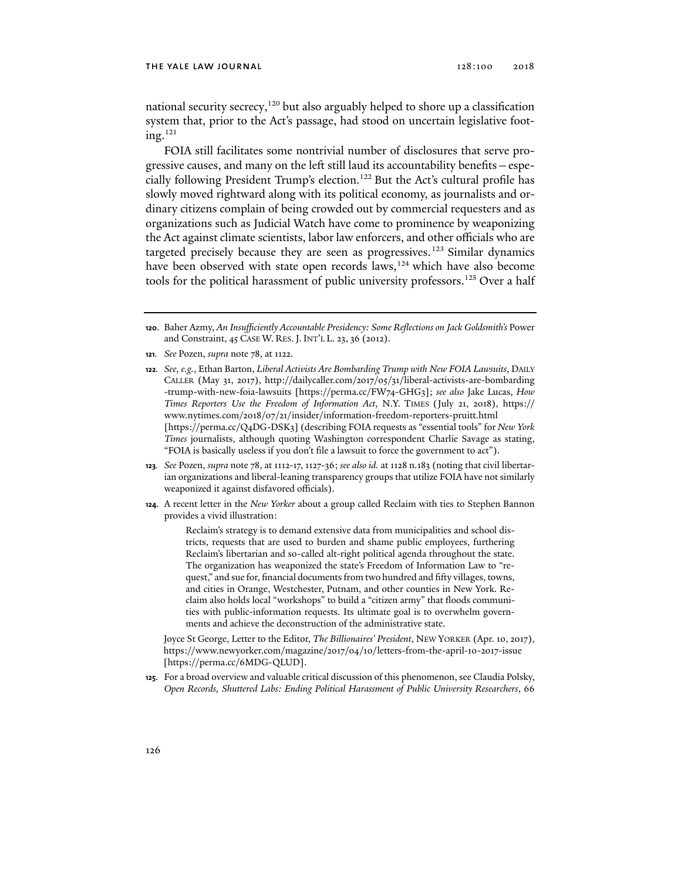national security secrecy,<sup>120</sup> but also arguably helped to shore up a classification system that, prior to the Act's passage, had stood on uncertain legislative foot $ing.<sup>121</sup>$ 

FOIA still facilitates some nontrivial number of disclosures that serve progressive causes, and many on the left still laud its accountability benefits—especially following President Trump's election.122 But the Act's cultural profile has slowly moved rightward along with its political economy, as journalists and ordinary citizens complain of being crowded out by commercial requesters and as organizations such as Judicial Watch have come to prominence by weaponizing the Act against climate scientists, labor law enforcers, and other officials who are targeted precisely because they are seen as progressives.<sup>123</sup> Similar dynamics have been observed with state open records laws,<sup>124</sup> which have also become tools for the political harassment of public university professors.<sup>125</sup> Over a half

**121***. See* Pozen, *supra* note 78, at 1122.

**122***. See, e.g.*, Ethan Barton, *Liberal Activists Are Bombarding Trump with New FOIA Lawsuits*, DAILY CALLER (May 31, 2017), http://dailycaller.com/2017/05/31/liberal-activists-are-bombarding -trump-with-new-foia-lawsuits [https://perma.cc/FW74-GHG3]; *see also* Jake Lucas, *How Times Reporters Use the Freedom of Information Act*, N.Y. TIMES (July 21, 2018), https:// www.nytimes.com/2018/07/21/insider/information-freedom-reporters-pruitt.html [https://perma.cc/Q4DG-DSK3] (describing FOIA requests as "essential tools" for *New York Times* journalists, although quoting Washington correspondent Charlie Savage as stating, "FOIA is basically useless if you don't file a lawsuit to force the government to act").

- **123***. See* Pozen, *supra* note 78, at 1112-17, 1127-36; *see also id.* at 1128 n.183 (noting that civil libertarian organizations and liberal-leaning transparency groups that utilize FOIA have not similarly weaponized it against disfavored officials).
- **124**. A recent letter in the *New Yorker* about a group called Reclaim with ties to Stephen Bannon provides a vivid illustration:

Reclaim's strategy is to demand extensive data from municipalities and school districts, requests that are used to burden and shame public employees, furthering Reclaim's libertarian and so-called alt-right political agenda throughout the state. The organization has weaponized the state's Freedom of Information Law to "request," and sue for, financial documents from two hundred and fifty villages, towns, and cities in Orange, Westchester, Putnam, and other counties in New York. Reclaim also holds local "workshops" to build a "citizen army" that floods communities with public-information requests. Its ultimate goal is to overwhelm governments and achieve the deconstruction of the administrative state.

Joyce St George, Letter to the Editor, *The Billionaires' President*, NEW YORKER (Apr. 10, 2017), https://www.newyorker.com/magazine/2017/04/10/letters-from-the-april-10-2017-issue [https://perma.cc/6MDG-QLUD].

**125**. For a broad overview and valuable critical discussion of this phenomenon, see Claudia Polsky, *Open Records, Shuttered Labs: Ending Political Harassment of Public University Researchers*, 66

**<sup>120</sup>**. Baher Azmy, *An Insufficiently Accountable Presidency: Some Reflections on Jack Goldsmith's* Power and Constraint, 45 CASE W. RES. J. INT'L L. 23, 36 (2012).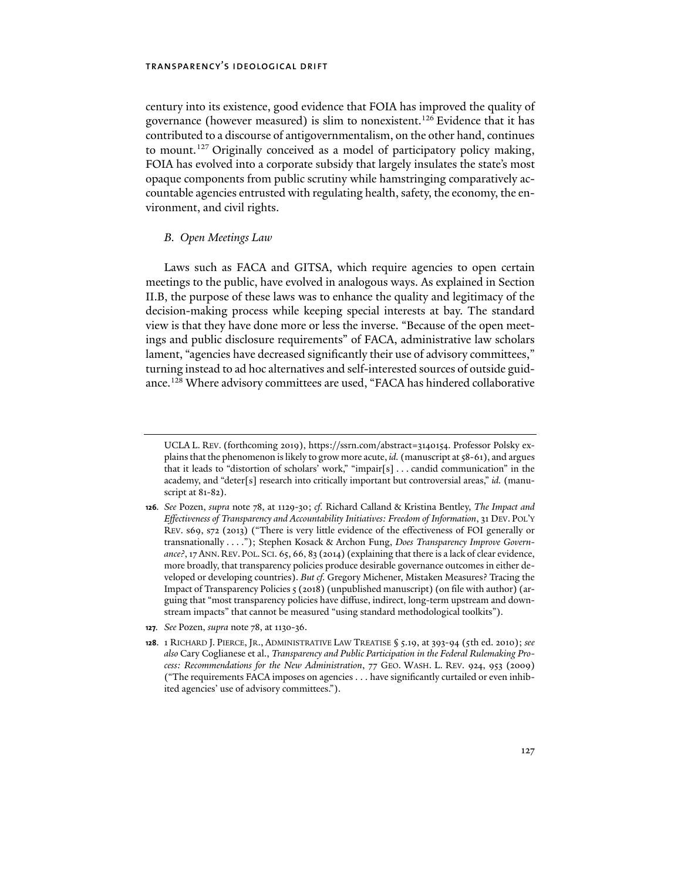century into its existence, good evidence that FOIA has improved the quality of governance (however measured) is slim to nonexistent.126 Evidence that it has contributed to a discourse of antigovernmentalism, on the other hand, continues to mount.<sup>127</sup> Originally conceived as a model of participatory policy making, FOIA has evolved into a corporate subsidy that largely insulates the state's most opaque components from public scrutiny while hamstringing comparatively accountable agencies entrusted with regulating health, safety, the economy, the environment, and civil rights.

### *B. Open Meetings Law*

Laws such as FACA and GITSA, which require agencies to open certain meetings to the public, have evolved in analogous ways. As explained in Section II.B, the purpose of these laws was to enhance the quality and legitimacy of the decision-making process while keeping special interests at bay. The standard view is that they have done more or less the inverse. "Because of the open meetings and public disclosure requirements" of FACA, administrative law scholars lament, "agencies have decreased significantly their use of advisory committees," turning instead to ad hoc alternatives and self-interested sources of outside guidance.128 Where advisory committees are used, "FACA has hindered collaborative

**127***. See* Pozen, *supra* note 78, at 1130-36.

UCLA L. REV. (forthcoming 2019), https://ssrn.com/abstract=3140154. Professor Polsky explains that the phenomenon is likely to grow more acute, *id.* (manuscript at 58-61), and argues that it leads to "distortion of scholars' work," "impair[s] . . . candid communication" in the academy, and "deter[s] research into critically important but controversial areas," *id.* (manuscript at 81-82).

**<sup>126</sup>***. See* Pozen, *supra* note 78, at 1129-30; *cf.* Richard Calland & Kristina Bentley, *The Impact and Effectiveness of Transparency and Accountability Initiatives: Freedom of Information*, 31 DEV. POL'Y REV. s69, s72 (2013) ("There is very little evidence of the effectiveness of FOI generally or transnationally . . . ."); Stephen Kosack & Archon Fung, *Does Transparency Improve Govern*ance?, 17 ANN. REV. POL. SCI. 65, 66, 83 (2014) (explaining that there is a lack of clear evidence, more broadly, that transparency policies produce desirable governance outcomes in either developed or developing countries). *But cf.* Gregory Michener, Mistaken Measures? Tracing the Impact of Transparency Policies 5 (2018) (unpublished manuscript) (on file with author) (arguing that "most transparency policies have diffuse, indirect, long-term upstream and downstream impacts" that cannot be measured "using standard methodological toolkits").

**<sup>128</sup>**. 1 RICHARD J. PIERCE, JR., ADMINISTRATIVE LAW TREATISE § 5.19, at 393-94 (5th ed. 2010); *see also* Cary Coglianese et al., *Transparency and Public Participation in the Federal Rulemaking Process: Recommendations for the New Administration*, 77 GEO. WASH. L. REV. 924, 953 (2009) ("The requirements FACA imposes on agencies . . . have significantly curtailed or even inhibited agencies' use of advisory committees.").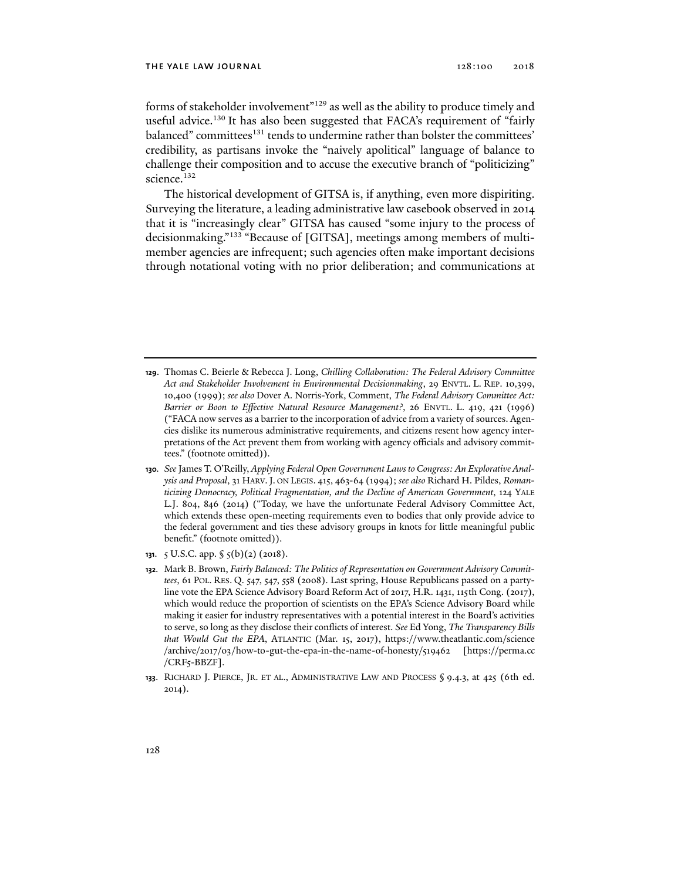forms of stakeholder involvement"129 as well as the ability to produce timely and useful advice.<sup>130</sup> It has also been suggested that FACA's requirement of "fairly balanced" committees<sup>131</sup> tends to undermine rather than bolster the committees' credibility, as partisans invoke the "naively apolitical" language of balance to challenge their composition and to accuse the executive branch of "politicizing" science.<sup>132</sup>

The historical development of GITSA is, if anything, even more dispiriting. Surveying the literature, a leading administrative law casebook observed in 2014 that it is "increasingly clear" GITSA has caused "some injury to the process of decisionmaking."133 "Because of [GITSA], meetings among members of multimember agencies are infrequent; such agencies often make important decisions through notational voting with no prior deliberation; and communications at

- **129**. Thomas C. Beierle & Rebecca J. Long, *Chilling Collaboration: The Federal Advisory Committee Act and Stakeholder Involvement in Environmental Decisionmaking*, 29 ENVTL. L. REP. 10,399, 10,400 (1999); *see also* Dover A. Norris-York, Comment, *The Federal Advisory Committee Act: Barrier or Boon to Effective Natural Resource Management?*, 26 ENVTL. L. 419, 421 (1996) ("FACA now serves as a barrier to the incorporation of advice from a variety of sources. Agencies dislike its numerous administrative requirements, and citizens resent how agency interpretations of the Act prevent them from working with agency officials and advisory committees." (footnote omitted)).
- **130***. See* James T. O'Reilly, *Applying Federal Open Government Laws to Congress: An Explorative Analysis and Proposal*, 31 HARV.J. ON LEGIS. 415, 463-64 (1994); *see also* Richard H. Pildes, *Romanticizing Democracy, Political Fragmentation, and the Decline of American Government*, 124 YALE L.J. 804, 846 (2014) ("Today, we have the unfortunate Federal Advisory Committee Act, which extends these open-meeting requirements even to bodies that only provide advice to the federal government and ties these advisory groups in knots for little meaningful public benefit." (footnote omitted)).
- **131**. 5 U.S.C. app. § 5(b)(2) (2018).
- **132**. Mark B. Brown, *Fairly Balanced: The Politics of Representation on Government Advisory Committees*, 61 POL. RES. Q. 547, 547, 558 (2008). Last spring, House Republicans passed on a partyline vote the EPA Science Advisory Board Reform Act of 2017, H.R. 1431, 115th Cong. (2017), which would reduce the proportion of scientists on the EPA's Science Advisory Board while making it easier for industry representatives with a potential interest in the Board's activities to serve, so long as they disclose their conflicts of interest. *See* Ed Yong, *The Transparency Bills that Would Gut the EPA*, ATLANTIC (Mar. 15, 2017), https://www.theatlantic.com/science /archive/2017/03/how-to-gut-the-epa-in-the-name-of-honesty/519462 [https://perma.cc /CRF5-BBZF].
- **133**. RICHARD J. PIERCE, JR. ET AL., ADMINISTRATIVE LAW AND PROCESS § 9.4.3, at 425 (6th ed. 2014).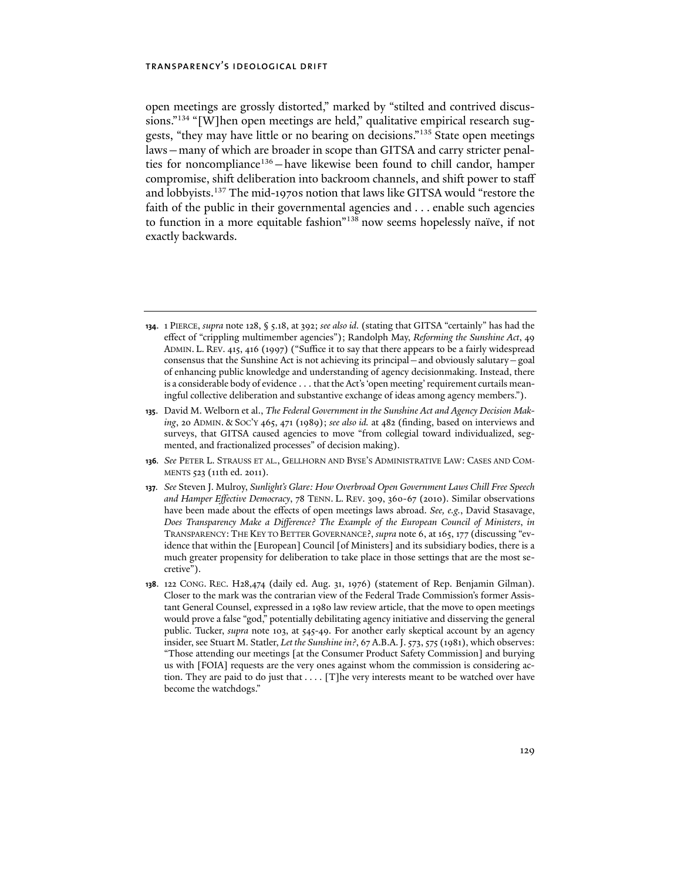open meetings are grossly distorted," marked by "stilted and contrived discussions."<sup>134</sup> "[W]hen open meetings are held," qualitative empirical research suggests, "they may have little or no bearing on decisions."135 State open meetings laws—many of which are broader in scope than GITSA and carry stricter penalties for noncompliance<sup>136</sup> – have likewise been found to chill candor, hamper compromise, shift deliberation into backroom channels, and shift power to staff and lobbyists.137 The mid-1970s notion that laws like GITSA would "restore the faith of the public in their governmental agencies and . . . enable such agencies to function in a more equitable fashion"138 now seems hopelessly naïve, if not exactly backwards.

- **134**. 1 PIERCE, *supra* note 128, § 5.18, at 392; *see also id.* (stating that GITSA "certainly" has had the effect of "crippling multimember agencies"); Randolph May, *Reforming the Sunshine Act*, 49 ADMIN. L. REV. 415, 416 (1997) ("Suffice it to say that there appears to be a fairly widespread consensus that the Sunshine Act is not achieving its principal—and obviously salutary—goal of enhancing public knowledge and understanding of agency decisionmaking. Instead, there is a considerable body of evidence . . . that the Act's 'open meeting' requirement curtails meaningful collective deliberation and substantive exchange of ideas among agency members.").
- **135**. David M. Welborn et al., *The Federal Government in the Sunshine Act and Agency Decision Making*, 20 ADMIN. & SOC'Y 465, 471 (1989); *see also id.* at 482 (finding, based on interviews and surveys, that GITSA caused agencies to move "from collegial toward individualized, segmented, and fractionalized processes" of decision making).
- **136***. See* PETER L. STRAUSS ET AL., GELLHORN AND BYSE'S ADMINISTRATIVE LAW: CASES AND COM-MENTS 523 (11th ed. 2011).
- **137***. See* Steven J. Mulroy, *Sunlight's Glare: How Overbroad Open Government Laws Chill Free Speech and Hamper Effective Democracy*, 78 TENN. L. REV. 309, 360-67 (2010). Similar observations have been made about the effects of open meetings laws abroad. *See, e.g.*, David Stasavage, *Does Transparency Make a Difference? The Example of the European Council of Ministers*, *in*  TRANSPARENCY:THE KEY TO BETTER GOVERNANCE?, *supra* note 6, at 165, 177 (discussing "evidence that within the [European] Council [of Ministers] and its subsidiary bodies, there is a much greater propensity for deliberation to take place in those settings that are the most secretive").
- **138**. 122 CONG. REC. H28,474 (daily ed. Aug. 31, 1976) (statement of Rep. Benjamin Gilman). Closer to the mark was the contrarian view of the Federal Trade Commission's former Assistant General Counsel, expressed in a 1980 law review article, that the move to open meetings would prove a false "god," potentially debilitating agency initiative and disserving the general public. Tucker, *supra* note 103, at 545-49. For another early skeptical account by an agency insider, see Stuart M. Statler, *Let the Sunshine in?*, 67 A.B.A.J. 573, 575 (1981), which observes: "Those attending our meetings [at the Consumer Product Safety Commission] and burying us with [FOIA] requests are the very ones against whom the commission is considering action. They are paid to do just that . . . . [T]he very interests meant to be watched over have become the watchdogs."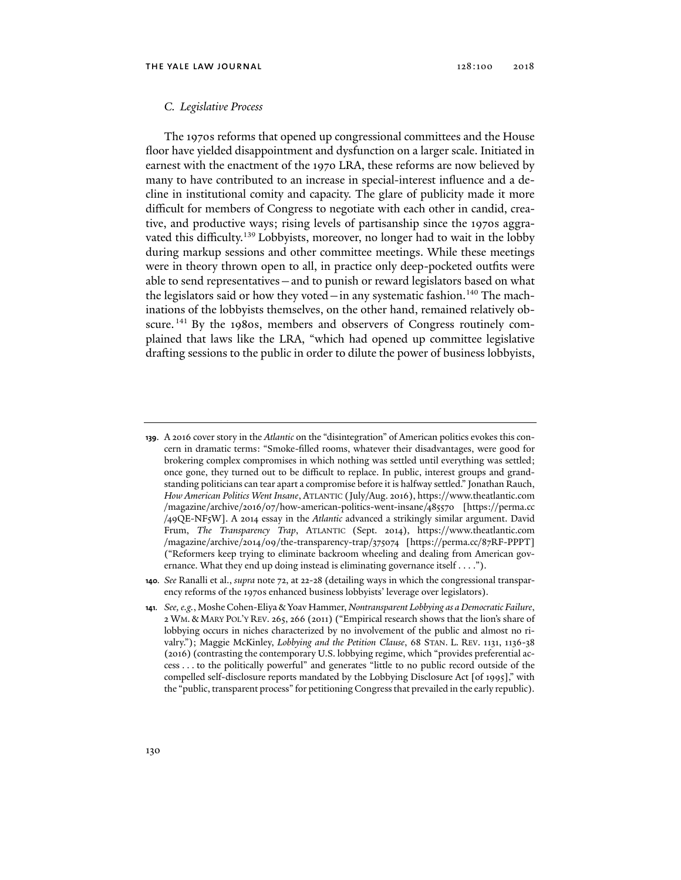### *C. Legislative Process*

The 1970s reforms that opened up congressional committees and the House floor have yielded disappointment and dysfunction on a larger scale. Initiated in earnest with the enactment of the 1970 LRA, these reforms are now believed by many to have contributed to an increase in special-interest influence and a decline in institutional comity and capacity. The glare of publicity made it more difficult for members of Congress to negotiate with each other in candid, creative, and productive ways; rising levels of partisanship since the 1970s aggravated this difficulty.<sup>139</sup> Lobbyists, moreover, no longer had to wait in the lobby during markup sessions and other committee meetings. While these meetings were in theory thrown open to all, in practice only deep-pocketed outfits were able to send representatives—and to punish or reward legislators based on what the legislators said or how they voted—in any systematic fashion.<sup>140</sup> The machinations of the lobbyists themselves, on the other hand, remained relatively obscure.<sup>141</sup> By the 1980s, members and observers of Congress routinely complained that laws like the LRA, "which had opened up committee legislative drafting sessions to the public in order to dilute the power of business lobbyists,

**<sup>139</sup>**. A 2016 cover story in the *Atlantic* on the "disintegration" of American politics evokes this concern in dramatic terms: "Smoke-filled rooms, whatever their disadvantages, were good for brokering complex compromises in which nothing was settled until everything was settled; once gone, they turned out to be difficult to replace. In public, interest groups and grandstanding politicians can tear apart a compromise before it is halfway settled." Jonathan Rauch, *How American Politics Went Insane*, ATLANTIC (July/Aug. 2016), https://www.theatlantic.com /magazine/archive/2016/07/how-american-politics-went-insane/485570 [https://perma.cc /49QE-NF5W]. A 2014 essay in the *Atlantic* advanced a strikingly similar argument. David Frum, *The Transparency Trap*, ATLANTIC (Sept. 2014), https://www.theatlantic.com /magazine/archive/2014/09/the-transparency-trap/375074 [https://perma.cc/87RF-PPPT] ("Reformers keep trying to eliminate backroom wheeling and dealing from American governance. What they end up doing instead is eliminating governance itself . . . .").

**<sup>140</sup>***. See* Ranalli et al., *supra* note 72, at 22-28 (detailing ways in which the congressional transparency reforms of the 1970s enhanced business lobbyists' leverage over legislators).

**<sup>141</sup>***. See, e.g.*, Moshe Cohen-Eliya & Yoav Hammer, *Nontransparent Lobbying as a Democratic Failure*, 2 WM. & MARY POL'Y REV. 265, 266 (2011) ("Empirical research shows that the lion's share of lobbying occurs in niches characterized by no involvement of the public and almost no rivalry."); Maggie McKinley, *Lobbying and the Petition Clause*, 68 STAN. L. REV. 1131, 1136-38 (2016) (contrasting the contemporary U.S. lobbying regime, which "provides preferential access . . . to the politically powerful" and generates "little to no public record outside of the compelled self-disclosure reports mandated by the Lobbying Disclosure Act [of 1995]," with the "public, transparent process" for petitioning Congress that prevailed in the early republic).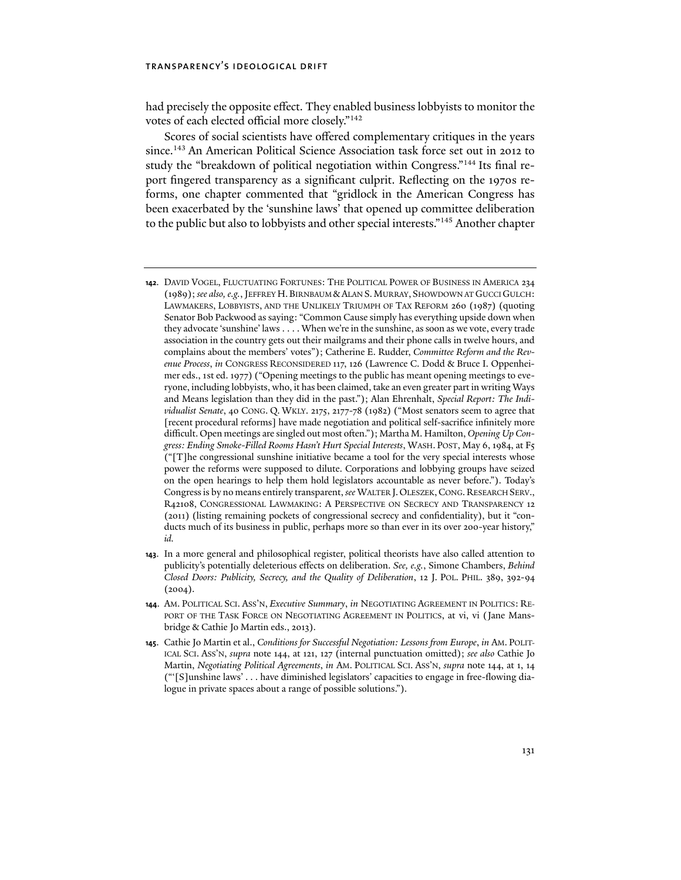had precisely the opposite effect. They enabled business lobbyists to monitor the votes of each elected official more closely."142

Scores of social scientists have offered complementary critiques in the years since.143 An American Political Science Association task force set out in 2012 to study the "breakdown of political negotiation within Congress."144 Its final report fingered transparency as a significant culprit. Reflecting on the 1970s reforms, one chapter commented that "gridlock in the American Congress has been exacerbated by the 'sunshine laws' that opened up committee deliberation to the public but also to lobbyists and other special interests."145 Another chapter

- **142**. DAVID VOGEL, FLUCTUATING FORTUNES: THE POLITICAL POWER OF BUSINESS IN AMERICA 234 (1989); *see also, e.g.*, JEFFREY H.BIRNBAUM &ALAN S.MURRAY, SHOWDOWN AT GUCCI GULCH: LAWMAKERS, LOBBYISTS, AND THE UNLIKELY TRIUMPH OF TAX REFORM 260 (1987) (quoting Senator Bob Packwood as saying: "Common Cause simply has everything upside down when they advocate 'sunshine' laws . . . . When we're in the sunshine, as soon as we vote, every trade association in the country gets out their mailgrams and their phone calls in twelve hours, and complains about the members' votes"); Catherine E. Rudder, *Committee Reform and the Revenue Process*, *in* CONGRESS RECONSIDERED 117, 126 (Lawrence C. Dodd & Bruce I. Oppenheimer eds., 1st ed. 1977) ("Opening meetings to the public has meant opening meetings to everyone, including lobbyists, who, it has been claimed, take an even greater part in writing Ways and Means legislation than they did in the past."); Alan Ehrenhalt, *Special Report: The Individualist Senate*, 40 CONG. Q. WKLY. 2175, 2177-78 (1982) ("Most senators seem to agree that [recent procedural reforms] have made negotiation and political self-sacrifice infinitely more difficult. Open meetings are singled out most often."); Martha M. Hamilton, *Opening Up Congress: Ending Smoke-Filled Rooms Hasn't Hurt Special Interests*, WASH. POST, May 6, 1984, at F5 ("[T]he congressional sunshine initiative became a tool for the very special interests whose power the reforms were supposed to dilute. Corporations and lobbying groups have seized on the open hearings to help them hold legislators accountable as never before."). Today's Congress is by no means entirely transparent, *see* WALTER J.OLESZEK,CONG.RESEARCH SERV., R42108, CONGRESSIONAL LAWMAKING: A PERSPECTIVE ON SECRECY AND TRANSPARENCY 12 (2011) (listing remaining pockets of congressional secrecy and confidentiality), but it "conducts much of its business in public, perhaps more so than ever in its over 200-year history," *id.*
- **143**. In a more general and philosophical register, political theorists have also called attention to publicity's potentially deleterious effects on deliberation. *See, e.g.*, Simone Chambers, *Behind Closed Doors: Publicity, Secrecy, and the Quality of Deliberation*, 12 J. POL. PHIL. 389, 392-94  $(2004).$
- **144**. AM. POLITICAL SCI. ASS'N, *Executive Summary*, *in* NEGOTIATING AGREEMENT IN POLITICS: RE-PORT OF THE TASK FORCE ON NEGOTIATING AGREEMENT IN POLITICS, at vi, vi (Jane Mansbridge & Cathie Jo Martin eds., 2013).
- **145**. Cathie Jo Martin et al., *Conditions for Successful Negotiation: Lessons from Europe*, *in* AM. POLIT-ICAL SCI. ASS'N, *supra* note 144, at 121, 127 (internal punctuation omitted); *see also* Cathie Jo Martin, *Negotiating Political Agreements*, *in* AM. POLITICAL SCI. ASS'N, *supra* note 144, at 1, 14 ("'[S]unshine laws' . . . have diminished legislators' capacities to engage in free-flowing dialogue in private spaces about a range of possible solutions.").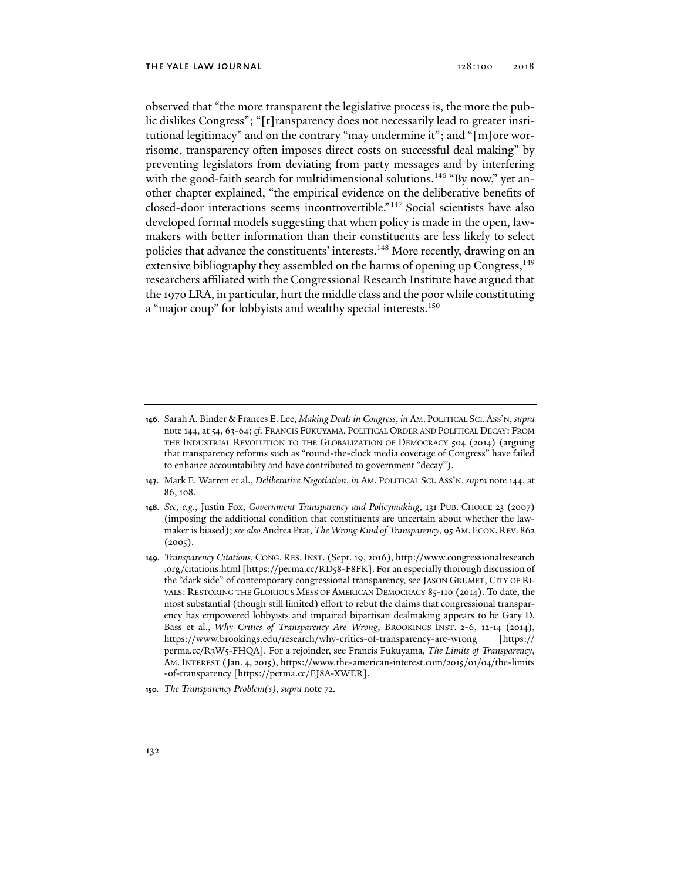observed that "the more transparent the legislative process is, the more the public dislikes Congress"; "[t]ransparency does not necessarily lead to greater institutional legitimacy" and on the contrary "may undermine it"; and "[m]ore worrisome, transparency often imposes direct costs on successful deal making" by preventing legislators from deviating from party messages and by interfering with the good-faith search for multidimensional solutions.<sup>146</sup> "By now," yet another chapter explained, "the empirical evidence on the deliberative benefits of closed-door interactions seems incontrovertible."147 Social scientists have also developed formal models suggesting that when policy is made in the open, lawmakers with better information than their constituents are less likely to select policies that advance the constituents' interests.<sup>148</sup> More recently, drawing on an extensive bibliography they assembled on the harms of opening up Congress,<sup>149</sup> researchers affiliated with the Congressional Research Institute have argued that the 1970 LRA, in particular, hurt the middle class and the poor while constituting a "major coup" for lobbyists and wealthy special interests.<sup>150</sup>

- **146**. Sarah A. Binder & Frances E. Lee, *Making Deals in Congress*, *in* AM. POLITICAL SCI.ASS'N, *supra*  note 144, at 54, 63-64; *cf.* FRANCIS FUKUYAMA, POLITICAL ORDER AND POLITICAL DECAY: FROM THE INDUSTRIAL REVOLUTION TO THE GLOBALIZATION OF DEMOCRACY 504 (2014) (arguing that transparency reforms such as "round-the-clock media coverage of Congress" have failed to enhance accountability and have contributed to government "decay").
- **147**. Mark E. Warren et al., *Deliberative Negotiation*, *in* AM. POLITICAL SCI. ASS'N, *supra* note 144, at 86, 108.
- **148***. See, e.g.*, Justin Fox, *Government Transparency and Policymaking*, 131 PUB. CHOICE 23 (2007) (imposing the additional condition that constituents are uncertain about whether the lawmaker is biased); *see also* Andrea Prat, *The Wrong Kind of Transparency*, 95 AM. ECON. REV. 862  $(2005)$ .
- **149***. Transparency Citations*, CONG. RES.INST. (Sept. 19, 2016), http://www.congressionalresearch .org/citations.html [https://perma.cc/RD58-F8FK]. For an especially thorough discussion of the "dark side" of contemporary congressional transparency, see JASON GRUMET, CITY OF RI-VALS: RESTORING THE GLORIOUS MESS OF AMERICAN DEMOCRACY 85-110 (2014). To date, the most substantial (though still limited) effort to rebut the claims that congressional transparency has empowered lobbyists and impaired bipartisan dealmaking appears to be Gary D. Bass et al., *Why Critics of Transparency Are Wrong*, BROOKINGS INST. 2-6, 12-14 (2014), https://www.brookings.edu/research/why-critics-of-transparency-are-wrong [https:// perma.cc/R3W5-FHQA]. For a rejoinder, see Francis Fukuyama, *The Limits of Transparency*, AM.INTEREST (Jan. 4, 2015), https://www.the-american-interest.com/2015/01/04/the-limits -of-transparency [https://perma.cc/EJ8A-XWER].
- **150***. The Transparency Problem(s)*, *supra* note 72.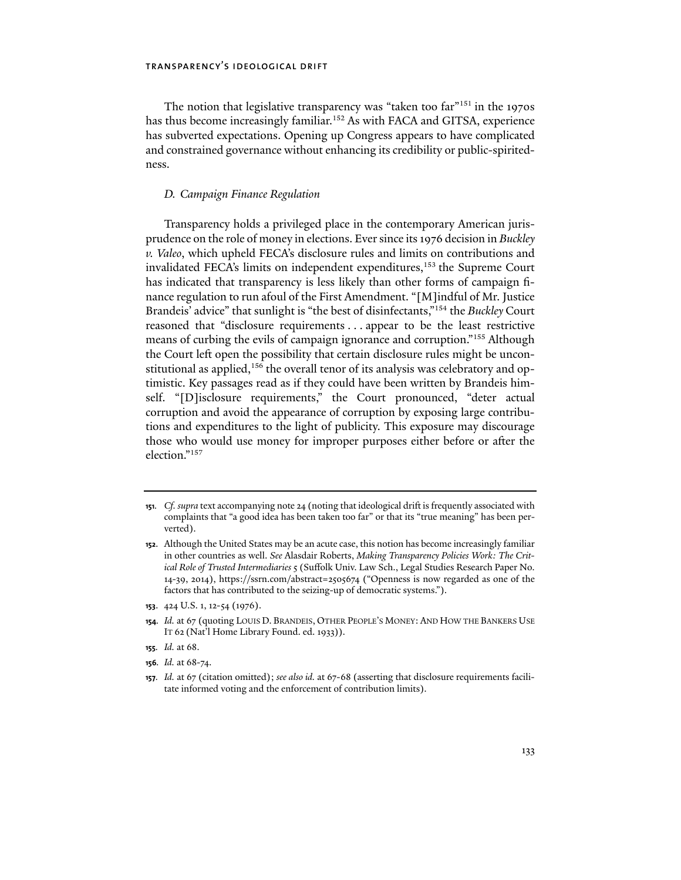The notion that legislative transparency was "taken too far"<sup>151</sup> in the 1970s has thus become increasingly familiar.<sup>152</sup> As with FACA and GITSA, experience has subverted expectations. Opening up Congress appears to have complicated and constrained governance without enhancing its credibility or public-spiritedness.

### *D. Campaign Finance Regulation*

Transparency holds a privileged place in the contemporary American jurisprudence on the role of money in elections. Ever since its 1976 decision in *Buckley v. Valeo*, which upheld FECA's disclosure rules and limits on contributions and invalidated FECA's limits on independent expenditures,<sup>153</sup> the Supreme Court has indicated that transparency is less likely than other forms of campaign finance regulation to run afoul of the First Amendment. "[M]indful of Mr. Justice Brandeis' advice" that sunlight is "the best of disinfectants,"154 the *Buckley* Court reasoned that "disclosure requirements . . . appear to be the least restrictive means of curbing the evils of campaign ignorance and corruption."155 Although the Court left open the possibility that certain disclosure rules might be unconstitutional as applied,<sup>156</sup> the overall tenor of its analysis was celebratory and optimistic. Key passages read as if they could have been written by Brandeis himself. "[D]isclosure requirements," the Court pronounced, "deter actual corruption and avoid the appearance of corruption by exposing large contributions and expenditures to the light of publicity. This exposure may discourage those who would use money for improper purposes either before or after the election."157

- **154***. Id.* at 67 (quoting LOUIS D. BRANDEIS, OTHER PEOPLE'S MONEY: AND HOW THE BANKERS USE IT 62 (Nat'l Home Library Found. ed. 1933)).
- **155***. Id.* at 68.
- **156***. Id.* at 68-74.

**<sup>151</sup>***. Cf. supra* text accompanying note 24 (noting that ideological drift is frequently associated with complaints that "a good idea has been taken too far" or that its "true meaning" has been perverted).

**<sup>152</sup>**. Although the United States may be an acute case, this notion has become increasingly familiar in other countries as well. *See* Alasdair Roberts, *Making Transparency Policies Work: The Critical Role of Trusted Intermediaries* 5 (Suffolk Univ. Law Sch., Legal Studies Research Paper No. 14-39, 2014), https://ssrn.com/abstract=2505674 ("Openness is now regarded as one of the factors that has contributed to the seizing-up of democratic systems.").

**<sup>153</sup>**. 424 U.S. 1, 12-54 (1976).

**<sup>157</sup>***. Id.* at 67 (citation omitted); *see also id.* at 67-68 (asserting that disclosure requirements facilitate informed voting and the enforcement of contribution limits).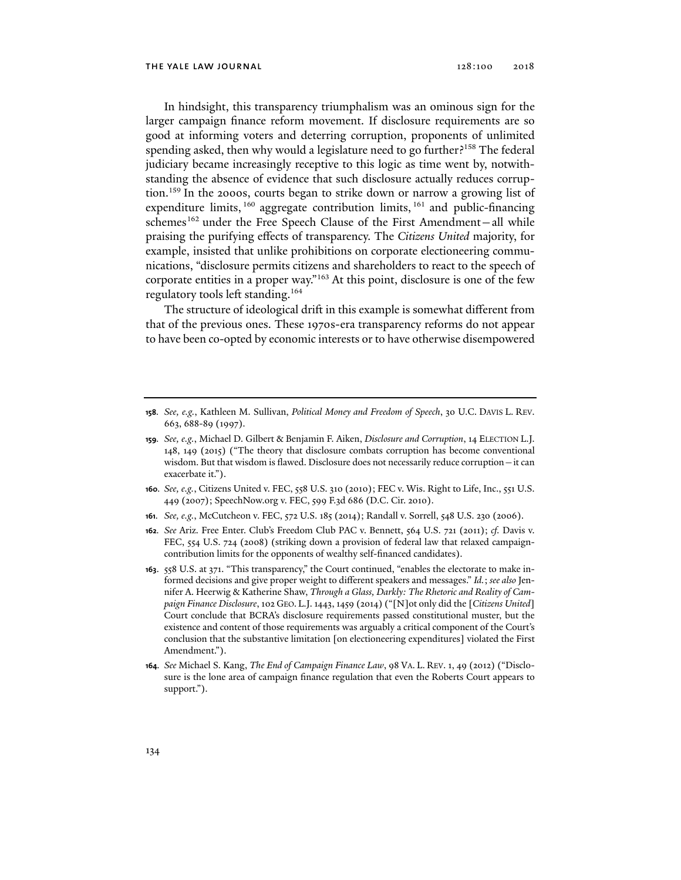In hindsight, this transparency triumphalism was an ominous sign for the larger campaign finance reform movement. If disclosure requirements are so good at informing voters and deterring corruption, proponents of unlimited spending asked, then why would a legislature need to go further?<sup>158</sup> The federal judiciary became increasingly receptive to this logic as time went by, notwithstanding the absence of evidence that such disclosure actually reduces corruption.159 In the 2000s, courts began to strike down or narrow a growing list of expenditure limits,  $160$  aggregate contribution limits,  $161$  and public-financing schemes<sup>162</sup> under the Free Speech Clause of the First Amendment-all while praising the purifying effects of transparency. The *Citizens United* majority, for example, insisted that unlike prohibitions on corporate electioneering communications, "disclosure permits citizens and shareholders to react to the speech of corporate entities in a proper way."163 At this point, disclosure is one of the few regulatory tools left standing.164

The structure of ideological drift in this example is somewhat different from that of the previous ones. These 1970s-era transparency reforms do not appear to have been co-opted by economic interests or to have otherwise disempowered

- **160***. See, e.g.*, Citizens United v. FEC, 558 U.S. 310 (2010); FEC v. Wis. Right to Life, Inc., 551 U.S. 449 (2007); SpeechNow.org v. FEC, 599 F.3d 686 (D.C. Cir. 2010).
- **161***. See, e.g.*, McCutcheon v. FEC, 572 U.S. 185 (2014); Randall v. Sorrell, 548 U.S. 230 (2006).
- **162***. See* Ariz. Free Enter. Club's Freedom Club PAC v. Bennett, 564 U.S. 721 (2011); *cf.* Davis v. FEC, 554 U.S. 724 (2008) (striking down a provision of federal law that relaxed campaigncontribution limits for the opponents of wealthy self-financed candidates).
- **163**. 558 U.S. at 371. "This transparency," the Court continued, "enables the electorate to make informed decisions and give proper weight to different speakers and messages." *Id.*; *see also* Jennifer A. Heerwig & Katherine Shaw, *Through a Glass, Darkly: The Rhetoric and Reality of Campaign Finance Disclosure*, 102 GEO. L.J. 1443, 1459 (2014) ("[N]ot only did the [*Citizens United*] Court conclude that BCRA's disclosure requirements passed constitutional muster, but the existence and content of those requirements was arguably a critical component of the Court's conclusion that the substantive limitation [on electioneering expenditures] violated the First Amendment.").
- **164***. See* Michael S. Kang, *The End of Campaign Finance Law*, 98 VA. L. REV. 1, 49 (2012) ("Disclosure is the lone area of campaign finance regulation that even the Roberts Court appears to support.").

**<sup>158</sup>***. See, e.g.*, Kathleen M. Sullivan, *Political Money and Freedom of Speech*, 30 U.C. DAVIS L. REV. 663, 688-89 (1997).

**<sup>159</sup>***. See, e.g.*, Michael D. Gilbert & Benjamin F. Aiken, *Disclosure and Corruption*, 14 ELECTION L.J. 148, 149 (2015) ("The theory that disclosure combats corruption has become conventional wisdom. But that wisdom is flawed. Disclosure does not necessarily reduce corruption—it can exacerbate it.").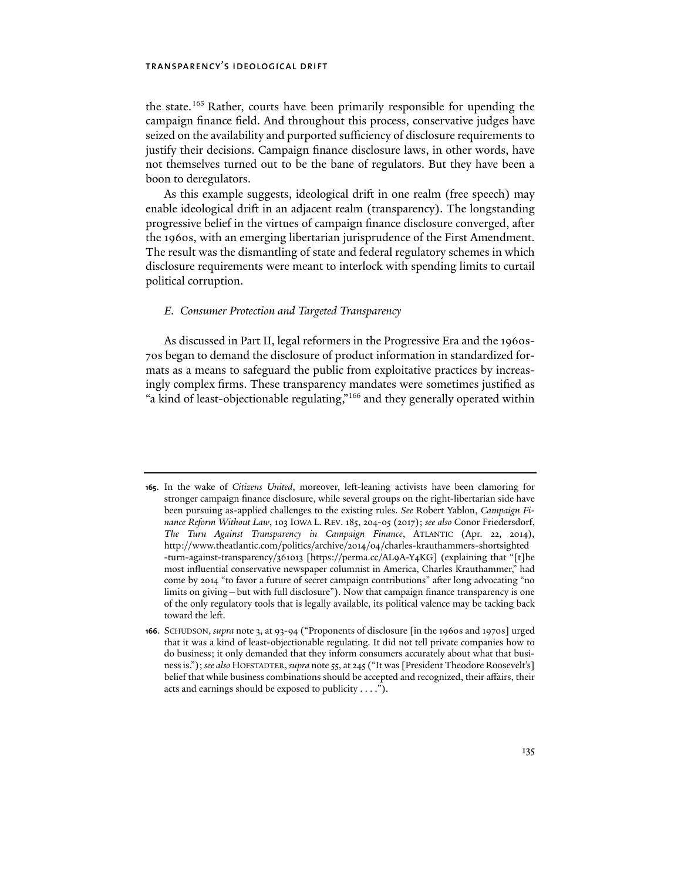the state.<sup>165</sup> Rather, courts have been primarily responsible for upending the campaign finance field. And throughout this process, conservative judges have seized on the availability and purported sufficiency of disclosure requirements to justify their decisions. Campaign finance disclosure laws, in other words, have not themselves turned out to be the bane of regulators. But they have been a boon to deregulators.

As this example suggests, ideological drift in one realm (free speech) may enable ideological drift in an adjacent realm (transparency). The longstanding progressive belief in the virtues of campaign finance disclosure converged, after the 1960s, with an emerging libertarian jurisprudence of the First Amendment. The result was the dismantling of state and federal regulatory schemes in which disclosure requirements were meant to interlock with spending limits to curtail political corruption.

### *E. Consumer Protection and Targeted Transparency*

As discussed in Part II, legal reformers in the Progressive Era and the 1960s-70s began to demand the disclosure of product information in standardized formats as a means to safeguard the public from exploitative practices by increasingly complex firms. These transparency mandates were sometimes justified as "a kind of least-objectionable regulating,"166 and they generally operated within

**<sup>165</sup>**. In the wake of *Citizens United*, moreover, left-leaning activists have been clamoring for stronger campaign finance disclosure, while several groups on the right-libertarian side have been pursuing as-applied challenges to the existing rules. *See* Robert Yablon, *Campaign Finance Reform Without Law*, 103 IOWA L. REV. 185, 204-05 (2017); *see also* Conor Friedersdorf, *The Turn Against Transparency in Campaign Finance*, ATLANTIC (Apr. 22, 2014), http://www.theatlantic.com/politics/archive/2014/04/charles-krauthammers-shortsighted -turn-against-transparency/361013 [https://perma.cc/AL9A-Y4KG] (explaining that "[t]he most influential conservative newspaper columnist in America, Charles Krauthammer," had come by 2014 "to favor a future of secret campaign contributions" after long advocating "no limits on giving—but with full disclosure"). Now that campaign finance transparency is one of the only regulatory tools that is legally available, its political valence may be tacking back toward the left.

**<sup>166</sup>**. SCHUDSON, *supra* note 3, at 93-94 ("Proponents of disclosure [in the 1960s and 1970s] urged that it was a kind of least-objectionable regulating. It did not tell private companies how to do business; it only demanded that they inform consumers accurately about what that business is."); *see also* HOFSTADTER, *supra* note 55, at 245 ("It was [President Theodore Roosevelt's] belief that while business combinations should be accepted and recognized, their affairs, their acts and earnings should be exposed to publicity . . . .").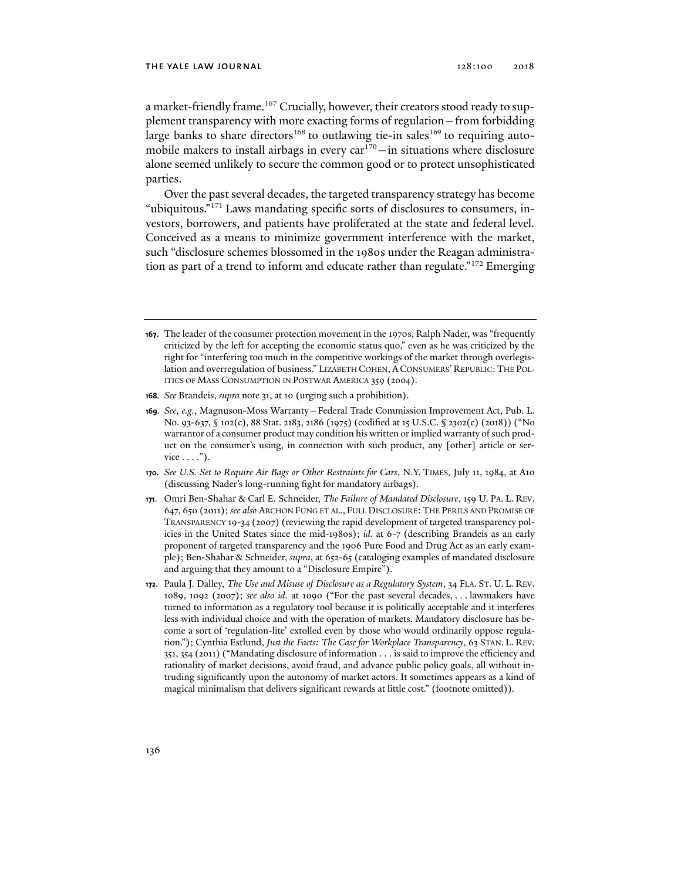a market-friendly frame.<sup>167</sup> Crucially, however, their creators stood ready to supplement transparency with more exacting forms of regulation—from forbidding large banks to share directors<sup>168</sup> to outlawing tie-in sales<sup>169</sup> to requiring automobile makers to install airbags in every  $car<sup>170</sup> - in situations where disclosure$ alone seemed unlikely to secure the common good or to protect unsophisticated parties.

Over the past several decades, the targeted transparency strategy has become "ubiquitous."171 Laws mandating specific sorts of disclosures to consumers, investors, borrowers, and patients have proliferated at the state and federal level. Conceived as a means to minimize government interference with the market, such "disclosure schemes blossomed in the 1980s under the Reagan administration as part of a trend to inform and educate rather than regulate."<sup>172</sup> Emerging

- **168***. See* Brandeis, *supra* note 31, at 10 (urging such a prohibition).
- **169***. See, e.g.*, Magnuson-Moss Warranty—Federal Trade Commission Improvement Act, Pub. L. No. 93-637, § 102(c), 88 Stat. 2183, 2186 (1975) (codified at 15 U.S.C. § 2302(c) (2018)) ("No warrantor of a consumer product may condition his written or implied warranty of such product on the consumer's using, in connection with such product, any [other] article or ser $vice \dots$ ").
- **170***. See U.S. Set to Require Air Bags or Other Restraints for Cars*, N.Y. TIMES, July 11, 1984, at A10 (discussing Nader's long-running fight for mandatory airbags).
- **171**. Omri Ben-Shahar & Carl E. Schneider, *The Failure of Mandated Disclosure*, 159 U. PA. L. REV. 647, 650 (2011); *see also* ARCHON FUNG ET AL., FULL DISCLOSURE: THE PERILS AND PROMISE OF TRANSPARENCY 19-34 (2007) (reviewing the rapid development of targeted transparency policies in the United States since the mid-1980s); *id.* at 6-7 (describing Brandeis as an early proponent of targeted transparency and the 1906 Pure Food and Drug Act as an early example); Ben-Shahar & Schneider, *supra*, at 652-65 (cataloging examples of mandated disclosure and arguing that they amount to a "Disclosure Empire").
- **172**. Paula J. Dalley, *The Use and Misuse of Disclosure as a Regulatory System*, 34 FLA. ST. U. L. REV. 1089, 1092 (2007); *see also id.* at 1090 ("For the past several decades, . . . lawmakers have turned to information as a regulatory tool because it is politically acceptable and it interferes less with individual choice and with the operation of markets. Mandatory disclosure has become a sort of 'regulation-lite' extolled even by those who would ordinarily oppose regulation."); Cynthia Estlund, *Just the Facts: The Case for Workplace Transparency*, 63 STAN. L. REV. 351, 354 (2011) ("Mandating disclosure of information . . . is said to improve the efficiency and rationality of market decisions, avoid fraud, and advance public policy goals, all without intruding significantly upon the autonomy of market actors. It sometimes appears as a kind of magical minimalism that delivers significant rewards at little cost." (footnote omitted)).

**<sup>167</sup>**. The leader of the consumer protection movement in the 1970s, Ralph Nader, was "frequently criticized by the left for accepting the economic status quo," even as he was criticized by the right for "interfering too much in the competitive workings of the market through overlegislation and overregulation of business." LIZABETH COHEN, A CONSUMERS' REPUBLIC:THE POL-ITICS OF MASS CONSUMPTION IN POSTWAR AMERICA 359 (2004).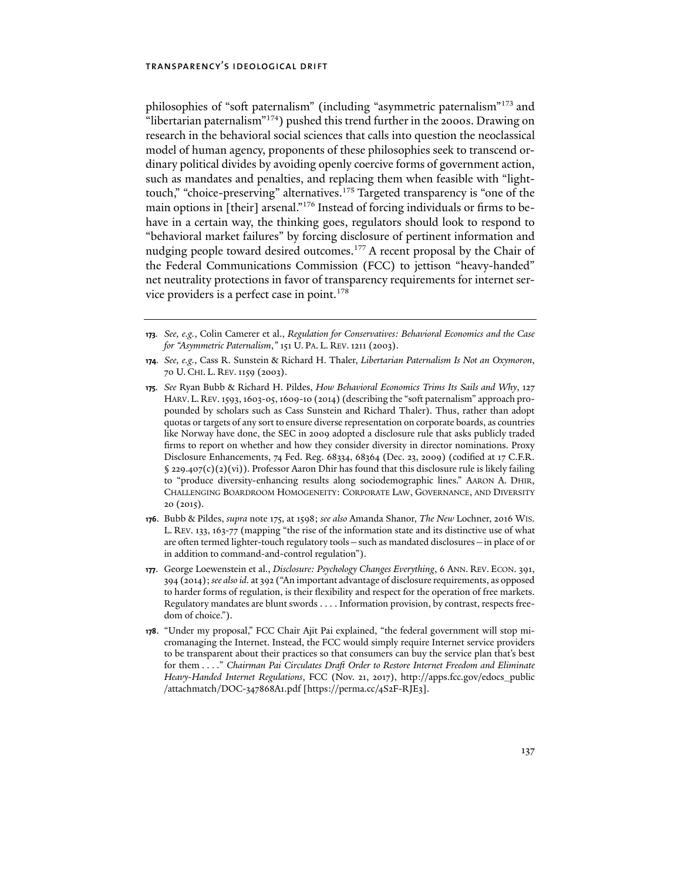philosophies of "soft paternalism" (including "asymmetric paternalism"173 and "libertarian paternalism"<sup>174</sup>) pushed this trend further in the 2000s. Drawing on research in the behavioral social sciences that calls into question the neoclassical model of human agency, proponents of these philosophies seek to transcend ordinary political divides by avoiding openly coercive forms of government action, such as mandates and penalties, and replacing them when feasible with "lighttouch," "choice-preserving" alternatives.<sup>175</sup> Targeted transparency is "one of the main options in [their] arsenal."176 Instead of forcing individuals or firms to behave in a certain way, the thinking goes, regulators should look to respond to "behavioral market failures" by forcing disclosure of pertinent information and nudging people toward desired outcomes.<sup>177</sup> A recent proposal by the Chair of the Federal Communications Commission (FCC) to jettison "heavy-handed" net neutrality protections in favor of transparency requirements for internet service providers is a perfect case in point.<sup>178</sup>

- **176**. Bubb & Pildes, *supra* note 175, at 1598; *see also* Amanda Shanor, *The New* Lochner, 2016 WIS. L. REV. 133, 163-77 (mapping "the rise of the information state and its distinctive use of what are often termed lighter-touch regulatory tools—such as mandated disclosures—in place of or in addition to command-and-control regulation").
- **177**. George Loewenstein et al., *Disclosure: Psychology Changes Everything*, 6 ANN. REV. ECON. 391, 394 (2014); *see also id.* at 392 ("An important advantage of disclosure requirements, as opposed to harder forms of regulation, is their flexibility and respect for the operation of free markets. Regulatory mandates are blunt swords . . . . Information provision, by contrast, respects freedom of choice.").
- **178**. "Under my proposal," FCC Chair Ajit Pai explained, "the federal government will stop micromanaging the Internet. Instead, the FCC would simply require Internet service providers to be transparent about their practices so that consumers can buy the service plan that's best for them . . . ." *Chairman Pai Circulates Draft Order to Restore Internet Freedom and Eliminate Heavy-Handed Internet Regulations*, FCC (Nov. 21, 2017), http://apps.fcc.gov/edocs\_public /attachmatch/DOC-347868A1.pdf [https://perma.cc/4S2F-RJE3].

**<sup>173</sup>***. See, e.g.*, Colin Camerer et al., *Regulation for Conservatives: Behavioral Economics and the Case for "Asymmetric Paternalism*,*"* 151 U. PA. L. REV.1211 (2003).

**<sup>174</sup>***. See, e.g.*, Cass R. Sunstein & Richard H. Thaler, *Libertarian Paternalism Is Not an Oxymoron*, 70 U. CHI. L. REV.1159 (2003).

**<sup>175</sup>***. See* Ryan Bubb & Richard H. Pildes, *How Behavioral Economics Trims Its Sails and Why*, 127 HARV. L. REV. 1593, 1603-05, 1609-10 (2014) (describing the "soft paternalism" approach propounded by scholars such as Cass Sunstein and Richard Thaler). Thus, rather than adopt quotas or targets of any sort to ensure diverse representation on corporate boards, as countries like Norway have done, the SEC in 2009 adopted a disclosure rule that asks publicly traded firms to report on whether and how they consider diversity in director nominations. Proxy Disclosure Enhancements, 74 Fed. Reg. 68334, 68364 (Dec. 23, 2009) (codified at 17 C.F.R.  $\S$  229.407(c)(2)(vi)). Professor Aaron Dhir has found that this disclosure rule is likely failing to "produce diversity-enhancing results along sociodemographic lines." AARON A. DHIR, CHALLENGING BOARDROOM HOMOGENEITY: CORPORATE LAW, GOVERNANCE, AND DIVERSITY 20 (2015).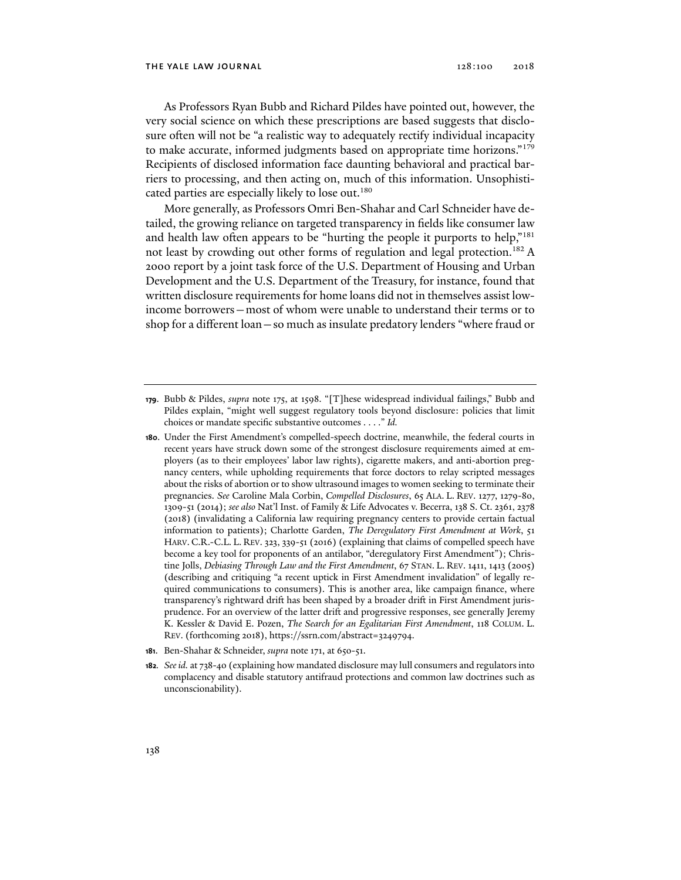As Professors Ryan Bubb and Richard Pildes have pointed out, however, the very social science on which these prescriptions are based suggests that disclosure often will not be "a realistic way to adequately rectify individual incapacity to make accurate, informed judgments based on appropriate time horizons."<sup>179</sup> Recipients of disclosed information face daunting behavioral and practical barriers to processing, and then acting on, much of this information. Unsophisticated parties are especially likely to lose out.<sup>180</sup>

More generally, as Professors Omri Ben-Shahar and Carl Schneider have detailed, the growing reliance on targeted transparency in fields like consumer law and health law often appears to be "hurting the people it purports to help,"<sup>181</sup> not least by crowding out other forms of regulation and legal protection.<sup>182</sup> A 2000 report by a joint task force of the U.S. Department of Housing and Urban Development and the U.S. Department of the Treasury, for instance, found that written disclosure requirements for home loans did not in themselves assist lowincome borrowers—most of whom were unable to understand their terms or to shop for a different loan—so much as insulate predatory lenders "where fraud or

- **180**. Under the First Amendment's compelled-speech doctrine, meanwhile, the federal courts in recent years have struck down some of the strongest disclosure requirements aimed at employers (as to their employees' labor law rights), cigarette makers, and anti-abortion pregnancy centers, while upholding requirements that force doctors to relay scripted messages about the risks of abortion or to show ultrasound images to women seeking to terminate their pregnancies. *See* Caroline Mala Corbin, *Compelled Disclosures*, 65 ALA. L. REV. 1277, 1279-80, 1309-51 (2014); *see also* Nat'l Inst. of Family & Life Advocates v. Becerra, 138 S. Ct. 2361, 2378 (2018) (invalidating a California law requiring pregnancy centers to provide certain factual information to patients); Charlotte Garden, *The Deregulatory First Amendment at Work*, 51 HARV. C.R.-C.L. L. REV. 323, 339-51 (2016) (explaining that claims of compelled speech have become a key tool for proponents of an antilabor, "deregulatory First Amendment"); Christine Jolls, *Debiasing Through Law and the First Amendment*, 67 STAN. L. REV. 1411, 1413 (2005) (describing and critiquing "a recent uptick in First Amendment invalidation" of legally required communications to consumers). This is another area, like campaign finance, where transparency's rightward drift has been shaped by a broader drift in First Amendment jurisprudence. For an overview of the latter drift and progressive responses, see generally Jeremy K. Kessler & David E. Pozen, *The Search for an Egalitarian First Amendment*, 118 COLUM. L. REV. (forthcoming 2018), https://ssrn.com/abstract=3249794.
- **181**. Ben-Shahar & Schneider, *supra* note 171, at 650-51.
- **182***. See id.* at 738-40 (explaining how mandated disclosure may lull consumers and regulators into complacency and disable statutory antifraud protections and common law doctrines such as unconscionability).

**<sup>179</sup>**. Bubb & Pildes, *supra* note 175, at 1598. "[T]hese widespread individual failings," Bubb and Pildes explain, "might well suggest regulatory tools beyond disclosure: policies that limit choices or mandate specific substantive outcomes . . . ." *Id.*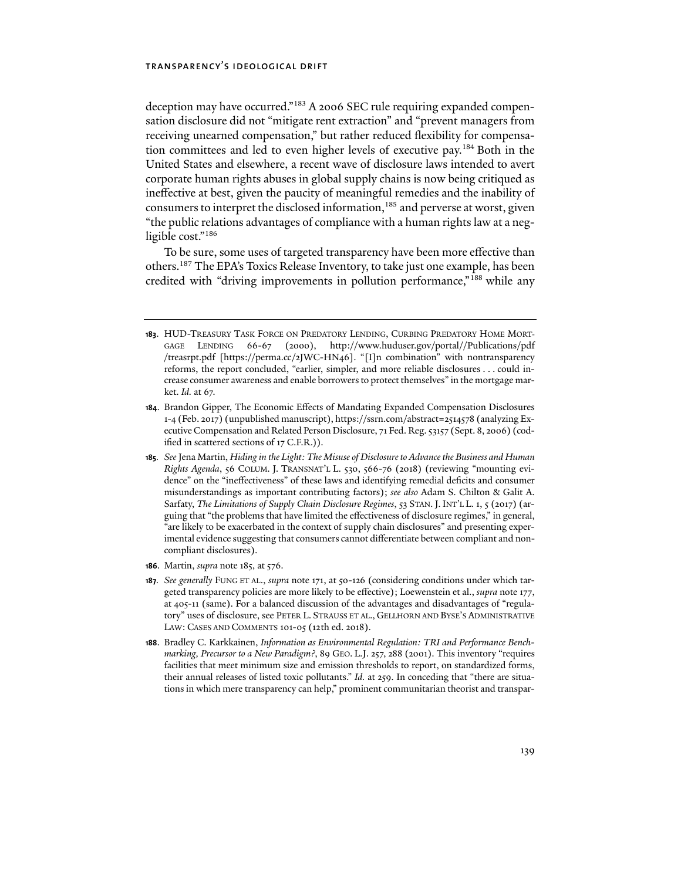deception may have occurred."<sup>183</sup> A 2006 SEC rule requiring expanded compensation disclosure did not "mitigate rent extraction" and "prevent managers from receiving unearned compensation," but rather reduced flexibility for compensation committees and led to even higher levels of executive pay.184 Both in the United States and elsewhere, a recent wave of disclosure laws intended to avert corporate human rights abuses in global supply chains is now being critiqued as ineffective at best, given the paucity of meaningful remedies and the inability of consumers to interpret the disclosed information,<sup>185</sup> and perverse at worst, given "the public relations advantages of compliance with a human rights law at a negligible cost."<sup>186</sup>

To be sure, some uses of targeted transparency have been more effective than others.187 The EPA's Toxics Release Inventory, to take just one example, has been credited with "driving improvements in pollution performance,"<sup>188</sup> while any

- **185***. See* Jena Martin, *Hiding in the Light: The Misuse of Disclosure to Advance the Business and Human Rights Agenda*, 56 COLUM. J. TRANSNAT'L L. 530, 566-76 (2018) (reviewing "mounting evidence" on the "ineffectiveness" of these laws and identifying remedial deficits and consumer misunderstandings as important contributing factors); *see also* Adam S. Chilton & Galit A. Sarfaty, *The Limitations of Supply Chain Disclosure Regimes*, 53 STAN.J. INT'L L. 1, 5 (2017) (arguing that "the problems that have limited the effectiveness of disclosure regimes," in general, "are likely to be exacerbated in the context of supply chain disclosures" and presenting experimental evidence suggesting that consumers cannot differentiate between compliant and noncompliant disclosures).
- **186**. Martin, *supra* note 185, at 576.
- **187***. See generally* FUNG ET AL., *supra* note 171, at 50-126 (considering conditions under which targeted transparency policies are more likely to be effective); Loewenstein et al., *supra* note 177, at 405-11 (same). For a balanced discussion of the advantages and disadvantages of "regulatory" uses of disclosure, see PETER L. STRAUSS ET AL., GELLHORN AND BYSE'S ADMINISTRATIVE LAW: CASES AND COMMENTS 101-05 (12th ed. 2018).
- **188**. Bradley C. Karkkainen, *Information as Environmental Regulation: TRI and Performance Benchmarking, Precursor to a New Paradigm?*, 89 GEO. L.J. 257, 288 (2001). This inventory "requires facilities that meet minimum size and emission thresholds to report, on standardized forms, their annual releases of listed toxic pollutants." *Id.* at 259. In conceding that "there are situations in which mere transparency can help," prominent communitarian theorist and transpar-

**<sup>183</sup>**. HUD-TREASURY TASK FORCE ON PREDATORY LENDING, CURBING PREDATORY HOME MORT-GAGE LENDING 66-67 (2000), http://www.huduser.gov/portal//Publications/pdf /treasrpt.pdf [https://perma.cc/2JWC-HN46]. "[I]n combination" with nontransparency reforms, the report concluded, "earlier, simpler, and more reliable disclosures . . . could increase consumer awareness and enable borrowers to protect themselves" in the mortgage market. *Id.* at 67.

**<sup>184</sup>**. Brandon Gipper, The Economic Effects of Mandating Expanded Compensation Disclosures 1-4 (Feb. 2017) (unpublished manuscript), https://ssrn.com/abstract=2514578 (analyzing Executive Compensation and Related Person Disclosure, 71 Fed. Reg. 53157 (Sept. 8, 2006) (codified in scattered sections of 17 C.F.R.)).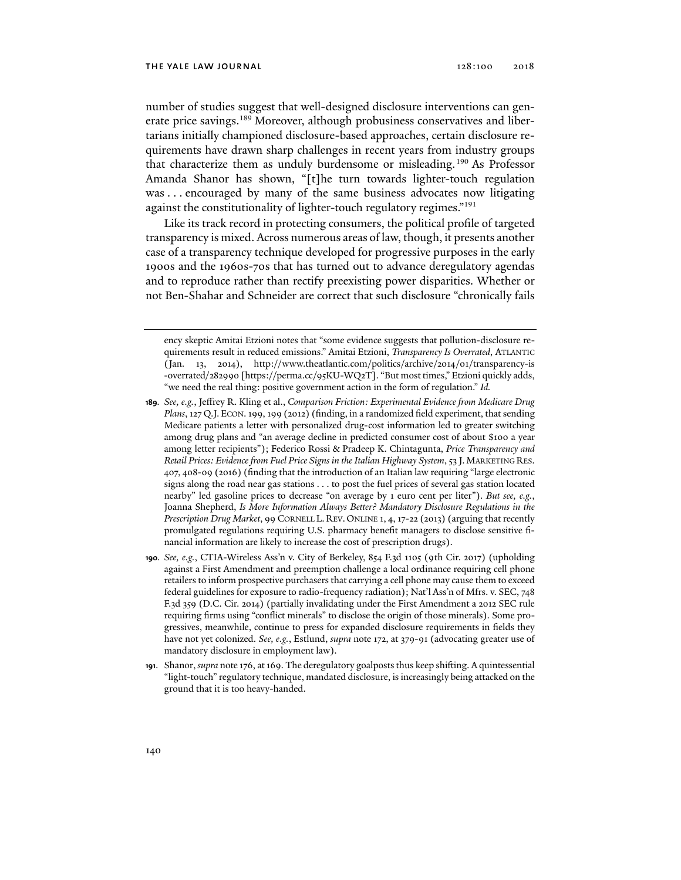number of studies suggest that well-designed disclosure interventions can generate price savings.<sup>189</sup> Moreover, although probusiness conservatives and libertarians initially championed disclosure-based approaches, certain disclosure requirements have drawn sharp challenges in recent years from industry groups that characterize them as unduly burdensome or misleading.<sup>190</sup> As Professor Amanda Shanor has shown, "[t]he turn towards lighter-touch regulation was ... encouraged by many of the same business advocates now litigating against the constitutionality of lighter-touch regulatory regimes."<sup>191</sup>

Like its track record in protecting consumers, the political profile of targeted transparency is mixed. Across numerous areas of law, though, it presents another case of a transparency technique developed for progressive purposes in the early 1900s and the 1960s-70s that has turned out to advance deregulatory agendas and to reproduce rather than rectify preexisting power disparities. Whether or not Ben-Shahar and Schneider are correct that such disclosure "chronically fails

ency skeptic Amitai Etzioni notes that "some evidence suggests that pollution-disclosure requirements result in reduced emissions." Amitai Etzioni, *Transparency Is Overrated*, ATLANTIC (Jan. 13, 2014), http://www.theatlantic.com/politics/archive/2014/01/transparency-is -overrated/282990 [https://perma.cc/95KU-WQ2T]. "But most times," Etzioni quickly adds, "we need the real thing: positive government action in the form of regulation." *Id.*

**<sup>189</sup>***. See, e.g.*, Jeffrey R. Kling et al., *Comparison Friction: Experimental Evidence from Medicare Drug Plans*, 127 Q.J. ECON. 199, 199 (2012) (finding, in a randomized field experiment, that sending Medicare patients a letter with personalized drug-cost information led to greater switching among drug plans and "an average decline in predicted consumer cost of about \$100 a year among letter recipients"); Federico Rossi & Pradeep K. Chintagunta, *Price Transparency and Retail Prices: Evidence from Fuel Price Signs in the Italian Highway System*, 53 J. MARKETING RES. 407, 408-09 (2016) (finding that the introduction of an Italian law requiring "large electronic signs along the road near gas stations . . . to post the fuel prices of several gas station located nearby" led gasoline prices to decrease "on average by 1 euro cent per liter"). *But see, e.g.*, Joanna Shepherd, *Is More Information Always Better? Mandatory Disclosure Regulations in the Prescription Drug Market*, 99 CORNELL L. REV. ONLINE 1, 4, 17-22 (2013) (arguing that recently promulgated regulations requiring U.S. pharmacy benefit managers to disclose sensitive financial information are likely to increase the cost of prescription drugs).

**<sup>190</sup>***. See, e.g.*, CTIA-Wireless Ass'n v. City of Berkeley, 854 F.3d 1105 (9th Cir. 2017) (upholding against a First Amendment and preemption challenge a local ordinance requiring cell phone retailers to inform prospective purchasers that carrying a cell phone may cause them to exceed federal guidelines for exposure to radio-frequency radiation); Nat'l Ass'n of Mfrs. v. SEC, 748 F.3d 359 (D.C. Cir. 2014) (partially invalidating under the First Amendment a 2012 SEC rule requiring firms using "conflict minerals" to disclose the origin of those minerals). Some progressives, meanwhile, continue to press for expanded disclosure requirements in fields they have not yet colonized. *See, e.g.*, Estlund, *supra* note 172, at 379-91 (advocating greater use of mandatory disclosure in employment law).

**<sup>191</sup>**. Shanor, *supra* note 176, at 169. The deregulatory goalposts thus keep shifting. A quintessential "light-touch" regulatory technique, mandated disclosure, is increasingly being attacked on the ground that it is too heavy-handed.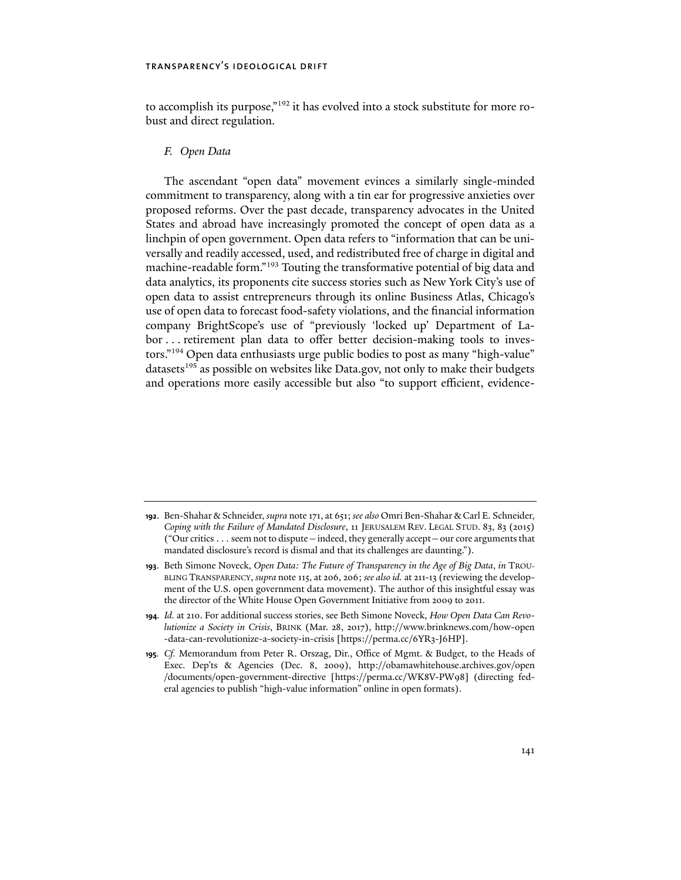to accomplish its purpose,"192 it has evolved into a stock substitute for more robust and direct regulation.

### *F. Open Data*

The ascendant "open data" movement evinces a similarly single-minded commitment to transparency, along with a tin ear for progressive anxieties over proposed reforms. Over the past decade, transparency advocates in the United States and abroad have increasingly promoted the concept of open data as a linchpin of open government. Open data refers to "information that can be universally and readily accessed, used, and redistributed free of charge in digital and machine-readable form."193 Touting the transformative potential of big data and data analytics, its proponents cite success stories such as New York City's use of open data to assist entrepreneurs through its online Business Atlas, Chicago's use of open data to forecast food-safety violations, and the financial information company BrightScope's use of "previously 'locked up' Department of Labor . . . retirement plan data to offer better decision-making tools to investors."194 Open data enthusiasts urge public bodies to post as many "high-value" datasets<sup>195</sup> as possible on websites like Data.gov, not only to make their budgets and operations more easily accessible but also "to support efficient, evidence-

**<sup>192</sup>**. Ben-Shahar & Schneider, *supra* note 171, at 651; *see also* Omri Ben-Shahar & Carl E. Schneider, *Coping with the Failure of Mandated Disclosure*, 11 JERUSALEM REV. LEGAL STUD. 83, 83 (2015) ("Our critics . . . seem not to dispute—indeed, they generally accept—our core arguments that mandated disclosure's record is dismal and that its challenges are daunting.").

**<sup>193</sup>**. Beth Simone Noveck, *Open Data: The Future of Transparency in the Age of Big Data*, *in* TROU-BLING TRANSPARENCY, *supra* note 115, at 206, 206; *see also id.* at 211-13 (reviewing the development of the U.S. open government data movement). The author of this insightful essay was the director of the White House Open Government Initiative from 2009 to 2011.

**<sup>194</sup>***. Id.* at 210. For additional success stories, see Beth Simone Noveck, *How Open Data Can Revolutionize a Society in Crisis*, BRINK (Mar. 28, 2017), http://www.brinknews.com/how-open -data-can-revolutionize-a-society-in-crisis [https://perma.cc/6YR3-J6HP].

**<sup>195</sup>***. Cf.* Memorandum from Peter R. Orszag, Dir., Office of Mgmt. & Budget, to the Heads of Exec. Dep'ts & Agencies (Dec. 8, 2009), http://obamawhitehouse.archives.gov/open /documents/open-government-directive [https://perma.cc/WK8V-PW98] (directing federal agencies to publish "high-value information" online in open formats).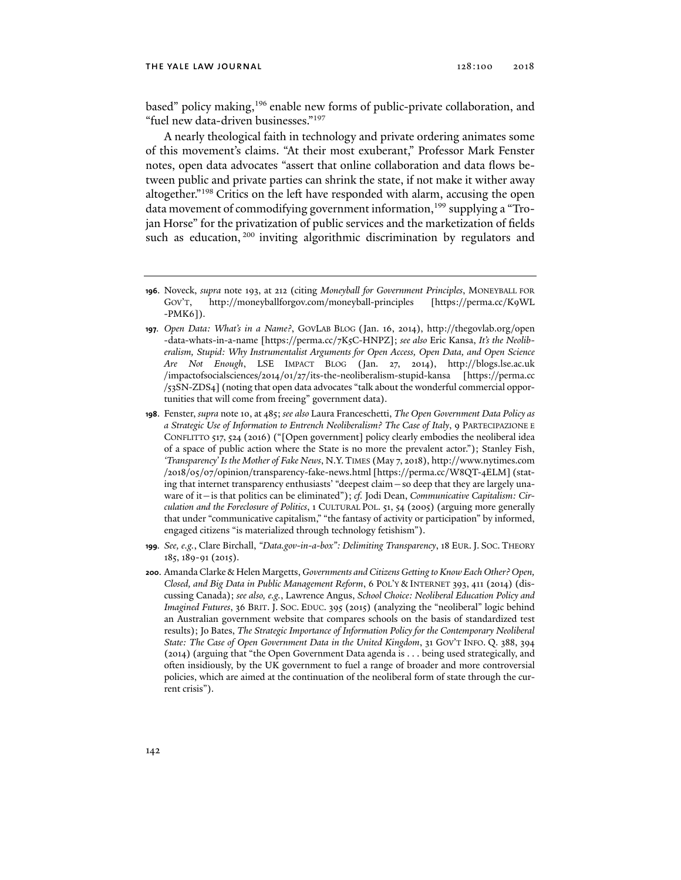based" policy making,<sup>196</sup> enable new forms of public-private collaboration, and "fuel new data-driven businesses."197

A nearly theological faith in technology and private ordering animates some of this movement's claims. "At their most exuberant," Professor Mark Fenster notes, open data advocates "assert that online collaboration and data flows between public and private parties can shrink the state, if not make it wither away altogether."<sup>198</sup> Critics on the left have responded with alarm, accusing the open data movement of commodifying government information,<sup>199</sup> supplying a "Trojan Horse" for the privatization of public services and the marketization of fields such as education, <sup>200</sup> inviting algorithmic discrimination by regulators and

- **199***. See, e.g.*, Clare Birchall, *"Data.gov-in-a-box": Delimiting Transparency*, 18 EUR.J. SOC. THEORY 185, 189-91 (2015).
- **200**. Amanda Clarke & Helen Margetts, *Governments and Citizens Getting to Know Each Other? Open, Closed, and Big Data in Public Management Reform*, 6 POL'Y & INTERNET 393, 411 (2014) (discussing Canada); *see also, e.g.*, Lawrence Angus, *School Choice: Neoliberal Education Policy and Imagined Futures*, 36 BRIT. J. SOC. EDUC. 395 (2015) (analyzing the "neoliberal" logic behind an Australian government website that compares schools on the basis of standardized test results); Jo Bates, *The Strategic Importance of Information Policy for the Contemporary Neoliberal State: The Case of Open Government Data in the United Kingdom*, 31 GOV'T INFO. Q. 388, 394 (2014) (arguing that "the Open Government Data agenda is . . . being used strategically, and often insidiously, by the UK government to fuel a range of broader and more controversial policies, which are aimed at the continuation of the neoliberal form of state through the current crisis").

**<sup>196</sup>**. Noveck, *supra* note 193, at 212 (citing *Moneyball for Government Principles*, MONEYBALL FOR GOV'T, http://moneyballforgov.com/moneyball-principles [https://perma.cc/K9WL -PMK6]).

**<sup>197</sup>***. Open Data: What's in a Name?*, GOVLAB BLOG (Jan. 16, 2014), http://thegovlab.org/open -data-whats-in-a-name [https://perma.cc/7K5C-HNPZ]; *see also* Eric Kansa, *It's the Neoliberalism, Stupid: Why Instrumentalist Arguments for Open Access, Open Data, and Open Science Are Not Enough*, LSE IMPACT BLOG (Jan. 27, 2014), http://blogs.lse.ac.uk /impactofsocialsciences/2014/01/27/its-the-neoliberalism-stupid-kansa [https://perma.cc /53SN-ZDS4] (noting that open data advocates "talk about the wonderful commercial opportunities that will come from freeing" government data).

**<sup>198</sup>**. Fenster, *supra* note 10, at 485; *see also* Laura Franceschetti, *The Open Government Data Policy as a Strategic Use of Information to Entrench Neoliberalism? The Case of Italy*, 9 PARTECIPAZIONE E CONFLITTO 517, 524 (2016) ("[Open government] policy clearly embodies the neoliberal idea of a space of public action where the State is no more the prevalent actor."); Stanley Fish, *'Transparency' Is the Mother of Fake News*, N.Y.TIMES (May 7, 2018), http://www.nytimes.com /2018/05/07/opinion/transparency-fake-news.html [https://perma.cc/W8QT-4ELM] (stating that internet transparency enthusiasts' "deepest claim—so deep that they are largely unaware of it—is that politics can be eliminated"); *cf.* Jodi Dean, *Communicative Capitalism: Circulation and the Foreclosure of Politics*, 1 CULTURAL POL. 51, 54 (2005) (arguing more generally that under "communicative capitalism," "the fantasy of activity or participation" by informed, engaged citizens "is materialized through technology fetishism").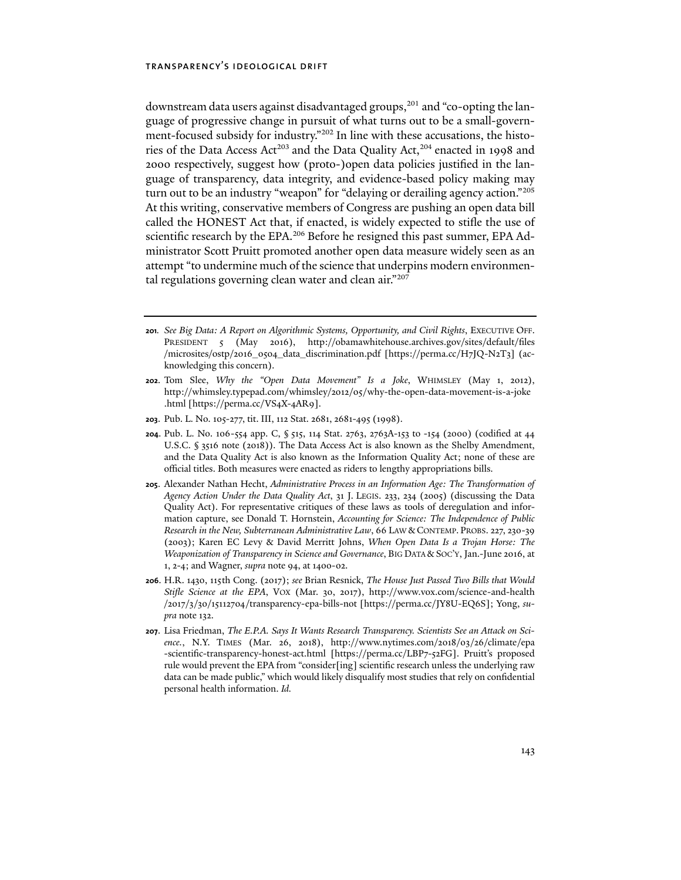downstream data users against disadvantaged groups,<sup>201</sup> and "co-opting the language of progressive change in pursuit of what turns out to be a small-government-focused subsidy for industry."202 In line with these accusations, the histories of the Data Access Act<sup>203</sup> and the Data Quality Act,<sup>204</sup> enacted in 1998 and 2000 respectively, suggest how (proto-)open data policies justified in the language of transparency, data integrity, and evidence-based policy making may turn out to be an industry "weapon" for "delaying or derailing agency action."205 At this writing, conservative members of Congress are pushing an open data bill called the HONEST Act that, if enacted, is widely expected to stifle the use of scientific research by the EPA.<sup>206</sup> Before he resigned this past summer, EPA Administrator Scott Pruitt promoted another open data measure widely seen as an attempt "to undermine much of the science that underpins modern environmental regulations governing clean water and clean air."207

- **201***. See Big Data: A Report on Algorithmic Systems, Opportunity, and Civil Rights*, EXECUTIVE OFF. PRESIDENT 5 (May 2016), http://obamawhitehouse.archives.gov/sites/default/files /microsites/ostp/2016\_0504\_data\_discrimination.pdf [https://perma.cc/H7JQ-N2T3] (acknowledging this concern).
- **202**. Tom Slee, *Why the "Open Data Movement" Is a Joke*, WHIMSLEY (May 1, 2012), http://whimsley.typepad.com/whimsley/2012/05/why-the-open-data-movement-is-a-joke .html [https://perma.cc/VS4X-4AR9].
- **203**. Pub. L. No. 105-277, tit. III, 112 Stat. 2681, 2681-495 (1998).
- **204**. Pub. L. No. 106-554 app. C, § 515, 114 Stat. 2763, 2763A-153 to -154 (2000) (codified at 44 U.S.C. § 3516 note (2018)). The Data Access Act is also known as the Shelby Amendment, and the Data Quality Act is also known as the Information Quality Act; none of these are official titles. Both measures were enacted as riders to lengthy appropriations bills.
- **205**. Alexander Nathan Hecht, *Administrative Process in an Information Age: The Transformation of Agency Action Under the Data Quality Act*, 31 J. LEGIS. 233, 234 (2005) (discussing the Data Quality Act). For representative critiques of these laws as tools of deregulation and information capture, see Donald T. Hornstein, *Accounting for Science: The Independence of Public Research in the New, Subterranean Administrative Law*, 66 LAW &CONTEMP. PROBS. 227, 230-39 (2003); Karen EC Levy & David Merritt Johns, *When Open Data Is a Trojan Horse: The Weaponization of Transparency in Science and Governance*, BIG DATA & SOC'Y, Jan.-June 2016, at 1, 2-4; and Wagner, *supra* note 94, at 1400-02.
- **206**. H.R. 1430, 115th Cong. (2017); *see* Brian Resnick, *The House Just Passed Two Bills that Would Stifle Science at the EPA*, VOX (Mar. 30, 2017), http://www.vox.com/science-and-health /2017/3/30/15112704/transparency-epa-bills-not [https://perma.cc/JY8U-EQ6S]; Yong, *supra* note 132.
- **207**. Lisa Friedman, *The E.P.A. Says It Wants Research Transparency. Scientists See an Attack on Science.*, N.Y. TIMES (Mar. 26, 2018), http://www.nytimes.com/2018/03/26/climate/epa -scientific-transparency-honest-act.html [https://perma.cc/LBP7-52FG]. Pruitt's proposed rule would prevent the EPA from "consider[ing] scientific research unless the underlying raw data can be made public," which would likely disqualify most studies that rely on confidential personal health information. *Id.*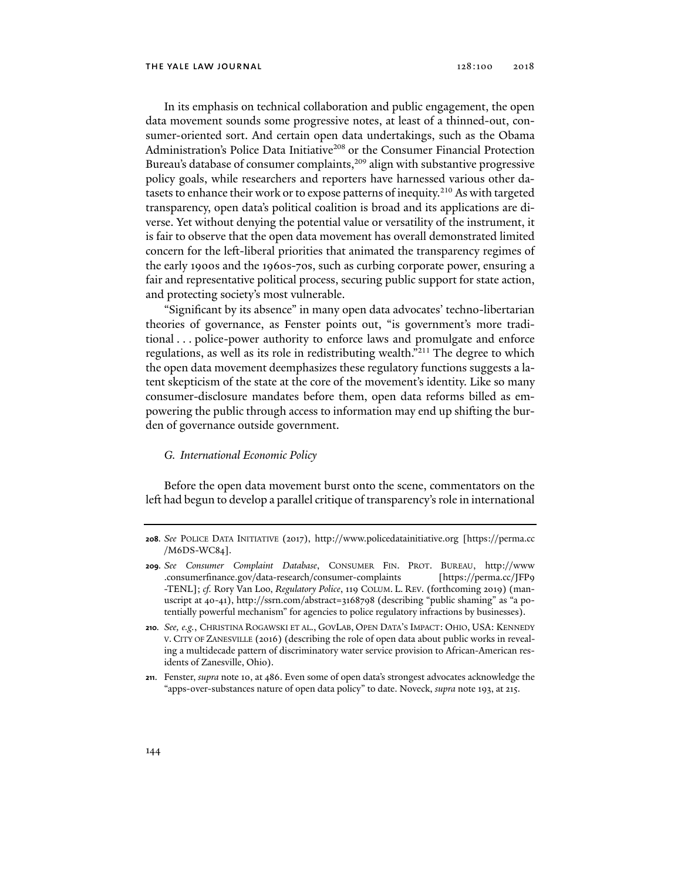In its emphasis on technical collaboration and public engagement, the open data movement sounds some progressive notes, at least of a thinned-out, consumer-oriented sort. And certain open data undertakings, such as the Obama Administration's Police Data Initiative<sup>208</sup> or the Consumer Financial Protection Bureau's database of consumer complaints,<sup>209</sup> align with substantive progressive policy goals, while researchers and reporters have harnessed various other datasets to enhance their work or to expose patterns of inequity.<sup>210</sup> As with targeted transparency, open data's political coalition is broad and its applications are diverse. Yet without denying the potential value or versatility of the instrument, it is fair to observe that the open data movement has overall demonstrated limited concern for the left-liberal priorities that animated the transparency regimes of the early 1900s and the 1960s-70s, such as curbing corporate power, ensuring a fair and representative political process, securing public support for state action, and protecting society's most vulnerable.

"Significant by its absence" in many open data advocates' techno-libertarian theories of governance, as Fenster points out, "is government's more traditional . . . police-power authority to enforce laws and promulgate and enforce regulations, as well as its role in redistributing wealth."211 The degree to which the open data movement deemphasizes these regulatory functions suggests a latent skepticism of the state at the core of the movement's identity. Like so many consumer-disclosure mandates before them, open data reforms billed as empowering the public through access to information may end up shifting the burden of governance outside government.

### *G. International Economic Policy*

Before the open data movement burst onto the scene, commentators on the left had begun to develop a parallel critique of transparency's role in international

**211**. Fenster, *supra* note 10, at 486. Even some of open data's strongest advocates acknowledge the "apps-over-substances nature of open data policy" to date. Noveck, *supra* note 193, at 215.

**<sup>208</sup>***. See* POLICE DATA INITIATIVE (2017), http://www.policedatainitiative.org [https://perma.cc /M6DS-WC84].

**<sup>209</sup>***. See Consumer Complaint Database*, CONSUMER FIN. PROT. BUREAU, http://www .consumerfinance.gov/data-research/consumer-complaints [https://perma.cc/JFP9 -TENL]; *cf.* Rory Van Loo, *Regulatory Police*, 119 COLUM. L. REV. (forthcoming 2019) (manuscript at 40-41), http://ssrn.com/abstract=3168798 (describing "public shaming" as "a potentially powerful mechanism" for agencies to police regulatory infractions by businesses).

**<sup>210</sup>***. See, e.g.*, CHRISTINA ROGAWSKI ET AL., GOVLAB, OPEN DATA'S IMPACT: OHIO, USA: KENNEDY V. CITY OF ZANESVILLE (2016) (describing the role of open data about public works in revealing a multidecade pattern of discriminatory water service provision to African-American residents of Zanesville, Ohio).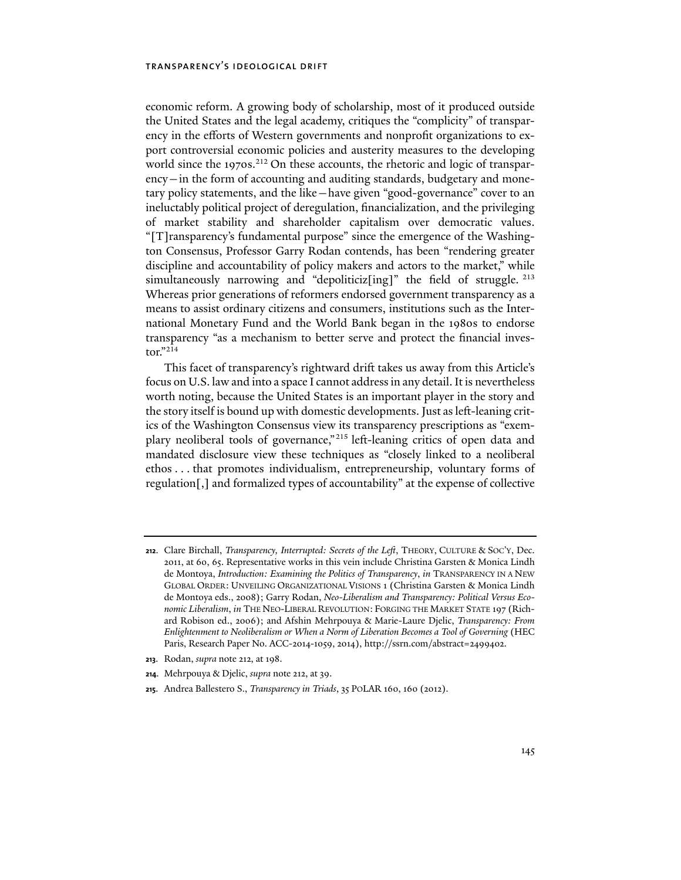economic reform. A growing body of scholarship, most of it produced outside the United States and the legal academy, critiques the "complicity" of transparency in the efforts of Western governments and nonprofit organizations to export controversial economic policies and austerity measures to the developing world since the 1970s.<sup>212</sup> On these accounts, the rhetoric and logic of transparency—in the form of accounting and auditing standards, budgetary and monetary policy statements, and the like—have given "good-governance" cover to an ineluctably political project of deregulation, financialization, and the privileging of market stability and shareholder capitalism over democratic values. "[T]ransparency's fundamental purpose" since the emergence of the Washington Consensus, Professor Garry Rodan contends, has been "rendering greater discipline and accountability of policy makers and actors to the market," while simultaneously narrowing and "depoliticiz[ing]" the field of struggle.  $^{213}$ Whereas prior generations of reformers endorsed government transparency as a means to assist ordinary citizens and consumers, institutions such as the International Monetary Fund and the World Bank began in the 1980s to endorse transparency "as a mechanism to better serve and protect the financial investor."214

This facet of transparency's rightward drift takes us away from this Article's focus on U.S. law and into a space I cannot address in any detail. It is nevertheless worth noting, because the United States is an important player in the story and the story itself is bound up with domestic developments. Just as left-leaning critics of the Washington Consensus view its transparency prescriptions as "exemplary neoliberal tools of governance,"<sup>215</sup> left-leaning critics of open data and mandated disclosure view these techniques as "closely linked to a neoliberal ethos . . . that promotes individualism, entrepreneurship, voluntary forms of regulation[,] and formalized types of accountability" at the expense of collective

- **213**. Rodan, *supra* note 212, at 198.
- **214**. Mehrpouya & Djelic, *supra* note 212, at 39.

**<sup>212</sup>**. Clare Birchall, *Transparency, Interrupted: Secrets of the Left*, THEORY, CULTURE & SOC'Y, Dec. 2011, at 60, 65. Representative works in this vein include Christina Garsten & Monica Lindh de Montoya, *Introduction: Examining the Politics of Transparency*, *in* TRANSPARENCY IN A NEW GLOBAL ORDER: UNVEILING ORGANIZATIONAL VISIONS 1 (Christina Garsten & Monica Lindh de Montoya eds., 2008); Garry Rodan, *Neo-Liberalism and Transparency: Political Versus Economic Liberalism*, *in* THE NEO-LIBERAL REVOLUTION: FORGING THE MARKET STATE 197 (Richard Robison ed., 2006); and Afshin Mehrpouya & Marie-Laure Djelic, *Transparency: From Enlightenment to Neoliberalism or When a Norm of Liberation Becomes a Tool of Governing* (HEC Paris, Research Paper No. ACC-2014-1059, 2014), http://ssrn.com/abstract=2499402.

**<sup>215</sup>**. Andrea Ballestero S., *Transparency in Triads*, 35 POLAR 160, 160 (2012).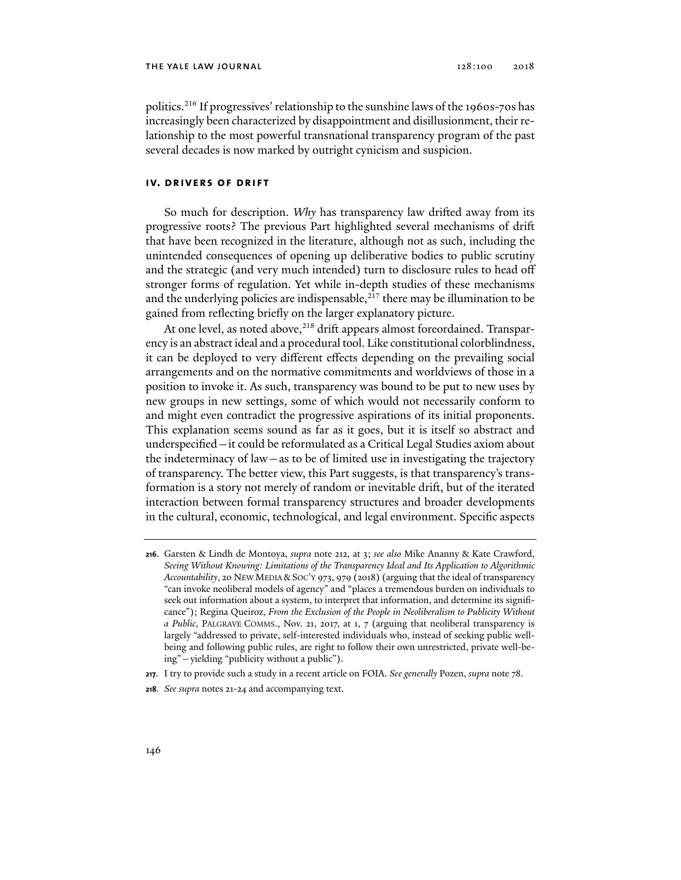politics.216 If progressives' relationship to the sunshine laws of the 1960s-70s has increasingly been characterized by disappointment and disillusionment, their relationship to the most powerful transnational transparency program of the past several decades is now marked by outright cynicism and suspicion.

### **iv. drivers of drift**

So much for description. *Why* has transparency law drifted away from its progressive roots? The previous Part highlighted several mechanisms of drift that have been recognized in the literature, although not as such, including the unintended consequences of opening up deliberative bodies to public scrutiny and the strategic (and very much intended) turn to disclosure rules to head off stronger forms of regulation. Yet while in-depth studies of these mechanisms and the underlying policies are indispensable,<sup>217</sup> there may be illumination to be gained from reflecting briefly on the larger explanatory picture.

At one level, as noted above,<sup>218</sup> drift appears almost foreordained. Transparency is an abstract ideal and a procedural tool. Like constitutional colorblindness, it can be deployed to very different effects depending on the prevailing social arrangements and on the normative commitments and worldviews of those in a position to invoke it. As such, transparency was bound to be put to new uses by new groups in new settings, some of which would not necessarily conform to and might even contradict the progressive aspirations of its initial proponents. This explanation seems sound as far as it goes, but it is itself so abstract and underspecified—it could be reformulated as a Critical Legal Studies axiom about the indeterminacy of law—as to be of limited use in investigating the trajectory of transparency. The better view, this Part suggests, is that transparency's transformation is a story not merely of random or inevitable drift, but of the iterated interaction between formal transparency structures and broader developments in the cultural, economic, technological, and legal environment. Specific aspects

**<sup>216</sup>**. Garsten & Lindh de Montoya, *supra* note 212, at 3; *see also* Mike Ananny & Kate Crawford, *Seeing Without Knowing: Limitations of the Transparency Ideal and Its Application to Algorithmic Accountability*, 20 NEW MEDIA &SOC'Y 973, 979 (2018) (arguing that the ideal of transparency "can invoke neoliberal models of agency" and "places a tremendous burden on individuals to seek out information about a system, to interpret that information, and determine its significance"); Regina Queiroz, *From the Exclusion of the People in Neoliberalism to Publicity Without a Public*, PALGRAVE COMMS., Nov. 21, 2017, at 1, 7 (arguing that neoliberal transparency is largely "addressed to private, self-interested individuals who, instead of seeking public wellbeing and following public rules, are right to follow their own unrestricted, private well-being"—yielding "publicity without a public").

**<sup>217</sup>**. I try to provide such a study in a recent article on FOIA. *See generally* Pozen, *supra* note 78.

**<sup>218</sup>***. See supra* notes 21-24 and accompanying text.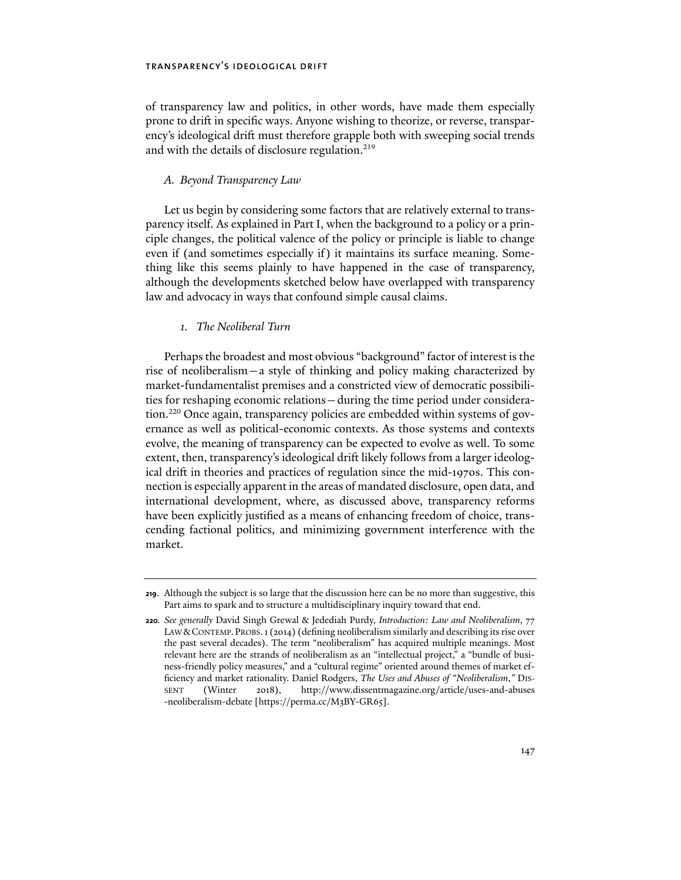of transparency law and politics, in other words, have made them especially prone to drift in specific ways. Anyone wishing to theorize, or reverse, transparency's ideological drift must therefore grapple both with sweeping social trends and with the details of disclosure regulation.<sup>219</sup>

### *A. Beyond Transparency Law*

Let us begin by considering some factors that are relatively external to transparency itself. As explained in Part I, when the background to a policy or a principle changes, the political valence of the policy or principle is liable to change even if (and sometimes especially if) it maintains its surface meaning. Something like this seems plainly to have happened in the case of transparency, although the developments sketched below have overlapped with transparency law and advocacy in ways that confound simple causal claims.

### *1. The Neoliberal Turn*

Perhaps the broadest and most obvious "background" factor of interest is the rise of neoliberalism—a style of thinking and policy making characterized by market-fundamentalist premises and a constricted view of democratic possibilities for reshaping economic relations—during the time period under consideration.<sup>220</sup> Once again, transparency policies are embedded within systems of governance as well as political-economic contexts. As those systems and contexts evolve, the meaning of transparency can be expected to evolve as well. To some extent, then, transparency's ideological drift likely follows from a larger ideological drift in theories and practices of regulation since the mid-1970s. This connection is especially apparent in the areas of mandated disclosure, open data, and international development, where, as discussed above, transparency reforms have been explicitly justified as a means of enhancing freedom of choice, transcending factional politics, and minimizing government interference with the market.

**<sup>219</sup>**. Although the subject is so large that the discussion here can be no more than suggestive, this Part aims to spark and to structure a multidisciplinary inquiry toward that end.

**<sup>220</sup>***. See generally* David Singh Grewal & Jedediah Purdy, *Introduction: Law and Neoliberalism*, 77 LAW &CONTEMP.PROBS.1 (2014) (defining neoliberalism similarly and describing its rise over the past several decades). The term "neoliberalism" has acquired multiple meanings. Most relevant here are the strands of neoliberalism as an "intellectual project," a "bundle of business-friendly policy measures," and a "cultural regime" oriented around themes of market efficiency and market rationality. Daniel Rodgers, *The Uses and Abuses of "Neoliberalism*,*"* DIS-SENT (Winter 2018), http://www.dissentmagazine.org/article/uses-and-abuses -neoliberalism-debate [https://perma.cc/M3BY-GR65].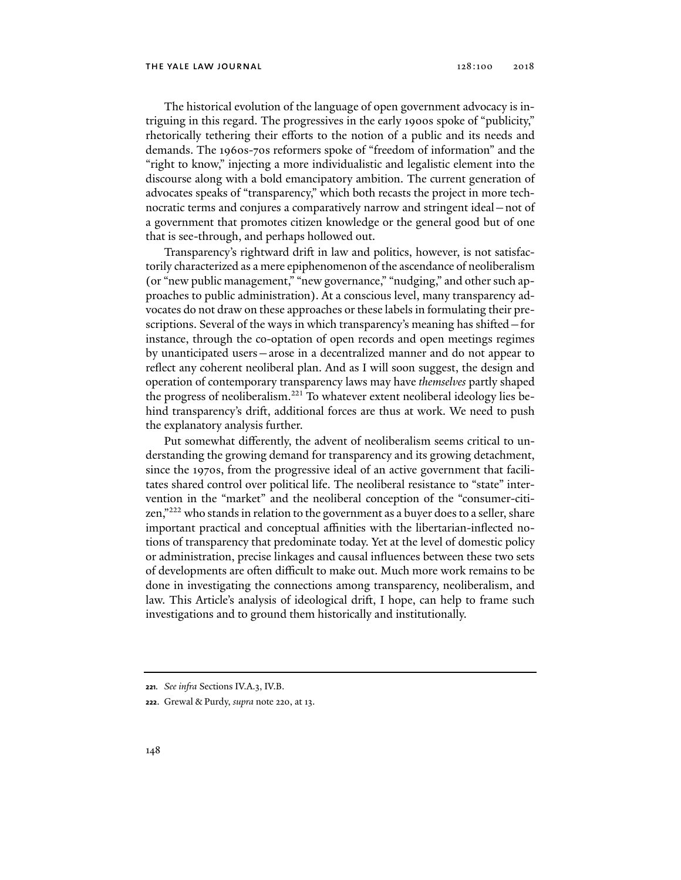The historical evolution of the language of open government advocacy is intriguing in this regard. The progressives in the early 1900s spoke of "publicity," rhetorically tethering their efforts to the notion of a public and its needs and demands. The 1960s-70s reformers spoke of "freedom of information" and the "right to know," injecting a more individualistic and legalistic element into the discourse along with a bold emancipatory ambition. The current generation of advocates speaks of "transparency," which both recasts the project in more technocratic terms and conjures a comparatively narrow and stringent ideal—not of a government that promotes citizen knowledge or the general good but of one that is see-through, and perhaps hollowed out.

Transparency's rightward drift in law and politics, however, is not satisfactorily characterized as a mere epiphenomenon of the ascendance of neoliberalism (or "new public management," "new governance," "nudging," and other such approaches to public administration). At a conscious level, many transparency advocates do not draw on these approaches or these labels in formulating their prescriptions. Several of the ways in which transparency's meaning has shifted—for instance, through the co-optation of open records and open meetings regimes by unanticipated users—arose in a decentralized manner and do not appear to reflect any coherent neoliberal plan. And as I will soon suggest, the design and operation of contemporary transparency laws may have *themselves* partly shaped the progress of neoliberalism.<sup>221</sup> To whatever extent neoliberal ideology lies behind transparency's drift, additional forces are thus at work. We need to push the explanatory analysis further.

Put somewhat differently, the advent of neoliberalism seems critical to understanding the growing demand for transparency and its growing detachment, since the 1970s, from the progressive ideal of an active government that facilitates shared control over political life. The neoliberal resistance to "state" intervention in the "market" and the neoliberal conception of the "consumer-citizen,"222 who stands in relation to the government as a buyer does to a seller, share important practical and conceptual affinities with the libertarian-inflected notions of transparency that predominate today. Yet at the level of domestic policy or administration, precise linkages and causal influences between these two sets of developments are often difficult to make out. Much more work remains to be done in investigating the connections among transparency, neoliberalism, and law. This Article's analysis of ideological drift, I hope, can help to frame such investigations and to ground them historically and institutionally.

**<sup>221</sup>***. See infra* Sections IV.A.3, IV.B.

**<sup>222</sup>**. Grewal & Purdy, *supra* note 220, at 13.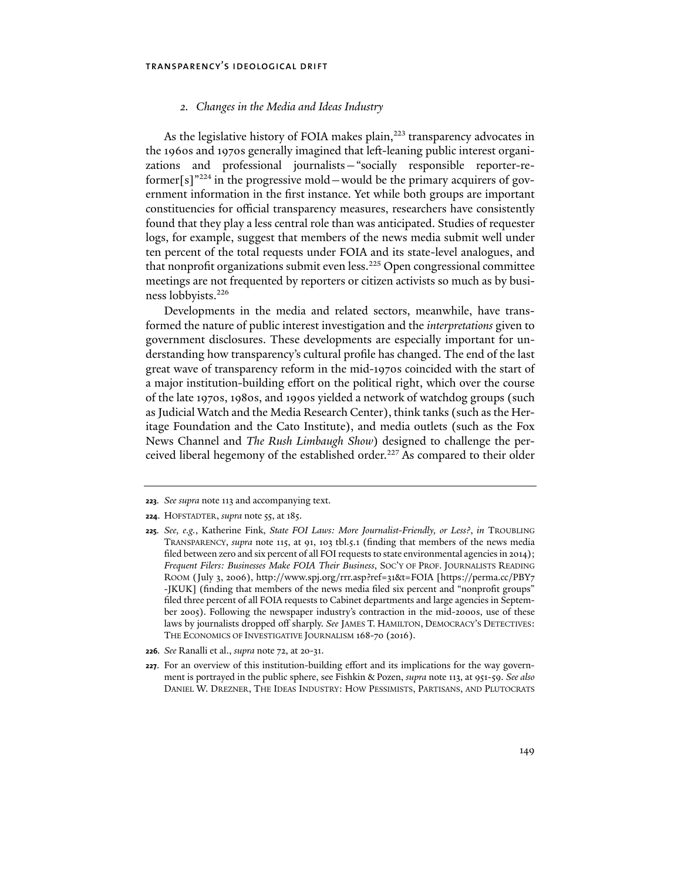### *2. Changes in the Media and Ideas Industry*

As the legislative history of FOIA makes plain,<sup>223</sup> transparency advocates in the 1960s and 1970s generally imagined that left-leaning public interest organizations and professional journalists—"socially responsible reporter-reformer[s] $"^{224}$  in the progressive mold —would be the primary acquirers of government information in the first instance. Yet while both groups are important constituencies for official transparency measures, researchers have consistently found that they play a less central role than was anticipated. Studies of requester logs, for example, suggest that members of the news media submit well under ten percent of the total requests under FOIA and its state-level analogues, and that nonprofit organizations submit even less.<sup>225</sup> Open congressional committee meetings are not frequented by reporters or citizen activists so much as by business lobbyists.226

Developments in the media and related sectors, meanwhile, have transformed the nature of public interest investigation and the *interpretations* given to government disclosures. These developments are especially important for understanding how transparency's cultural profile has changed. The end of the last great wave of transparency reform in the mid-1970s coincided with the start of a major institution-building effort on the political right, which over the course of the late 1970s, 1980s, and 1990s yielded a network of watchdog groups (such as Judicial Watch and the Media Research Center), think tanks (such as the Heritage Foundation and the Cato Institute), and media outlets (such as the Fox News Channel and *The Rush Limbaugh Show*) designed to challenge the perceived liberal hegemony of the established order.<sup>227</sup> As compared to their older

**<sup>223</sup>***. See supra* note 113 and accompanying text.

**<sup>224</sup>**. HOFSTADTER, *supra* note 55, at 185.

**<sup>225</sup>***. See, e.g.*, Katherine Fink, *State FOI Laws: More Journalist-Friendly, or Less?*, *in* TROUBLING TRANSPARENCY, *supra* note 115, at 91, 103 tbl.5.1 (finding that members of the news media filed between zero and six percent of all FOI requests to state environmental agencies in 2014); *Frequent Filers: Businesses Make FOIA Their Business*, SOC'Y OF PROF. JOURNALISTS READING ROOM (July 3, 2006), http://www.spj.org/rrr.asp?ref=31&t=FOIA [https://perma.cc/PBY7 -JKUK] (finding that members of the news media filed six percent and "nonprofit groups" filed three percent of all FOIA requests to Cabinet departments and large agencies in September 2005). Following the newspaper industry's contraction in the mid-2000s, use of these laws by journalists dropped off sharply. *See* JAMES T. HAMILTON, DEMOCRACY'S DETECTIVES: THE ECONOMICS OF INVESTIGATIVE JOURNALISM 168-70 (2016).

**<sup>226</sup>***. See* Ranalli et al., *supra* note 72, at 20-31.

**<sup>227</sup>**. For an overview of this institution-building effort and its implications for the way government is portrayed in the public sphere, see Fishkin & Pozen, *supra* note 113, at 951-59. *See also*  DANIEL W. DREZNER, THE IDEAS INDUSTRY: HOW PESSIMISTS, PARTISANS, AND PLUTOCRATS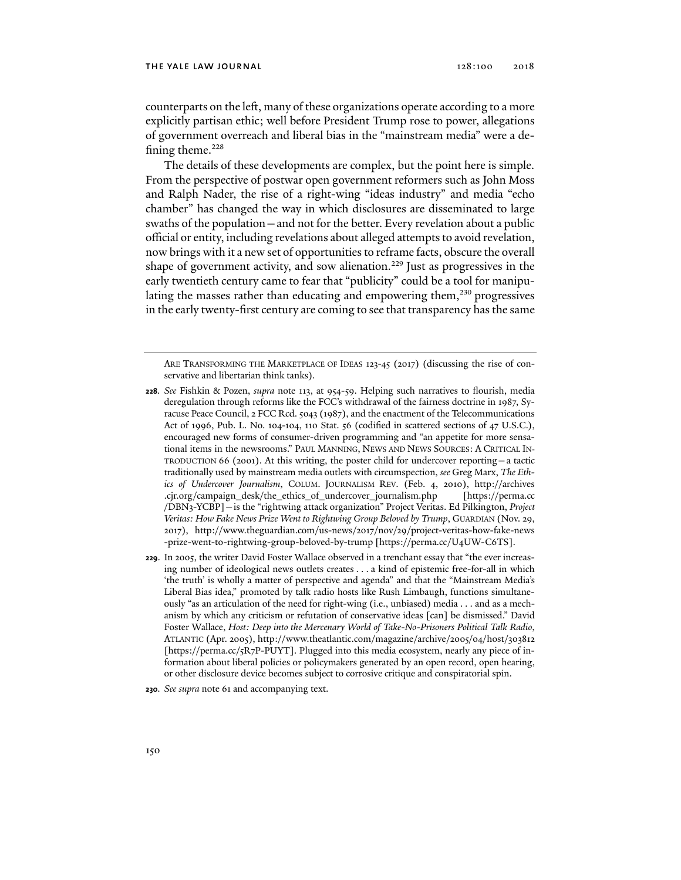counterparts on the left, many of these organizations operate according to a more explicitly partisan ethic; well before President Trump rose to power, allegations of government overreach and liberal bias in the "mainstream media" were a defining theme. $228$ 

The details of these developments are complex, but the point here is simple. From the perspective of postwar open government reformers such as John Moss and Ralph Nader, the rise of a right-wing "ideas industry" and media "echo chamber" has changed the way in which disclosures are disseminated to large swaths of the population—and not for the better. Every revelation about a public official or entity, including revelations about alleged attempts to avoid revelation, now brings with it a new set of opportunities to reframe facts, obscure the overall shape of government activity, and sow alienation.<sup>229</sup> Just as progressives in the early twentieth century came to fear that "publicity" could be a tool for manipulating the masses rather than educating and empowering them,<sup>230</sup> progressives in the early twenty-first century are coming to see that transparency has the same

ARE TRANSFORMING THE MARKETPLACE OF IDEAS 123-45 (2017) (discussing the rise of conservative and libertarian think tanks).

- **228***. See* Fishkin & Pozen, *supra* note 113, at 954-59. Helping such narratives to flourish, media deregulation through reforms like the FCC's withdrawal of the fairness doctrine in 1987, Syracuse Peace Council, 2 FCC Rcd. 5043 (1987), and the enactment of the Telecommunications Act of 1996, Pub. L. No. 104-104, 110 Stat. 56 (codified in scattered sections of 47 U.S.C.), encouraged new forms of consumer-driven programming and "an appetite for more sensational items in the newsrooms." PAUL MANNING, NEWS AND NEWS SOURCES: A CRITICAL IN-TRODUCTION 66 (2001). At this writing, the poster child for undercover reporting—a tactic traditionally used by mainstream media outlets with circumspection, *see* Greg Marx, *The Ethics of Undercover Journalism*, COLUM. JOURNALISM REV. (Feb. 4, 2010), http://archives .cjr.org/campaign\_desk/the\_ethics\_of\_undercover\_journalism.php [https://perma.cc /DBN3-YCBP]—is the "rightwing attack organization" Project Veritas. Ed Pilkington, *Project Veritas: How Fake News Prize Went to Rightwing Group Beloved by Trump*, GUARDIAN (Nov. 29, 2017), http://www.theguardian.com/us-news/2017/nov/29/project-veritas-how-fake-news -prize-went-to-rightwing-group-beloved-by-trump [https://perma.cc/U4UW-C6TS].
- **229**. In 2005, the writer David Foster Wallace observed in a trenchant essay that "the ever increasing number of ideological news outlets creates . . . a kind of epistemic free-for-all in which 'the truth' is wholly a matter of perspective and agenda" and that the "Mainstream Media's Liberal Bias idea," promoted by talk radio hosts like Rush Limbaugh, functions simultaneously "as an articulation of the need for right-wing (i.e., unbiased) media . . . and as a mechanism by which any criticism or refutation of conservative ideas [can] be dismissed." David Foster Wallace, *Host: Deep into the Mercenary World of Take-No-Prisoners Political Talk Radio*, ATLANTIC (Apr. 2005), http://www.theatlantic.com/magazine/archive/2005/04/host/303812 [https://perma.cc/5R7P-PUYT]. Plugged into this media ecosystem, nearly any piece of information about liberal policies or policymakers generated by an open record, open hearing, or other disclosure device becomes subject to corrosive critique and conspiratorial spin.

**<sup>230</sup>***. See supra* note 61 and accompanying text.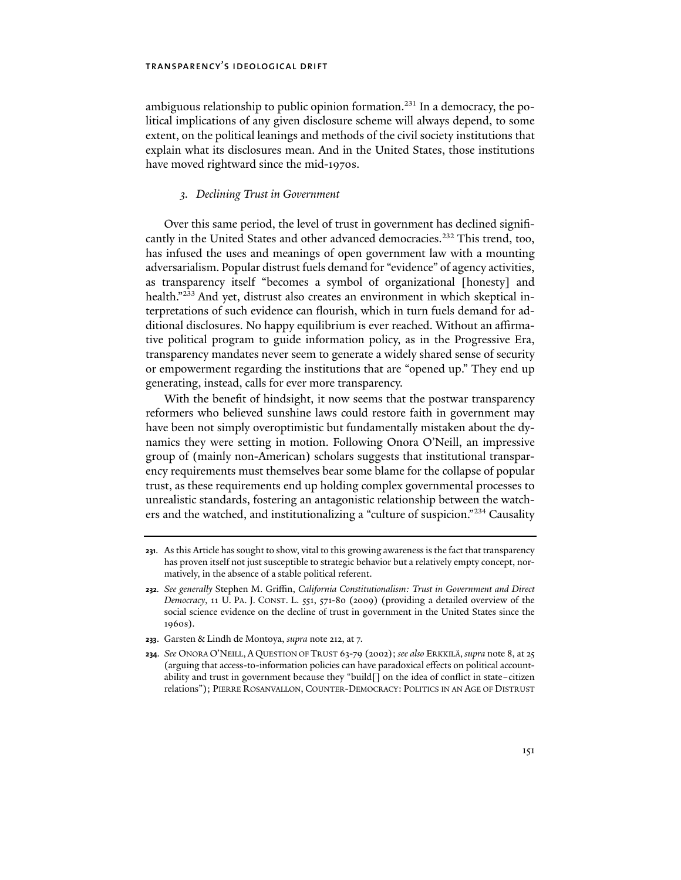ambiguous relationship to public opinion formation.231 In a democracy, the political implications of any given disclosure scheme will always depend, to some extent, on the political leanings and methods of the civil society institutions that explain what its disclosures mean. And in the United States, those institutions have moved rightward since the mid-1970s.

### *3. Declining Trust in Government*

Over this same period, the level of trust in government has declined significantly in the United States and other advanced democracies.<sup>232</sup> This trend, too, has infused the uses and meanings of open government law with a mounting adversarialism. Popular distrust fuels demand for "evidence" of agency activities, as transparency itself "becomes a symbol of organizational [honesty] and health."<sup>233</sup> And yet, distrust also creates an environment in which skeptical interpretations of such evidence can flourish, which in turn fuels demand for additional disclosures. No happy equilibrium is ever reached. Without an affirmative political program to guide information policy, as in the Progressive Era, transparency mandates never seem to generate a widely shared sense of security or empowerment regarding the institutions that are "opened up." They end up generating, instead, calls for ever more transparency.

With the benefit of hindsight, it now seems that the postwar transparency reformers who believed sunshine laws could restore faith in government may have been not simply overoptimistic but fundamentally mistaken about the dynamics they were setting in motion. Following Onora O'Neill, an impressive group of (mainly non-American) scholars suggests that institutional transparency requirements must themselves bear some blame for the collapse of popular trust, as these requirements end up holding complex governmental processes to unrealistic standards, fostering an antagonistic relationship between the watchers and the watched, and institutionalizing a "culture of suspicion."234 Causality

**233**. Garsten & Lindh de Montoya, *supra* note 212, at 7.

**<sup>231</sup>**. As this Article has sought to show, vital to this growing awareness is the fact that transparency has proven itself not just susceptible to strategic behavior but a relatively empty concept, normatively, in the absence of a stable political referent.

**<sup>232</sup>***. See generally* Stephen M. Griffin, *California Constitutionalism: Trust in Government and Direct Democracy*, 11 U. PA. J. CONST. L. 551, 571-80 (2009) (providing a detailed overview of the social science evidence on the decline of trust in government in the United States since the 1960s).

**<sup>234</sup>***. See* ONORA O'NEILL, A QUESTION OF TRUST 63-79 (2002); *see also* ERKKILÄ, *supra* note 8, at 25 (arguing that access-to-information policies can have paradoxical effects on political accountability and trust in government because they "build[] on the idea of conflict in state–citizen relations"); PIERRE ROSANVALLON, COUNTER-DEMOCRACY: POLITICS IN AN AGE OF DISTRUST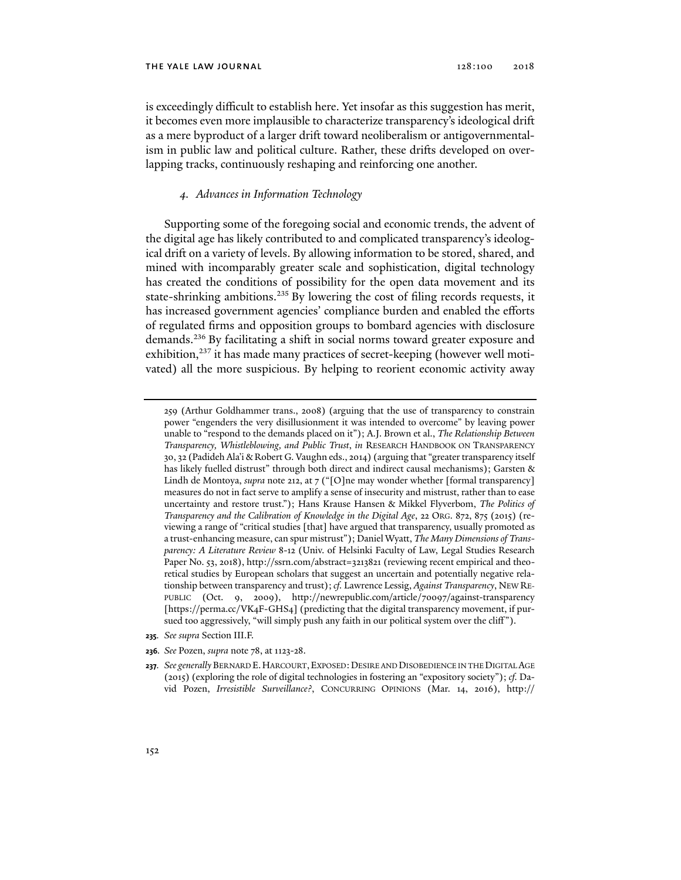is exceedingly difficult to establish here. Yet insofar as this suggestion has merit, it becomes even more implausible to characterize transparency's ideological drift as a mere byproduct of a larger drift toward neoliberalism or antigovernmentalism in public law and political culture. Rather, these drifts developed on overlapping tracks, continuously reshaping and reinforcing one another.

### *4. Advances in Information Technology*

Supporting some of the foregoing social and economic trends, the advent of the digital age has likely contributed to and complicated transparency's ideological drift on a variety of levels. By allowing information to be stored, shared, and mined with incomparably greater scale and sophistication, digital technology has created the conditions of possibility for the open data movement and its state-shrinking ambitions.<sup>235</sup> By lowering the cost of filing records requests, it has increased government agencies' compliance burden and enabled the efforts of regulated firms and opposition groups to bombard agencies with disclosure demands.236 By facilitating a shift in social norms toward greater exposure and exhibition,<sup>237</sup> it has made many practices of secret-keeping (however well motivated) all the more suspicious. By helping to reorient economic activity away

- **235***. See supra* Section III.F.
- **236***. See* Pozen, *supra* note 78, at 1123-28.
- 237*. See generally BERNARD E. HARCOURT, EXPOSED: DESIRE AND DISOBEDIENCE IN THE DIGITAL AGE* (2015) (exploring the role of digital technologies in fostering an "expository society"); *cf.* David Pozen, *Irresistible Surveillance?*, CONCURRING OPINIONS (Mar. 14, 2016), http://

<sup>259 (</sup>Arthur Goldhammer trans., 2008) (arguing that the use of transparency to constrain power "engenders the very disillusionment it was intended to overcome" by leaving power unable to "respond to the demands placed on it"); A.J. Brown et al., *The Relationship Between Transparency, Whistleblowing, and Public Trust*, *in* RESEARCH HANDBOOK ON TRANSPARENCY 30, 32 (Padideh Ala'i & Robert G. Vaughn eds., 2014) (arguing that "greater transparency itself has likely fuelled distrust" through both direct and indirect causal mechanisms); Garsten & Lindh de Montoya, *supra* note 212, at 7 ("[O]ne may wonder whether [formal transparency] measures do not in fact serve to amplify a sense of insecurity and mistrust, rather than to ease uncertainty and restore trust."); Hans Krause Hansen & Mikkel Flyverbom, *The Politics of Transparency and the Calibration of Knowledge in the Digital Age*, 22 ORG. 872, 875 (2015) (reviewing a range of "critical studies [that] have argued that transparency, usually promoted as a trust-enhancing measure, can spur mistrust"); Daniel Wyatt, *The Many Dimensions of Transparency: A Literature Review* 8-12 (Univ. of Helsinki Faculty of Law, Legal Studies Research Paper No. 53, 2018), http://ssrn.com/abstract=3213821 (reviewing recent empirical and theoretical studies by European scholars that suggest an uncertain and potentially negative relationship between transparency and trust); *cf.* Lawrence Lessig, *Against Transparency*, NEW RE-PUBLIC (Oct. 9, 2009), http://newrepublic.com/article/70097/against-transparency [https://perma.cc/VK4F-GHS4] (predicting that the digital transparency movement, if pursued too aggressively, "will simply push any faith in our political system over the cliff").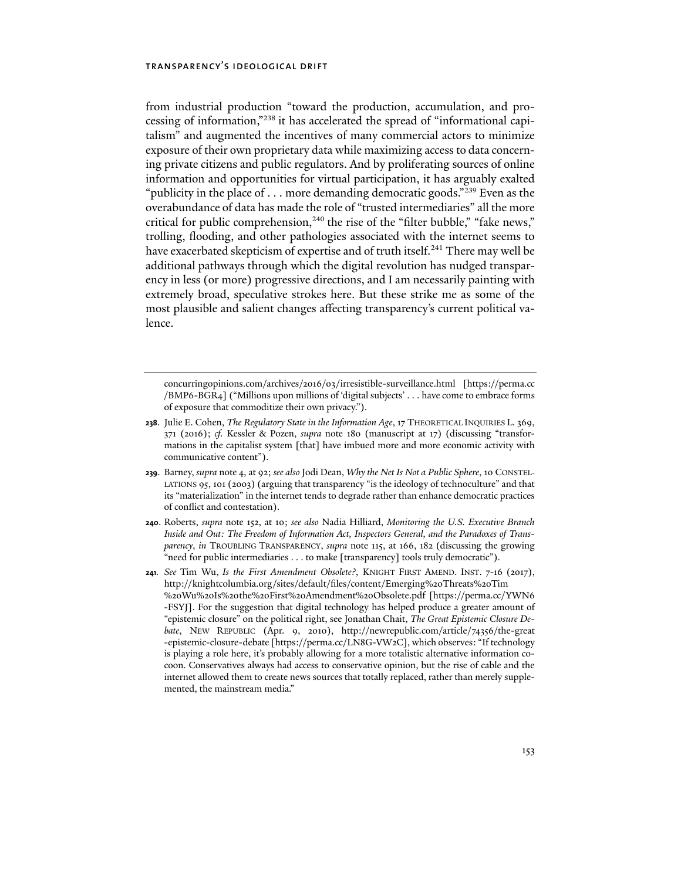from industrial production "toward the production, accumulation, and processing of information,"238 it has accelerated the spread of "informational capitalism" and augmented the incentives of many commercial actors to minimize exposure of their own proprietary data while maximizing access to data concerning private citizens and public regulators. And by proliferating sources of online information and opportunities for virtual participation, it has arguably exalted "publicity in the place of . . . more demanding democratic goods."<sup>239</sup> Even as the overabundance of data has made the role of "trusted intermediaries" all the more critical for public comprehension, $240$  the rise of the "filter bubble," "fake news," trolling, flooding, and other pathologies associated with the internet seems to have exacerbated skepticism of expertise and of truth itself.<sup>241</sup> There may well be additional pathways through which the digital revolution has nudged transparency in less (or more) progressive directions, and I am necessarily painting with extremely broad, speculative strokes here. But these strike me as some of the most plausible and salient changes affecting transparency's current political valence.

concurringopinions.com/archives/2016/03/irresistible-surveillance.html [https://perma.cc /BMP6-BGR4] ("Millions upon millions of 'digital subjects' . . . have come to embrace forms of exposure that commoditize their own privacy.").

- **238**. Julie E. Cohen, *The Regulatory State in the Information Age*, 17 THEORETICAL INQUIRIES L. 369, 371 (2016); *cf.* Kessler & Pozen, *supra* note 180 (manuscript at 17) (discussing "transformations in the capitalist system [that] have imbued more and more economic activity with communicative content").
- **239**. Barney, *supra* note 4, at 92; *see also* Jodi Dean, *Why the Net Is Not a Public Sphere*, 10 CONSTEL-LATIONS 95, 101 (2003) (arguing that transparency "is the ideology of technoculture" and that its "materialization" in the internet tends to degrade rather than enhance democratic practices of conflict and contestation).
- **240**. Roberts, *supra* note 152, at 10; *see also* Nadia Hilliard, *Monitoring the U.S. Executive Branch Inside and Out: The Freedom of Information Act, Inspectors General, and the Paradoxes of Transparency*, *in* TROUBLING TRANSPARENCY, *supra* note 115, at 166, 182 (discussing the growing "need for public intermediaries . . . to make [transparency] tools truly democratic").
- **241***. See* Tim Wu, *Is the First Amendment Obsolete?*, KNIGHT FIRST AMEND. INST. 7-16 (2017), http://knightcolumbia.org/sites/default/files/content/Emerging%20Threats%20Tim %20Wu%20Is%20the%20First%20Amendment%20Obsolete.pdf [https://perma.cc/YWN6 -FSYJ]. For the suggestion that digital technology has helped produce a greater amount of "epistemic closure" on the political right, see Jonathan Chait, *The Great Epistemic Closure Debate*, NEW REPUBLIC (Apr. 9, 2010), http://newrepublic.com/article/74356/the-great -epistemic-closure-debate [https://perma.cc/LN8G-VW2C], which observes: "If technology is playing a role here, it's probably allowing for a more totalistic alternative information cocoon. Conservatives always had access to conservative opinion, but the rise of cable and the internet allowed them to create news sources that totally replaced, rather than merely supplemented, the mainstream media."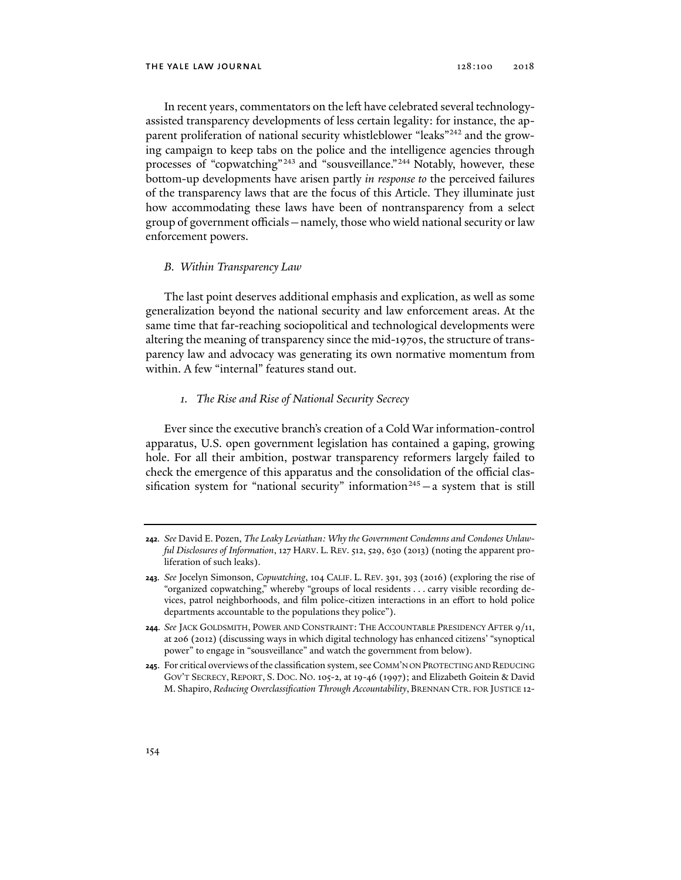In recent years, commentators on the left have celebrated several technologyassisted transparency developments of less certain legality: for instance, the apparent proliferation of national security whistleblower "leaks"<sup>242</sup> and the growing campaign to keep tabs on the police and the intelligence agencies through processes of "copwatching"<sup>243</sup> and "sousveillance."<sup>244</sup> Notably, however, these bottom-up developments have arisen partly *in response to* the perceived failures of the transparency laws that are the focus of this Article. They illuminate just how accommodating these laws have been of nontransparency from a select group of government officials—namely, those who wield national security or law enforcement powers.

### *B. Within Transparency Law*

The last point deserves additional emphasis and explication, as well as some generalization beyond the national security and law enforcement areas. At the same time that far-reaching sociopolitical and technological developments were altering the meaning of transparency since the mid-1970s, the structure of transparency law and advocacy was generating its own normative momentum from within. A few "internal" features stand out.

### *1. The Rise and Rise of National Security Secrecy*

Ever since the executive branch's creation of a Cold War information-control apparatus, U.S. open government legislation has contained a gaping, growing hole. For all their ambition, postwar transparency reformers largely failed to check the emergence of this apparatus and the consolidation of the official classification system for "national security" information<sup>245</sup> - a system that is still

**<sup>242</sup>***. See* David E. Pozen, *The Leaky Leviathan: Why the Government Condemns and Condones Unlawful Disclosures of Information*, 127 HARV. L. REV. 512, 529, 630 (2013) (noting the apparent proliferation of such leaks).

**<sup>243</sup>***. See* Jocelyn Simonson, *Copwatching*, 104 CALIF. L. REV. 391, 393 (2016) (exploring the rise of "organized copwatching," whereby "groups of local residents . . . carry visible recording devices, patrol neighborhoods, and film police-citizen interactions in an effort to hold police departments accountable to the populations they police").

**<sup>244</sup>***. See* JACK GOLDSMITH, POWER AND CONSTRAINT: THE ACCOUNTABLE PRESIDENCY AFTER 9/11, at 206 (2012) (discussing ways in which digital technology has enhanced citizens' "synoptical power" to engage in "sousveillance" and watch the government from below).

**<sup>245</sup>**. For critical overviews of the classification system, see COMM'N ON PROTECTING AND REDUCING GOV'T SECRECY, REPORT, S. DOC. NO. 105-2, at 19-46 (1997); and Elizabeth Goitein & David M. Shapiro, *Reducing Overclassification Through Accountability*, BRENNAN CTR. FOR JUSTICE 12-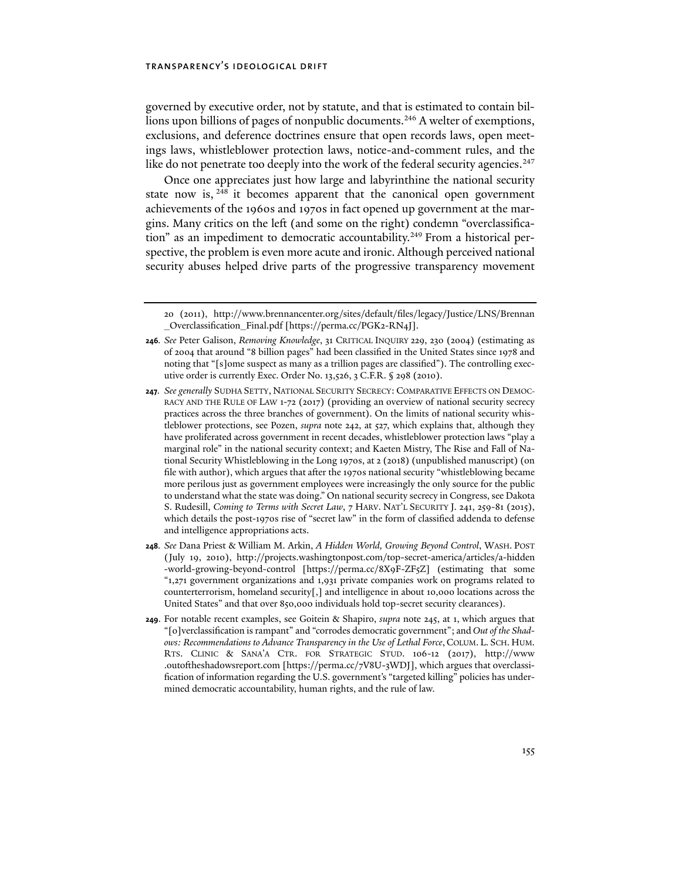governed by executive order, not by statute, and that is estimated to contain billions upon billions of pages of nonpublic documents.<sup>246</sup> A welter of exemptions, exclusions, and deference doctrines ensure that open records laws, open meetings laws, whistleblower protection laws, notice-and-comment rules, and the like do not penetrate too deeply into the work of the federal security agencies.<sup>247</sup>

Once one appreciates just how large and labyrinthine the national security state now is, <sup>248</sup> it becomes apparent that the canonical open government achievements of the 1960s and 1970s in fact opened up government at the margins. Many critics on the left (and some on the right) condemn "overclassification" as an impediment to democratic accountability.<sup>249</sup> From a historical perspective, the problem is even more acute and ironic. Although perceived national security abuses helped drive parts of the progressive transparency movement

<sup>20 (2011),</sup> http://www.brennancenter.org/sites/default/files/legacy/Justice/LNS/Brennan \_Overclassification\_Final.pdf [https://perma.cc/PGK2-RN4J].

**<sup>246</sup>***. See* Peter Galison, *Removing Knowledge*, 31 CRITICAL INQUIRY 229, 230 (2004) (estimating as of 2004 that around "8 billion pages" had been classified in the United States since 1978 and noting that "[s]ome suspect as many as a trillion pages are classified"). The controlling executive order is currently Exec. Order No. 13,526, 3 C.F.R. § 298 (2010).

**<sup>247</sup>***. See generally* SUDHA SETTY, NATIONAL SECURITY SECRECY: COMPARATIVE EFFECTS ON DEMOC-RACY AND THE RULE OF LAW 1-72 (2017) (providing an overview of national security secrecy practices across the three branches of government). On the limits of national security whistleblower protections, see Pozen, *supra* note 242, at 527, which explains that, although they have proliferated across government in recent decades, whistleblower protection laws "play a marginal role" in the national security context; and Kaeten Mistry, The Rise and Fall of National Security Whistleblowing in the Long 1970s, at 2 (2018) (unpublished manuscript) (on file with author), which argues that after the 1970s national security "whistleblowing became more perilous just as government employees were increasingly the only source for the public to understand what the state was doing." On national security secrecy in Congress, see Dakota S. Rudesill, *Coming to Terms with Secret Law*, 7 HARV. NAT'L SECURITY J. 241, 259-81 (2015), which details the post-1970s rise of "secret law" in the form of classified addenda to defense and intelligence appropriations acts.

**<sup>248</sup>***. See* Dana Priest & William M. Arkin, *A Hidden World, Growing Beyond Control*, WASH. POST (July 19, 2010), http://projects.washingtonpost.com/top-secret-america/articles/a-hidden -world-growing-beyond-control [https://perma.cc/8X9F-ZF5Z] (estimating that some "1,271 government organizations and 1,931 private companies work on programs related to counterterrorism, homeland security[,] and intelligence in about 10,000 locations across the United States" and that over 850,000 individuals hold top-secret security clearances).

**<sup>249</sup>**. For notable recent examples, see Goitein & Shapiro, *supra* note 245, at 1, which argues that "[o]verclassification is rampant" and "corrodes democratic government"; and *Out of the Shadows: Recommendations to Advance Transparency in the Use of Lethal Force*, COLUM. L. SCH. HUM. RTS. CLINIC & SANA'A CTR. FOR STRATEGIC STUD. 106-12 (2017), http://www .outoftheshadowsreport.com [https://perma.cc/7V8U-3WDJ], which argues that overclassification of information regarding the U.S. government's "targeted killing" policies has undermined democratic accountability, human rights, and the rule of law.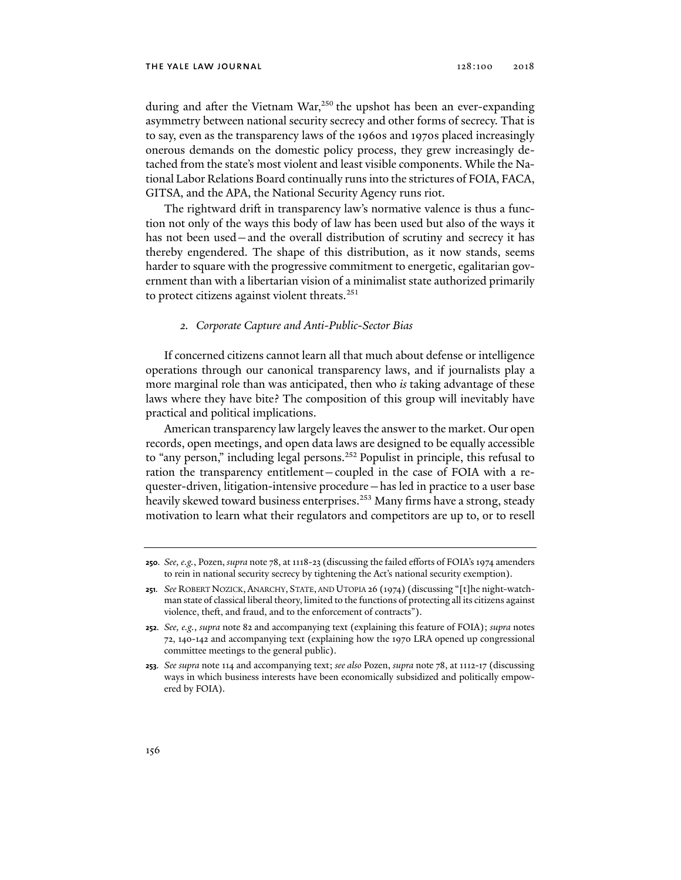during and after the Vietnam War,<sup>250</sup> the upshot has been an ever-expanding asymmetry between national security secrecy and other forms of secrecy. That is to say, even as the transparency laws of the 1960s and 1970s placed increasingly onerous demands on the domestic policy process, they grew increasingly detached from the state's most violent and least visible components. While the National Labor Relations Board continually runs into the strictures of FOIA, FACA, GITSA, and the APA, the National Security Agency runs riot.

The rightward drift in transparency law's normative valence is thus a function not only of the ways this body of law has been used but also of the ways it has not been used—and the overall distribution of scrutiny and secrecy it has thereby engendered. The shape of this distribution, as it now stands, seems harder to square with the progressive commitment to energetic, egalitarian government than with a libertarian vision of a minimalist state authorized primarily to protect citizens against violent threats.<sup>251</sup>

### *2. Corporate Capture and Anti-Public-Sector Bias*

If concerned citizens cannot learn all that much about defense or intelligence operations through our canonical transparency laws, and if journalists play a more marginal role than was anticipated, then who *is* taking advantage of these laws where they have bite? The composition of this group will inevitably have practical and political implications.

American transparency law largely leaves the answer to the market. Our open records, open meetings, and open data laws are designed to be equally accessible to "any person," including legal persons.<sup>252</sup> Populist in principle, this refusal to ration the transparency entitlement—coupled in the case of FOIA with a requester-driven, litigation-intensive procedure—has led in practice to a user base heavily skewed toward business enterprises.<sup>253</sup> Many firms have a strong, steady motivation to learn what their regulators and competitors are up to, or to resell

**<sup>250</sup>***. See, e.g.*, Pozen, *supra* note 78, at 1118-23 (discussing the failed efforts of FOIA's 1974 amenders to rein in national security secrecy by tightening the Act's national security exemption).

**<sup>251</sup>***. See* ROBERT NOZICK,ANARCHY, STATE, AND UTOPIA 26 (1974) (discussing "[t]he night-watchman state of classical liberal theory, limited to the functions of protecting all its citizens against violence, theft, and fraud, and to the enforcement of contracts").

**<sup>252</sup>***. See, e.g.*, *supra* note 82 and accompanying text (explaining this feature of FOIA); *supra* notes 72, 140-142 and accompanying text (explaining how the 1970 LRA opened up congressional committee meetings to the general public).

**<sup>253</sup>***. See supra* note 114 and accompanying text; *see also* Pozen, *supra* note 78, at 1112-17 (discussing ways in which business interests have been economically subsidized and politically empowered by FOIA).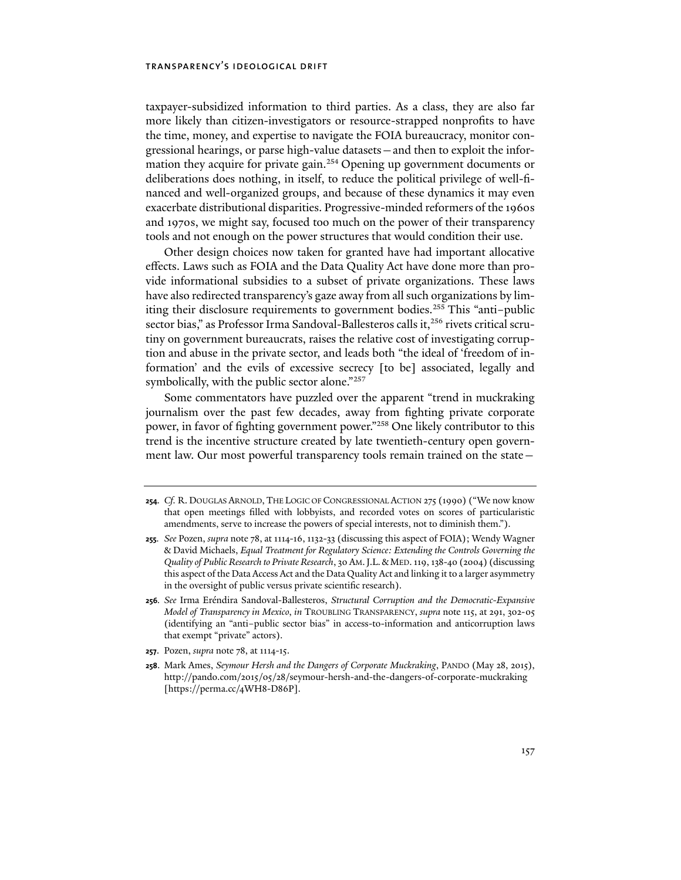taxpayer-subsidized information to third parties. As a class, they are also far more likely than citizen-investigators or resource-strapped nonprofits to have the time, money, and expertise to navigate the FOIA bureaucracy, monitor congressional hearings, or parse high-value datasets—and then to exploit the information they acquire for private gain.<sup>254</sup> Opening up government documents or deliberations does nothing, in itself, to reduce the political privilege of well-financed and well-organized groups, and because of these dynamics it may even exacerbate distributional disparities. Progressive-minded reformers of the 1960s and 1970s, we might say, focused too much on the power of their transparency tools and not enough on the power structures that would condition their use.

Other design choices now taken for granted have had important allocative effects. Laws such as FOIA and the Data Quality Act have done more than provide informational subsidies to a subset of private organizations. These laws have also redirected transparency's gaze away from all such organizations by limiting their disclosure requirements to government bodies.<sup>255</sup> This "anti-public sector bias," as Professor Irma Sandoval-Ballesteros calls it,<sup>256</sup> rivets critical scrutiny on government bureaucrats, raises the relative cost of investigating corruption and abuse in the private sector, and leads both "the ideal of 'freedom of information' and the evils of excessive secrecy [to be] associated, legally and symbolically, with the public sector alone."257

Some commentators have puzzled over the apparent "trend in muckraking journalism over the past few decades, away from fighting private corporate power, in favor of fighting government power."258 One likely contributor to this trend is the incentive structure created by late twentieth-century open government law. Our most powerful transparency tools remain trained on the state—

**<sup>254</sup>***. Cf.* R. DOUGLAS ARNOLD, THE LOGIC OF CONGRESSIONAL ACTION 275 (1990) ("We now know that open meetings filled with lobbyists, and recorded votes on scores of particularistic amendments, serve to increase the powers of special interests, not to diminish them.").

**<sup>255</sup>***. See* Pozen, *supra* note 78, at 1114-16, 1132-33 (discussing this aspect of FOIA); Wendy Wagner & David Michaels, *Equal Treatment for Regulatory Science: Extending the Controls Governing the Quality of Public Research to Private Research*, 30 AM.J.L.&MED. 119, 138-40 (2004) (discussing this aspect of the Data Access Act and the Data Quality Act and linking it to a larger asymmetry in the oversight of public versus private scientific research).

**<sup>256</sup>***. See* Irma Eréndira Sandoval-Ballesteros, *Structural Corruption and the Democratic-Expansive Model of Transparency in Mexico*, *in* TROUBLING TRANSPARENCY, *supra* note 115, at 291, 302-05 (identifying an "anti–public sector bias" in access-to-information and anticorruption laws that exempt "private" actors).

**<sup>257</sup>**. Pozen, *supra* note 78, at 1114-15.

**<sup>258</sup>**. Mark Ames, *Seymour Hersh and the Dangers of Corporate Muckraking*, PANDO (May 28, 2015), http://pando.com/2015/05/28/seymour-hersh-and-the-dangers-of-corporate-muckraking [https://perma.cc/4WH8-D86P].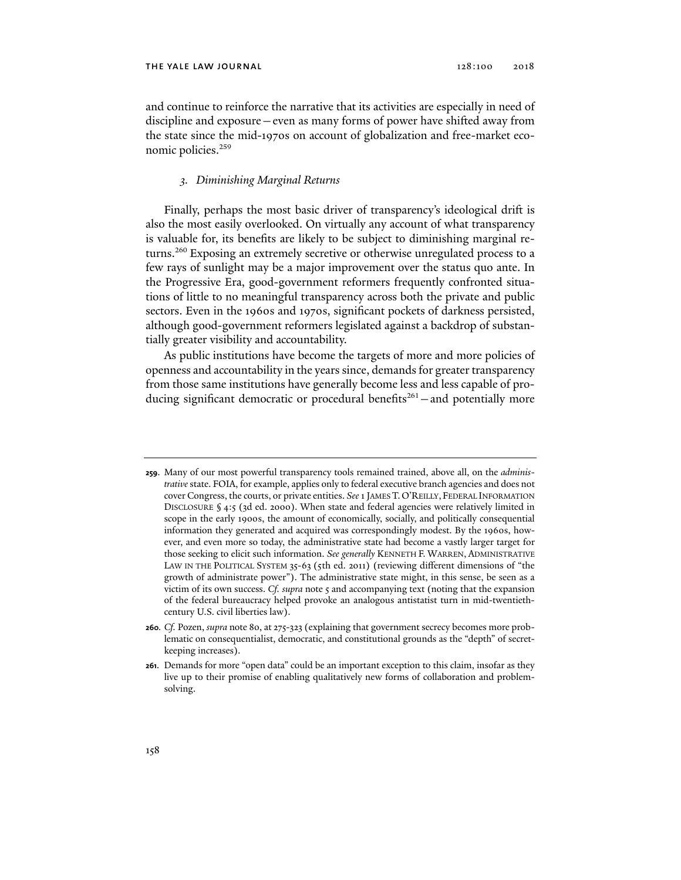and continue to reinforce the narrative that its activities are especially in need of discipline and exposure—even as many forms of power have shifted away from the state since the mid-1970s on account of globalization and free-market economic policies.<sup>259</sup>

### *3. Diminishing Marginal Returns*

Finally, perhaps the most basic driver of transparency's ideological drift is also the most easily overlooked. On virtually any account of what transparency is valuable for, its benefits are likely to be subject to diminishing marginal returns.260 Exposing an extremely secretive or otherwise unregulated process to a few rays of sunlight may be a major improvement over the status quo ante. In the Progressive Era, good-government reformers frequently confronted situations of little to no meaningful transparency across both the private and public sectors. Even in the 1960s and 1970s, significant pockets of darkness persisted, although good-government reformers legislated against a backdrop of substantially greater visibility and accountability.

As public institutions have become the targets of more and more policies of openness and accountability in the years since, demands for greater transparency from those same institutions have generally become less and less capable of producing significant democratic or procedural benefits<sup>261</sup> – and potentially more

**<sup>259</sup>**. Many of our most powerful transparency tools remained trained, above all, on the *administrative* state. FOIA, for example, applies only to federal executive branch agencies and does not cover Congress, the courts, or private entities. *See* 1 JAMES T.O'REILLY, FEDERAL INFORMATION DISCLOSURE § 4:5 (3d ed. 2000). When state and federal agencies were relatively limited in scope in the early 1900s, the amount of economically, socially, and politically consequential information they generated and acquired was correspondingly modest. By the 1960s, however, and even more so today, the administrative state had become a vastly larger target for those seeking to elicit such information. *See generally* KENNETH F. WARREN, ADMINISTRATIVE LAW IN THE POLITICAL SYSTEM 35-63 (5th ed. 2011) (reviewing different dimensions of "the growth of administrate power"). The administrative state might, in this sense, be seen as a victim of its own success. *Cf. supra* note 5 and accompanying text (noting that the expansion of the federal bureaucracy helped provoke an analogous antistatist turn in mid-twentiethcentury U.S. civil liberties law).

**<sup>260</sup>***. Cf.* Pozen, *supra* note 80, at 275-323 (explaining that government secrecy becomes more problematic on consequentialist, democratic, and constitutional grounds as the "depth" of secretkeeping increases).

**<sup>261</sup>**. Demands for more "open data" could be an important exception to this claim, insofar as they live up to their promise of enabling qualitatively new forms of collaboration and problemsolving.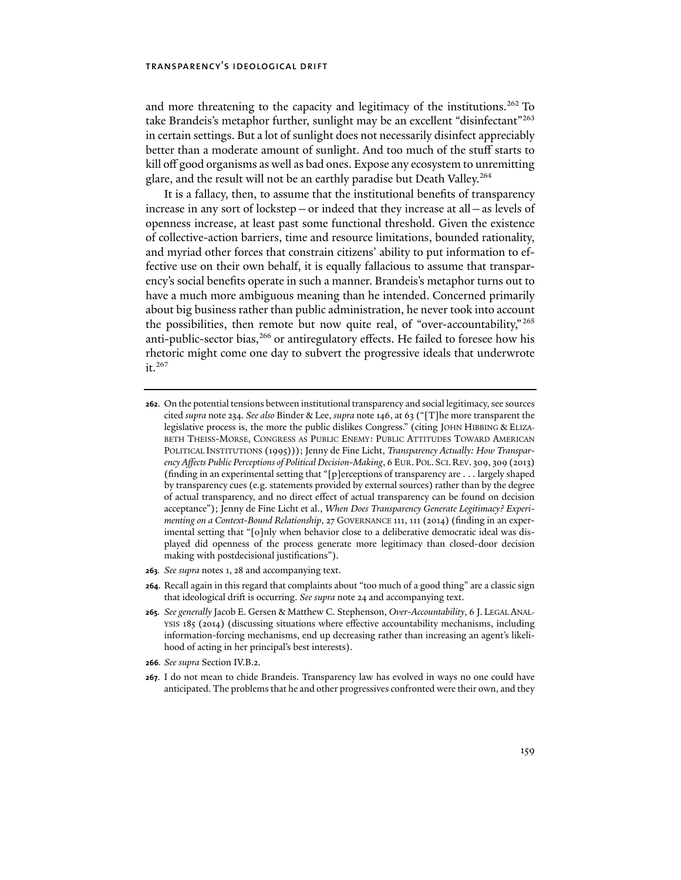and more threatening to the capacity and legitimacy of the institutions.<sup>262</sup> To take Brandeis's metaphor further, sunlight may be an excellent "disinfectant"<sup>263</sup> in certain settings. But a lot of sunlight does not necessarily disinfect appreciably better than a moderate amount of sunlight. And too much of the stuff starts to kill off good organisms as well as bad ones. Expose any ecosystem to unremitting glare, and the result will not be an earthly paradise but Death Valley.264

It is a fallacy, then, to assume that the institutional benefits of transparency increase in any sort of lockstep—or indeed that they increase at all—as levels of openness increase, at least past some functional threshold. Given the existence of collective-action barriers, time and resource limitations, bounded rationality, and myriad other forces that constrain citizens' ability to put information to effective use on their own behalf, it is equally fallacious to assume that transparency's social benefits operate in such a manner. Brandeis's metaphor turns out to have a much more ambiguous meaning than he intended. Concerned primarily about big business rather than public administration, he never took into account the possibilities, then remote but now quite real, of "over-accountability," 265 anti-public-sector bias,<sup>266</sup> or antiregulatory effects. He failed to foresee how his rhetoric might come one day to subvert the progressive ideals that underwrote it.<sup>267</sup>

**263***. See supra* notes 1, 28 and accompanying text.

**<sup>262</sup>**. On the potential tensions between institutional transparency and social legitimacy, see sources cited *supra* note 234. *See also* Binder & Lee, *supra* note 146, at 63 ("[T]he more transparent the legislative process is, the more the public dislikes Congress." (citing JOHN HIBBING & ELIZA-BETH THEISS-MORSE, CONGRESS AS PUBLIC ENEMY: PUBLIC ATTITUDES TOWARD AMERICAN POLITICAL INSTITUTIONS (1995))); Jenny de Fine Licht, *Transparency Actually: How Transparency Affects Public Perceptions of Political Decision-Making*, 6 EUR.POL. SCI.REV. 309, 309 (2013) (finding in an experimental setting that "[p]erceptions of transparency are . . . largely shaped by transparency cues (e.g. statements provided by external sources) rather than by the degree of actual transparency, and no direct effect of actual transparency can be found on decision acceptance"); Jenny de Fine Licht et al., *When Does Transparency Generate Legitimacy? Experimenting on a Context-Bound Relationship*, 27 GOVERNANCE 111, 111 (2014) (finding in an experimental setting that "[o]nly when behavior close to a deliberative democratic ideal was displayed did openness of the process generate more legitimacy than closed-door decision making with postdecisional justifications").

**<sup>264</sup>**. Recall again in this regard that complaints about "too much of a good thing" are a classic sign that ideological drift is occurring. *See supra* note 24 and accompanying text.

**<sup>265</sup>***. See generally* Jacob E. Gersen & Matthew C. Stephenson, *Over-Accountability*, 6 J. LEGAL ANAL-YSIS 185 (2014) (discussing situations where effective accountability mechanisms, including information-forcing mechanisms, end up decreasing rather than increasing an agent's likelihood of acting in her principal's best interests).

**<sup>266</sup>***. See supra* Section IV.B.2.

**<sup>267</sup>**. I do not mean to chide Brandeis. Transparency law has evolved in ways no one could have anticipated. The problems that he and other progressives confronted were their own, and they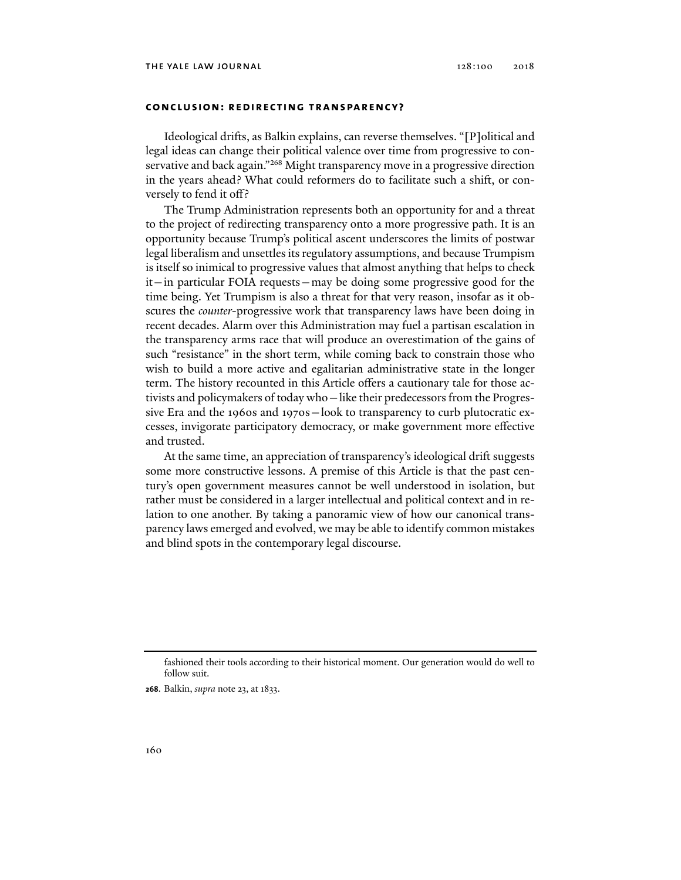### **conclusion: redirecting transparency?**

Ideological drifts, as Balkin explains, can reverse themselves. "[P]olitical and legal ideas can change their political valence over time from progressive to conservative and back again."<sup>268</sup> Might transparency move in a progressive direction in the years ahead? What could reformers do to facilitate such a shift, or conversely to fend it off?

The Trump Administration represents both an opportunity for and a threat to the project of redirecting transparency onto a more progressive path. It is an opportunity because Trump's political ascent underscores the limits of postwar legal liberalism and unsettles its regulatory assumptions, and because Trumpism is itself so inimical to progressive values that almost anything that helps to check it—in particular FOIA requests—may be doing some progressive good for the time being. Yet Trumpism is also a threat for that very reason, insofar as it obscures the *counter*-progressive work that transparency laws have been doing in recent decades. Alarm over this Administration may fuel a partisan escalation in the transparency arms race that will produce an overestimation of the gains of such "resistance" in the short term, while coming back to constrain those who wish to build a more active and egalitarian administrative state in the longer term. The history recounted in this Article offers a cautionary tale for those activists and policymakers of today who—like their predecessors from the Progressive Era and the 1960s and 1970s—look to transparency to curb plutocratic excesses, invigorate participatory democracy, or make government more effective and trusted.

At the same time, an appreciation of transparency's ideological drift suggests some more constructive lessons. A premise of this Article is that the past century's open government measures cannot be well understood in isolation, but rather must be considered in a larger intellectual and political context and in relation to one another. By taking a panoramic view of how our canonical transparency laws emerged and evolved, we may be able to identify common mistakes and blind spots in the contemporary legal discourse.

**268**. Balkin, *supra* note 23, at 1833.

fashioned their tools according to their historical moment. Our generation would do well to follow suit.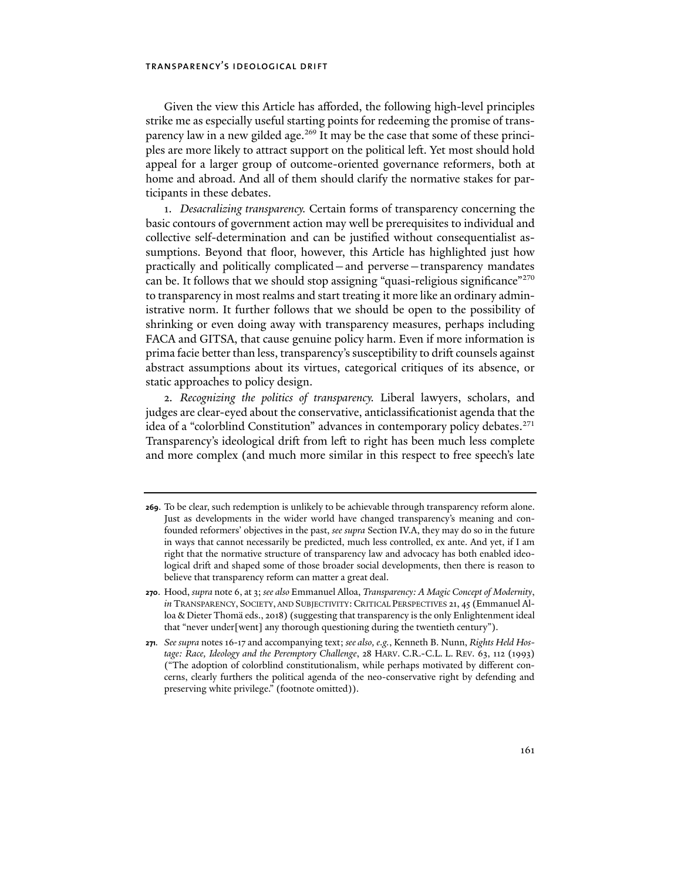Given the view this Article has afforded, the following high-level principles strike me as especially useful starting points for redeeming the promise of transparency law in a new gilded age.<sup>269</sup> It may be the case that some of these principles are more likely to attract support on the political left. Yet most should hold appeal for a larger group of outcome-oriented governance reformers, both at home and abroad. And all of them should clarify the normative stakes for participants in these debates.

1. *Desacralizing transparency.* Certain forms of transparency concerning the basic contours of government action may well be prerequisites to individual and collective self-determination and can be justified without consequentialist assumptions. Beyond that floor, however, this Article has highlighted just how practically and politically complicated—and perverse—transparency mandates can be. It follows that we should stop assigning "quasi-religious significance"<sup>270</sup> to transparency in most realms and start treating it more like an ordinary administrative norm. It further follows that we should be open to the possibility of shrinking or even doing away with transparency measures, perhaps including FACA and GITSA, that cause genuine policy harm. Even if more information is prima facie better than less, transparency's susceptibility to drift counsels against abstract assumptions about its virtues, categorical critiques of its absence, or static approaches to policy design.

2. *Recognizing the politics of transparency.* Liberal lawyers, scholars, and judges are clear-eyed about the conservative, anticlassificationist agenda that the idea of a "colorblind Constitution" advances in contemporary policy debates.271 Transparency's ideological drift from left to right has been much less complete and more complex (and much more similar in this respect to free speech's late

**<sup>269</sup>**. To be clear, such redemption is unlikely to be achievable through transparency reform alone. Just as developments in the wider world have changed transparency's meaning and confounded reformers' objectives in the past, *see supra* Section IV.A, they may do so in the future in ways that cannot necessarily be predicted, much less controlled, ex ante. And yet, if I am right that the normative structure of transparency law and advocacy has both enabled ideological drift and shaped some of those broader social developments, then there is reason to believe that transparency reform can matter a great deal.

**<sup>270</sup>**. Hood, *supra* note 6, at 3; *see also* Emmanuel Alloa, *Transparency: A Magic Concept of Modernity*, *in* TRANSPARENCY, SOCIETY, AND SUBJECTIVITY: CRITICAL PERSPECTIVES 21, 45 (Emmanuel Alloa & Dieter Thomä eds., 2018) (suggesting that transparency is the only Enlightenment ideal that "never under[went] any thorough questioning during the twentieth century").

**<sup>271</sup>***. See supra* notes 16-17 and accompanying text; *see also, e.g.*, Kenneth B. Nunn, *Rights Held Hostage: Race, Ideology and the Peremptory Challenge*, 28 HARV. C.R.-C.L. L. REV. 63, 112 (1993) ("The adoption of colorblind constitutionalism, while perhaps motivated by different concerns, clearly furthers the political agenda of the neo-conservative right by defending and preserving white privilege." (footnote omitted)).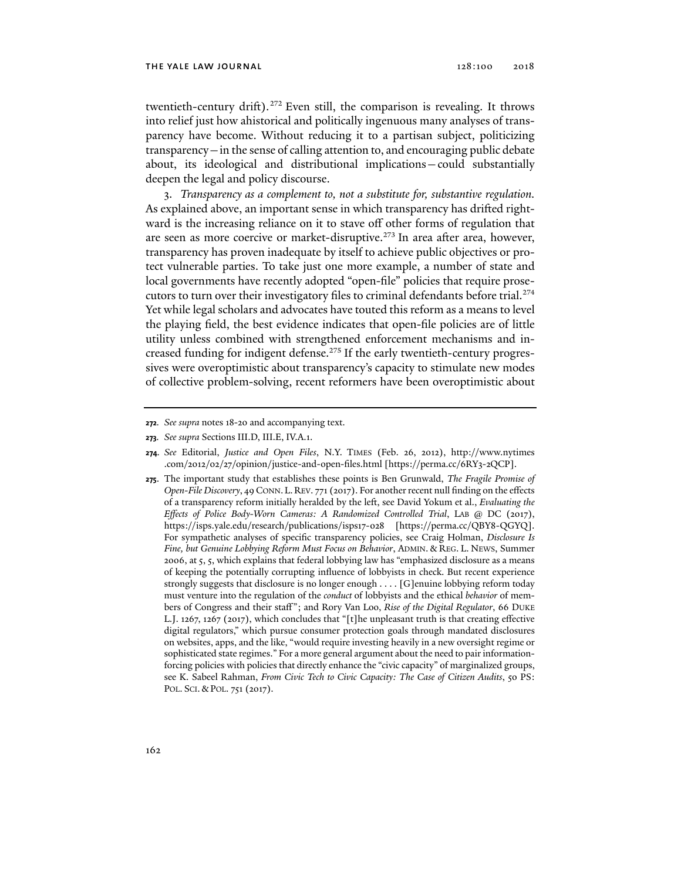twentieth-century drift).<sup>272</sup> Even still, the comparison is revealing. It throws into relief just how ahistorical and politically ingenuous many analyses of transparency have become. Without reducing it to a partisan subject, politicizing transparency—in the sense of calling attention to, and encouraging public debate about, its ideological and distributional implications—could substantially deepen the legal and policy discourse.

3. *Transparency as a complement to, not a substitute for, substantive regulation.* As explained above, an important sense in which transparency has drifted rightward is the increasing reliance on it to stave off other forms of regulation that are seen as more coercive or market-disruptive.<sup>273</sup> In area after area, however, transparency has proven inadequate by itself to achieve public objectives or protect vulnerable parties. To take just one more example, a number of state and local governments have recently adopted "open-file" policies that require prosecutors to turn over their investigatory files to criminal defendants before trial.274 Yet while legal scholars and advocates have touted this reform as a means to level the playing field, the best evidence indicates that open-file policies are of little utility unless combined with strengthened enforcement mechanisms and increased funding for indigent defense.<sup>275</sup> If the early twentieth-century progressives were overoptimistic about transparency's capacity to stimulate new modes of collective problem-solving, recent reformers have been overoptimistic about

**<sup>272</sup>***. See supra* notes 18-20 and accompanying text.

**<sup>273</sup>***. See supra* Sections III.D, III.E, IV.A.1.

**<sup>274</sup>***. See* Editorial, *Justice and Open Files*, N.Y. TIMES (Feb. 26, 2012), http://www.nytimes .com/2012/02/27/opinion/justice-and-open-files.html [https://perma.cc/6RY3-2QCP].

**<sup>275</sup>**. The important study that establishes these points is Ben Grunwald, *The Fragile Promise of Open-File Discovery*, 49 CONN.L.REV. 771 (2017). For another recent null finding on the effects of a transparency reform initially heralded by the left, see David Yokum et al., *Evaluating the Effects of Police Body-Worn Cameras: A Randomized Controlled Trial*, LAB @ DC (2017), https://isps.yale.edu/research/publications/isps17-028 [https://perma.cc/QBY8-QGYQ]. For sympathetic analyses of specific transparency policies, see Craig Holman, *Disclosure Is Fine, but Genuine Lobbying Reform Must Focus on Behavior*, ADMIN. & REG. L. NEWS, Summer 2006, at 5, 5, which explains that federal lobbying law has "emphasized disclosure as a means of keeping the potentially corrupting influence of lobbyists in check. But recent experience strongly suggests that disclosure is no longer enough . . . . [G]enuine lobbying reform today must venture into the regulation of the *conduct* of lobbyists and the ethical *behavior* of members of Congress and their staff "; and Rory Van Loo, *Rise of the Digital Regulator*, 66 DUKE L.J. 1267, 1267 (2017), which concludes that "[t]he unpleasant truth is that creating effective digital regulators," which pursue consumer protection goals through mandated disclosures on websites, apps, and the like, "would require investing heavily in a new oversight regime or sophisticated state regimes." For a more general argument about the need to pair informationforcing policies with policies that directly enhance the "civic capacity" of marginalized groups, see K. Sabeel Rahman, *From Civic Tech to Civic Capacity: The Case of Citizen Audits*, 50 PS: POL. SCI. & POL. 751 (2017).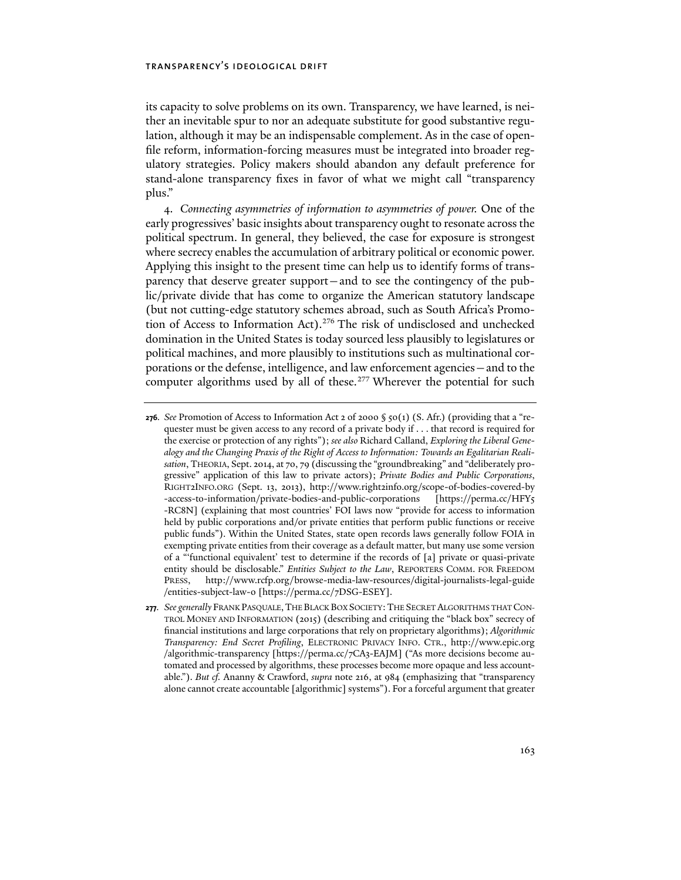its capacity to solve problems on its own. Transparency, we have learned, is neither an inevitable spur to nor an adequate substitute for good substantive regulation, although it may be an indispensable complement. As in the case of openfile reform, information-forcing measures must be integrated into broader regulatory strategies. Policy makers should abandon any default preference for stand-alone transparency fixes in favor of what we might call "transparency plus."

4. *Connecting asymmetries of information to asymmetries of power.* One of the early progressives' basic insights about transparency ought to resonate across the political spectrum. In general, they believed, the case for exposure is strongest where secrecy enables the accumulation of arbitrary political or economic power. Applying this insight to the present time can help us to identify forms of transparency that deserve greater support—and to see the contingency of the public/private divide that has come to organize the American statutory landscape (but not cutting-edge statutory schemes abroad, such as South Africa's Promotion of Access to Information Act).<sup>276</sup> The risk of undisclosed and unchecked domination in the United States is today sourced less plausibly to legislatures or political machines, and more plausibly to institutions such as multinational corporations or the defense, intelligence, and law enforcement agencies—and to the computer algorithms used by all of these.<sup>277</sup> Wherever the potential for such

**<sup>276</sup>***. See Promotion of Access to Information Act 2 of 2000*  $\S$  50(1) (S. Afr.) (providing that a "requester must be given access to any record of a private body if . . . that record is required for the exercise or protection of any rights"); *see also* Richard Calland, *Exploring the Liberal Genealogy and the Changing Praxis of the Right of Access to Information: Towards an Egalitarian Realisation*, THEORIA, Sept. 2014, at 70, 79 (discussing the "groundbreaking" and "deliberately progressive" application of this law to private actors); *Private Bodies and Public Corporations*, RIGHT2INFO.ORG (Sept. 13, 2013), http://www.right2info.org/scope-of-bodies-covered-by -access-to-information/private-bodies-and-public-corporations [https://perma.cc/HFY5 -RC8N] (explaining that most countries' FOI laws now "provide for access to information held by public corporations and/or private entities that perform public functions or receive public funds"). Within the United States, state open records laws generally follow FOIA in exempting private entities from their coverage as a default matter, but many use some version of a "'functional equivalent' test to determine if the records of [a] private or quasi-private entity should be disclosable." *Entities Subject to the Law*, REPORTERS COMM. FOR FREEDOM PRESS, http://www.rcfp.org/browse-media-law-resources/digital-journalists-legal-guide /entities-subject-law-0 [https://perma.cc/7DSG-ESEY].

**<sup>277</sup>***. See generally* FRANK PASQUALE,THE BLACK BOX SOCIETY:THE SECRET ALGORITHMS THAT CON-TROL MONEY AND INFORMATION (2015) (describing and critiquing the "black box" secrecy of financial institutions and large corporations that rely on proprietary algorithms); *Algorithmic Transparency: End Secret Profiling*, ELECTRONIC PRIVACY INFO. CTR., http://www.epic.org /algorithmic-transparency [https://perma.cc/7CA3-EAJM] ("As more decisions become automated and processed by algorithms, these processes become more opaque and less accountable."). *But cf.* Ananny & Crawford, *supra* note 216, at 984 (emphasizing that "transparency alone cannot create accountable [algorithmic] systems"). For a forceful argument that greater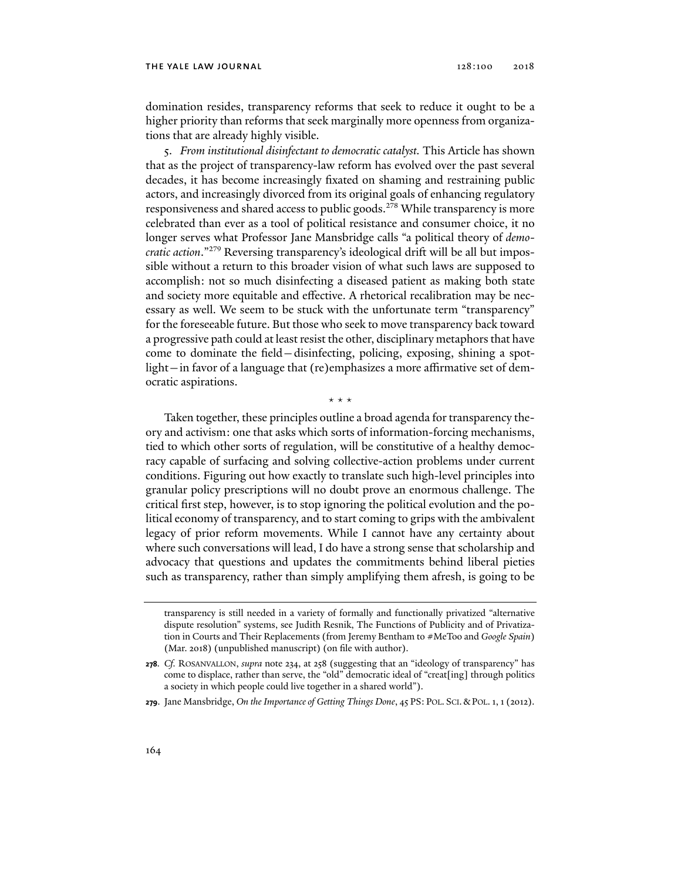domination resides, transparency reforms that seek to reduce it ought to be a higher priority than reforms that seek marginally more openness from organizations that are already highly visible.

5. *From institutional disinfectant to democratic catalyst.* This Article has shown that as the project of transparency-law reform has evolved over the past several decades, it has become increasingly fixated on shaming and restraining public actors, and increasingly divorced from its original goals of enhancing regulatory responsiveness and shared access to public goods.278 While transparency is more celebrated than ever as a tool of political resistance and consumer choice, it no longer serves what Professor Jane Mansbridge calls "a political theory of *democratic action*."279 Reversing transparency's ideological drift will be all but impossible without a return to this broader vision of what such laws are supposed to accomplish: not so much disinfecting a diseased patient as making both state and society more equitable and effective. A rhetorical recalibration may be necessary as well. We seem to be stuck with the unfortunate term "transparency" for the foreseeable future. But those who seek to move transparency back toward a progressive path could at least resist the other, disciplinary metaphors that have come to dominate the field—disinfecting, policing, exposing, shining a spotlight—in favor of a language that (re)emphasizes a more affirmative set of democratic aspirations.

\* \* \*

Taken together, these principles outline a broad agenda for transparency theory and activism: one that asks which sorts of information-forcing mechanisms, tied to which other sorts of regulation, will be constitutive of a healthy democracy capable of surfacing and solving collective-action problems under current conditions. Figuring out how exactly to translate such high-level principles into granular policy prescriptions will no doubt prove an enormous challenge. The critical first step, however, is to stop ignoring the political evolution and the political economy of transparency, and to start coming to grips with the ambivalent legacy of prior reform movements. While I cannot have any certainty about where such conversations will lead, I do have a strong sense that scholarship and advocacy that questions and updates the commitments behind liberal pieties such as transparency, rather than simply amplifying them afresh, is going to be

transparency is still needed in a variety of formally and functionally privatized "alternative dispute resolution" systems, see Judith Resnik, The Functions of Publicity and of Privatization in Courts and Their Replacements (from Jeremy Bentham to #MeToo and *Google Spain*) (Mar. 2018) (unpublished manuscript) (on file with author).

**<sup>278</sup>***. Cf.* ROSANVALLON, *supra* note 234, at 258 (suggesting that an "ideology of transparency" has come to displace, rather than serve, the "old" democratic ideal of "creat[ing] through politics a society in which people could live together in a shared world").

**<sup>279</sup>**. Jane Mansbridge, *On the Importance of Getting Things Done*, 45 PS: POL. SCI.&POL. 1, 1 (2012).